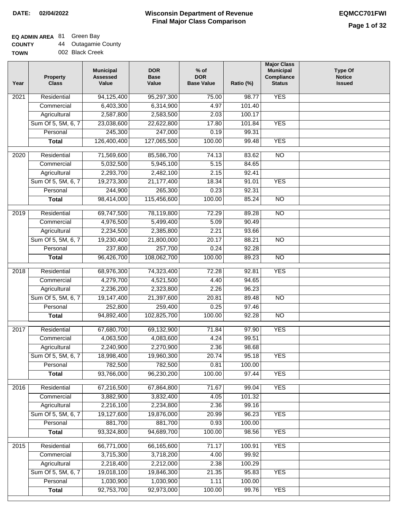**TOWN**

### **Wisconsin Department of Revenue Final Major Class Comparison DATE: 02/04/2022 EQMCC701FWI**

### **EQ ADMIN AREA** 81 Green Bay

| <b>COUNTY</b> | <b>Outagamie County</b> |
|---------------|-------------------------|
|---------------|-------------------------|

002 Black Creek

| Year              | <b>Property</b><br><b>Class</b> | <b>Municipal</b><br><b>Assessed</b><br>Value | <b>DOR</b><br><b>Base</b><br>Value | $%$ of<br><b>DOR</b><br><b>Base Value</b> | Ratio (%) | <b>Major Class</b><br><b>Municipal</b><br>Compliance<br><b>Status</b> | <b>Type Of</b><br><b>Notice</b><br><b>Issued</b> |
|-------------------|---------------------------------|----------------------------------------------|------------------------------------|-------------------------------------------|-----------|-----------------------------------------------------------------------|--------------------------------------------------|
| 2021              | Residential                     | 94,125,400                                   | 95,297,300                         | 75.00                                     | 98.77     | <b>YES</b>                                                            |                                                  |
|                   | Commercial                      | 6,403,300                                    | 6,314,900                          | 4.97                                      | 101.40    |                                                                       |                                                  |
|                   | Agricultural                    | 2,587,800                                    | 2,583,500                          | 2.03                                      | 100.17    |                                                                       |                                                  |
|                   | Sum Of 5, 5M, 6, 7              | 23,038,600                                   | 22,622,800                         | 17.80                                     | 101.84    | <b>YES</b>                                                            |                                                  |
|                   | Personal                        | 245,300                                      | 247,000                            | 0.19                                      | 99.31     |                                                                       |                                                  |
|                   | <b>Total</b>                    | 126,400,400                                  | 127,065,500                        | 100.00                                    | 99.48     | <b>YES</b>                                                            |                                                  |
| $\overline{2020}$ | Residential                     | 71,569,600                                   | 85,586,700                         | 74.13                                     | 83.62     | $\overline{NO}$                                                       |                                                  |
|                   | Commercial                      | 5,032,500                                    | 5,945,100                          | 5.15                                      | 84.65     |                                                                       |                                                  |
|                   | Agricultural                    | 2,293,700                                    | 2,482,100                          | 2.15                                      | 92.41     |                                                                       |                                                  |
|                   | Sum Of 5, 5M, 6, 7              | 19,273,300                                   | 21, 177, 400                       | 18.34                                     | 91.01     | <b>YES</b>                                                            |                                                  |
|                   | Personal                        | 244,900                                      | 265,300                            | 0.23                                      | 92.31     |                                                                       |                                                  |
|                   | <b>Total</b>                    | 98,414,000                                   | 115,456,600                        | 100.00                                    | 85.24     | $\overline{NO}$                                                       |                                                  |
| 2019              | Residential                     | 69,747,500                                   | 78,119,800                         | 72.29                                     | 89.28     | $\overline{NO}$                                                       |                                                  |
|                   | Commercial                      | 4,976,500                                    | 5,499,400                          | 5.09                                      | 90.49     |                                                                       |                                                  |
|                   | Agricultural                    | 2,234,500                                    | 2,385,800                          | 2.21                                      | 93.66     |                                                                       |                                                  |
|                   | Sum Of 5, 5M, 6, 7              | 19,230,400                                   | 21,800,000                         | 20.17                                     | 88.21     | $\overline{N}$                                                        |                                                  |
|                   | Personal                        | 237,800                                      | 257,700                            | 0.24                                      | 92.28     |                                                                       |                                                  |
|                   | <b>Total</b>                    | 96,426,700                                   | 108,062,700                        | 100.00                                    | 89.23     | $\overline{NO}$                                                       |                                                  |
|                   |                                 |                                              |                                    |                                           |           |                                                                       |                                                  |
| 2018              | Residential                     | 68,976,300                                   | 74,323,400                         | 72.28                                     | 92.81     | <b>YES</b>                                                            |                                                  |
|                   | Commercial                      | 4,279,700                                    | 4,521,500                          | 4.40                                      | 94.65     |                                                                       |                                                  |
|                   | Agricultural                    | 2,236,200                                    | 2,323,800                          | 2.26                                      | 96.23     |                                                                       |                                                  |
|                   | Sum Of 5, 5M, 6, 7              | 19,147,400                                   | 21,397,600                         | 20.81                                     | 89.48     | <b>NO</b>                                                             |                                                  |
|                   | Personal                        | 252,800                                      | 259,400                            | 0.25                                      | 97.46     |                                                                       |                                                  |
|                   | <b>Total</b>                    | 94,892,400                                   | 102,825,700                        | 100.00                                    | 92.28     | $\overline{10}$                                                       |                                                  |
| 2017              | Residential                     | 67,680,700                                   | 69,132,900                         | 71.84                                     | 97.90     | <b>YES</b>                                                            |                                                  |
|                   | Commercial                      | 4,063,500                                    | 4,083,600                          | 4.24                                      | 99.51     |                                                                       |                                                  |
|                   | Agricultural                    | 2,240,900                                    | 2,270,900                          | 2.36                                      | 98.68     |                                                                       |                                                  |
|                   | Sum Of 5, 5M, 6, 7              | 18,998,400                                   | 19,960,300                         | 20.74                                     | 95.18     | <b>YES</b>                                                            |                                                  |
|                   | Personal                        | 782,500                                      | 782,500                            | 0.81                                      | 100.00    |                                                                       |                                                  |
|                   | <b>Total</b>                    | 93,766,000                                   | 96,230,200                         | 100.00                                    | 97.44     | <b>YES</b>                                                            |                                                  |
| 2016              | Residential                     | 67,216,500                                   | 67,864,800                         | 71.67                                     | 99.04     | <b>YES</b>                                                            |                                                  |
|                   | Commercial                      | 3,882,900                                    | 3,832,400                          | 4.05                                      | 101.32    |                                                                       |                                                  |
|                   | Agricultural                    | 2,216,100                                    | 2,234,800                          | 2.36                                      | 99.16     |                                                                       |                                                  |
|                   | Sum Of 5, 5M, 6, 7              | 19,127,600                                   | 19,876,000                         | 20.99                                     | 96.23     | <b>YES</b>                                                            |                                                  |
|                   | Personal                        | 881,700                                      | 881,700                            | 0.93                                      | 100.00    |                                                                       |                                                  |
|                   | <b>Total</b>                    | 93,324,800                                   | 94,689,700                         | 100.00                                    | 98.56     | <b>YES</b>                                                            |                                                  |
|                   |                                 |                                              |                                    |                                           |           |                                                                       |                                                  |
| 2015              | Residential                     | 66,771,000                                   | 66,165,600                         | 71.17                                     | 100.91    | <b>YES</b>                                                            |                                                  |
|                   | Commercial                      | 3,715,300                                    | 3,718,200                          | 4.00                                      | 99.92     |                                                                       |                                                  |
|                   | Agricultural                    | 2,218,400                                    | 2,212,000                          | 2.38                                      | 100.29    |                                                                       |                                                  |
|                   | Sum Of 5, 5M, 6, 7              | 19,018,100                                   | 19,846,300                         | 21.35                                     | 95.83     | <b>YES</b>                                                            |                                                  |
|                   | Personal                        | 1,030,900                                    | 1,030,900                          | 1.11                                      | 100.00    |                                                                       |                                                  |
|                   | <b>Total</b>                    | 92,753,700                                   | 92,973,000                         | 100.00                                    | 99.76     | <b>YES</b>                                                            |                                                  |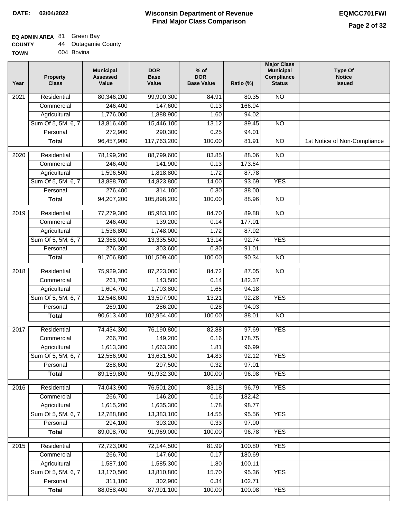## **EQ ADMIN AREA** 81 Green Bay

| <b>COUNTY</b> |  | <b>Outagamie County</b> |  |
|---------------|--|-------------------------|--|
|---------------|--|-------------------------|--|

**TOWN** 004 Bovina

| Year | <b>Property</b><br><b>Class</b> | <b>Municipal</b><br><b>Assessed</b><br>Value | <b>DOR</b><br><b>Base</b><br>Value | $%$ of<br><b>DOR</b><br><b>Base Value</b> | Ratio (%) | <b>Major Class</b><br><b>Municipal</b><br>Compliance<br><b>Status</b> | <b>Type Of</b><br><b>Notice</b><br><b>Issued</b> |
|------|---------------------------------|----------------------------------------------|------------------------------------|-------------------------------------------|-----------|-----------------------------------------------------------------------|--------------------------------------------------|
| 2021 | Residential                     | 80,346,200                                   | 99,990,300                         | 84.91                                     | 80.35     | N <sub>O</sub>                                                        |                                                  |
|      | Commercial                      | 246,400                                      | 147,600                            | 0.13                                      | 166.94    |                                                                       |                                                  |
|      | Agricultural                    | 1,776,000                                    | 1,888,900                          | 1.60                                      | 94.02     |                                                                       |                                                  |
|      | Sum Of 5, 5M, 6, 7              | 13,816,400                                   | 15,446,100                         | 13.12                                     | 89.45     | $\overline{NO}$                                                       |                                                  |
|      | Personal                        | 272,900                                      | 290,300                            | 0.25                                      | 94.01     |                                                                       |                                                  |
|      | <b>Total</b>                    | 96,457,900                                   | 117,763,200                        | 100.00                                    | 81.91     | $\overline{NO}$                                                       | 1st Notice of Non-Compliance                     |
| 2020 | Residential                     | 78,199,200                                   | 88,799,600                         | 83.85                                     | 88.06     | $\overline{10}$                                                       |                                                  |
|      | Commercial                      | 246,400                                      | 141,900                            | 0.13                                      | 173.64    |                                                                       |                                                  |
|      | Agricultural                    | 1,596,500                                    | 1,818,800                          | 1.72                                      | 87.78     |                                                                       |                                                  |
|      | Sum Of 5, 5M, 6, 7              | 13,888,700                                   | 14,823,800                         | 14.00                                     | 93.69     | <b>YES</b>                                                            |                                                  |
|      | Personal                        | 276,400                                      | 314,100                            | 0.30                                      | 88.00     |                                                                       |                                                  |
|      | <b>Total</b>                    | 94,207,200                                   | 105,898,200                        | 100.00                                    | 88.96     | $\overline{NO}$                                                       |                                                  |
| 2019 | Residential                     | 77,279,300                                   | 85,983,100                         | 84.70                                     | 89.88     | <b>NO</b>                                                             |                                                  |
|      | Commercial                      | 246,400                                      | 139,200                            | 0.14                                      | 177.01    |                                                                       |                                                  |
|      | Agricultural                    | 1,536,800                                    | 1,748,000                          | 1.72                                      | 87.92     |                                                                       |                                                  |
|      | Sum Of 5, 5M, 6, 7              | 12,368,000                                   | 13,335,500                         | 13.14                                     | 92.74     | <b>YES</b>                                                            |                                                  |
|      | Personal                        | 276,300                                      | 303,600                            | 0.30                                      | 91.01     |                                                                       |                                                  |
|      | <b>Total</b>                    | 91,706,800                                   | 101,509,400                        | 100.00                                    | 90.34     | $\overline{NO}$                                                       |                                                  |
| 2018 | Residential                     | 75,929,300                                   | 87,223,000                         | 84.72                                     | 87.05     | $\overline{10}$                                                       |                                                  |
|      | Commercial                      | 261,700                                      | 143,500                            | 0.14                                      | 182.37    |                                                                       |                                                  |
|      | Agricultural                    | 1,604,700                                    | 1,703,800                          | 1.65                                      | 94.18     |                                                                       |                                                  |
|      | Sum Of 5, 5M, 6, 7              | 12,548,600                                   | 13,597,900                         | 13.21                                     | 92.28     | <b>YES</b>                                                            |                                                  |
|      | Personal                        | 269,100                                      | 286,200                            | 0.28                                      | 94.03     |                                                                       |                                                  |
|      | <b>Total</b>                    | 90,613,400                                   | 102,954,400                        | 100.00                                    | 88.01     | $\overline{10}$                                                       |                                                  |
| 2017 | Residential                     | 74,434,300                                   | 76,190,800                         | 82.88                                     | 97.69     | <b>YES</b>                                                            |                                                  |
|      | Commercial                      | 266,700                                      | 149,200                            | 0.16                                      | 178.75    |                                                                       |                                                  |
|      | Agricultural                    | 1,613,300                                    | 1,663,300                          | 1.81                                      | 96.99     |                                                                       |                                                  |
|      | Sum Of 5, 5M, 6, 7              | 12,556,900                                   | 13,631,500                         | 14.83                                     | 92.12     | <b>YES</b>                                                            |                                                  |
|      | Personal                        | 288,600                                      | 297,500                            | 0.32                                      | 97.01     |                                                                       |                                                  |
|      | <b>Total</b>                    | 89,159,800                                   | 91,932,300                         | 100.00                                    | 96.98     | <b>YES</b>                                                            |                                                  |
| 2016 | Residential                     | 74,043,900                                   | 76,501,200                         | 83.18                                     | 96.79     | <b>YES</b>                                                            |                                                  |
|      | Commercial                      | 266,700                                      | 146,200                            | 0.16                                      | 182.42    |                                                                       |                                                  |
|      | Agricultural                    | 1,615,200                                    | 1,635,300                          | 1.78                                      | 98.77     |                                                                       |                                                  |
|      | Sum Of 5, 5M, 6, 7              | 12,788,800                                   | 13,383,100                         | 14.55                                     | 95.56     | <b>YES</b>                                                            |                                                  |
|      | Personal                        | 294,100                                      | 303,200                            | 0.33                                      | 97.00     |                                                                       |                                                  |
|      | <b>Total</b>                    | 89,008,700                                   | 91,969,000                         | 100.00                                    | 96.78     | <b>YES</b>                                                            |                                                  |
| 2015 | Residential                     | 72,723,000                                   | 72,144,500                         | 81.99                                     | 100.80    | <b>YES</b>                                                            |                                                  |
|      | Commercial                      | 266,700                                      | 147,600                            | 0.17                                      | 180.69    |                                                                       |                                                  |
|      | Agricultural                    | 1,587,100                                    | 1,585,300                          | 1.80                                      | 100.11    |                                                                       |                                                  |
|      | Sum Of 5, 5M, 6, 7              | 13,170,500                                   | 13,810,800                         | 15.70                                     | 95.36     | <b>YES</b>                                                            |                                                  |
|      | Personal                        | 311,100                                      | 302,900                            | 0.34                                      | 102.71    |                                                                       |                                                  |
|      | <b>Total</b>                    | 88,058,400                                   | 87,991,100                         | 100.00                                    | 100.08    | <b>YES</b>                                                            |                                                  |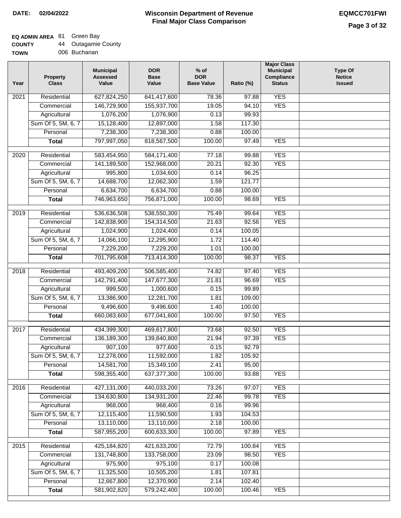### **Wisconsin Department of Revenue Final Major Class Comparison DATE: 02/04/2022 EQMCC701FWI**

٦

# **EQ ADMIN AREA** 81 Green Bay

| <b>COUNTY</b> | 44 | <b>Outagamie County</b> |
|---------------|----|-------------------------|
| <b>TOWN</b>   |    | 006 Buchanan            |

| N | 006 Buchana |
|---|-------------|
|   |             |

| Year | <b>Property</b><br><b>Class</b> | <b>Municipal</b><br><b>Assessed</b><br>Value | <b>DOR</b><br><b>Base</b><br>Value | $%$ of<br><b>DOR</b><br><b>Base Value</b> | Ratio (%) | <b>Major Class</b><br><b>Municipal</b><br>Compliance<br><b>Status</b> | <b>Type Of</b><br><b>Notice</b><br><b>Issued</b> |
|------|---------------------------------|----------------------------------------------|------------------------------------|-------------------------------------------|-----------|-----------------------------------------------------------------------|--------------------------------------------------|
| 2021 | Residential                     | 627,824,250                                  | 641,417,600                        | 78.36                                     | 97.88     | <b>YES</b>                                                            |                                                  |
|      | Commercial                      | 146,729,900                                  | 155,937,700                        | 19.05                                     | 94.10     | <b>YES</b>                                                            |                                                  |
|      | Agricultural                    | 1,076,200                                    | 1,076,900                          | 0.13                                      | 99.93     |                                                                       |                                                  |
|      | Sum Of 5, 5M, 6, 7              | 15,128,400                                   | 12,897,000                         | 1.58                                      | 117.30    |                                                                       |                                                  |
|      | Personal                        | 7,238,300                                    | 7,238,300                          | 0.88                                      | 100.00    |                                                                       |                                                  |
|      | <b>Total</b>                    | 797,997,050                                  | 818,567,500                        | 100.00                                    | 97.49     | <b>YES</b>                                                            |                                                  |
| 2020 | Residential                     | 583,454,950                                  | 584,171,400                        | 77.18                                     | 99.88     | <b>YES</b>                                                            |                                                  |
|      | Commercial                      | 141,189,500                                  | 152,968,000                        | 20.21                                     | 92.30     | <b>YES</b>                                                            |                                                  |
|      | Agricultural                    | 995,800                                      | 1,034,600                          | 0.14                                      | 96.25     |                                                                       |                                                  |
|      | Sum Of 5, 5M, 6, 7              | 14,688,700                                   | 12,062,300                         | 1.59                                      | 121.77    |                                                                       |                                                  |
|      | Personal                        | 6,634,700                                    | 6,634,700                          | 0.88                                      | 100.00    |                                                                       |                                                  |
|      | <b>Total</b>                    | 746,963,650                                  | 756,871,000                        | 100.00                                    | 98.69     | <b>YES</b>                                                            |                                                  |
|      |                                 |                                              |                                    |                                           |           |                                                                       |                                                  |
| 2019 | Residential                     | 536,636,508                                  | 538,550,300                        | 75.49                                     | 99.64     | <b>YES</b>                                                            |                                                  |
|      | Commercial                      | 142,838,900                                  | 154,314,500                        | 21.63                                     | 92.56     | <b>YES</b>                                                            |                                                  |
|      | Agricultural                    | 1,024,900                                    | 1,024,400                          | 0.14                                      | 100.05    |                                                                       |                                                  |
|      | Sum Of 5, 5M, 6, 7              | 14,066,100                                   | 12,295,900                         | 1.72                                      | 114.40    |                                                                       |                                                  |
|      | Personal                        | 7,229,200                                    | 7,229,200                          | 1.01                                      | 100.00    |                                                                       |                                                  |
|      | <b>Total</b>                    | 701,795,608                                  | 713,414,300                        | 100.00                                    | 98.37     | <b>YES</b>                                                            |                                                  |
| 2018 | Residential                     | 493,409,200                                  | 506,585,400                        | 74.82                                     | 97.40     | <b>YES</b>                                                            |                                                  |
|      | Commercial                      | 142,791,400                                  | 147,677,300                        | 21.81                                     | 96.69     | <b>YES</b>                                                            |                                                  |
|      | Agricultural                    | 999,500                                      | 1,000,600                          | 0.15                                      | 99.89     |                                                                       |                                                  |
|      | Sum Of 5, 5M, 6, 7              | 13,386,900                                   | 12,281,700                         | 1.81                                      | 109.00    |                                                                       |                                                  |
|      | Personal                        | 9,496,600                                    | 9,496,600                          | 1.40                                      | 100.00    |                                                                       |                                                  |
|      | <b>Total</b>                    | 660,083,600                                  | 677,041,600                        | 100.00                                    | 97.50     | <b>YES</b>                                                            |                                                  |
| 2017 | Residential                     | 434,399,300                                  | 469,617,800                        | 73.68                                     | 92.50     | <b>YES</b>                                                            |                                                  |
|      | Commercial                      | 136, 189, 300                                | 139,840,800                        | 21.94                                     | 97.39     | <b>YES</b>                                                            |                                                  |
|      | Agricultural                    | 907,100                                      | 977,600                            | 0.15                                      | 92.79     |                                                                       |                                                  |
|      | Sum Of 5, 5M, 6, 7              | 12,278,000                                   | 11,592,000                         | 1.82                                      | 105.92    |                                                                       |                                                  |
|      | Personal                        | 14,581,700                                   | 15,349,100                         | 2.41                                      | 95.00     |                                                                       |                                                  |
|      | <b>Total</b>                    | 598,355,400                                  | 637, 377, 300                      | 100.00                                    | 93.88     | <b>YES</b>                                                            |                                                  |
| 2016 | Residential                     | 427,131,000                                  | 440,033,200                        | 73.26                                     | 97.07     | <b>YES</b>                                                            |                                                  |
|      | Commercial                      | 134,630,800                                  | 134,931,200                        | 22.46                                     | 99.78     | <b>YES</b>                                                            |                                                  |
|      | Agricultural                    | 968,000                                      | 968,400                            | 0.16                                      | 99.96     |                                                                       |                                                  |
|      | Sum Of 5, 5M, 6, 7              | 12,115,400                                   | 11,590,500                         | 1.93                                      | 104.53    |                                                                       |                                                  |
|      | Personal                        | 13,110,000                                   | 13,110,000                         | 2.18                                      | 100.00    |                                                                       |                                                  |
|      | <b>Total</b>                    | 587,955,200                                  | 600,633,300                        | 100.00                                    | 97.89     | <b>YES</b>                                                            |                                                  |
| 2015 | Residential                     | 425,184,820                                  | 421,633,200                        | 72.79                                     | 100.84    | <b>YES</b>                                                            |                                                  |
|      | Commercial                      | 131,748,800                                  | 133,758,000                        | 23.09                                     | 98.50     | <b>YES</b>                                                            |                                                  |
|      | Agricultural                    | 975,900                                      | 975,100                            | 0.17                                      | 100.08    |                                                                       |                                                  |
|      | Sum Of 5, 5M, 6, 7              | 11,325,500                                   | 10,505,200                         | 1.81                                      | 107.81    |                                                                       |                                                  |
|      | Personal                        | 12,667,800                                   | 12,370,900                         | 2.14                                      | 102.40    |                                                                       |                                                  |
|      | <b>Total</b>                    | 581,902,820                                  | 579,242,400                        | 100.00                                    | 100.46    | <b>YES</b>                                                            |                                                  |
|      |                                 |                                              |                                    |                                           |           |                                                                       |                                                  |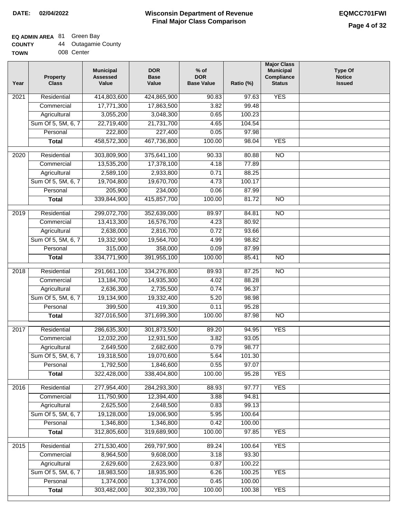### **EQ ADMIN AREA** 81 Green Bay

| <b>COUNTY</b> | <b>Outagamie County</b> |
|---------------|-------------------------|
|---------------|-------------------------|

**TOWN** 008 Center

| Year              | <b>Property</b><br><b>Class</b> | <b>Municipal</b><br><b>Assessed</b><br>Value | <b>DOR</b><br><b>Base</b><br>Value | $%$ of<br><b>DOR</b><br><b>Base Value</b> | Ratio (%) | <b>Major Class</b><br><b>Municipal</b><br>Compliance<br><b>Status</b> | <b>Type Of</b><br><b>Notice</b><br><b>Issued</b> |
|-------------------|---------------------------------|----------------------------------------------|------------------------------------|-------------------------------------------|-----------|-----------------------------------------------------------------------|--------------------------------------------------|
| $\overline{202}1$ | Residential                     | 414,803,600                                  | 424,865,900                        | 90.83                                     | 97.63     | <b>YES</b>                                                            |                                                  |
|                   | Commercial                      | 17,771,300                                   | 17,863,500                         | 3.82                                      | 99.48     |                                                                       |                                                  |
|                   | Agricultural                    | 3,055,200                                    | 3,048,300                          | 0.65                                      | 100.23    |                                                                       |                                                  |
|                   | Sum Of 5, 5M, 6, 7              | 22,719,400                                   | 21,731,700                         | 4.65                                      | 104.54    |                                                                       |                                                  |
|                   | Personal                        | 222,800                                      | 227,400                            | 0.05                                      | 97.98     |                                                                       |                                                  |
|                   | <b>Total</b>                    | 458,572,300                                  | 467,736,800                        | 100.00                                    | 98.04     | <b>YES</b>                                                            |                                                  |
| $\overline{2020}$ | Residential                     | 303,809,900                                  | 375,641,100                        | 90.33                                     | 80.88     | $\overline{10}$                                                       |                                                  |
|                   | Commercial                      | 13,535,200                                   | 17,378,100                         | 4.18                                      | 77.89     |                                                                       |                                                  |
|                   | Agricultural                    | 2,589,100                                    | 2,933,800                          | 0.71                                      | 88.25     |                                                                       |                                                  |
|                   | Sum Of 5, 5M, 6, 7              | 19,704,800                                   | 19,670,700                         | 4.73                                      | 100.17    |                                                                       |                                                  |
|                   | Personal                        | 205,900                                      | 234,000                            | 0.06                                      | 87.99     |                                                                       |                                                  |
|                   | <b>Total</b>                    | 339,844,900                                  | 415,857,700                        | 100.00                                    | 81.72     | $\overline{NO}$                                                       |                                                  |
| 2019              | Residential                     | 299,072,700                                  | 352,639,000                        | 89.97                                     | 84.81     | $\overline{NO}$                                                       |                                                  |
|                   | Commercial                      | 13,413,300                                   | 16,576,700                         | 4.23                                      | 80.92     |                                                                       |                                                  |
|                   | Agricultural                    | 2,638,000                                    | 2,816,700                          | 0.72                                      | 93.66     |                                                                       |                                                  |
|                   | Sum Of 5, 5M, 6, 7              | 19,332,900                                   | 19,564,700                         | 4.99                                      | 98.82     |                                                                       |                                                  |
|                   | Personal                        | 315,000                                      | 358,000                            | 0.09                                      | 87.99     |                                                                       |                                                  |
|                   | <b>Total</b>                    | 334,771,900                                  | 391,955,100                        | 100.00                                    | 85.41     | $\overline{NO}$                                                       |                                                  |
| 2018              | Residential                     | 291,661,100                                  | 334,276,800                        | 89.93                                     | 87.25     | $\overline{10}$                                                       |                                                  |
|                   | Commercial                      | 13,184,700                                   | 14,935,300                         | 4.02                                      | 88.28     |                                                                       |                                                  |
|                   | Agricultural                    | 2,636,300                                    | 2,735,500                          | 0.74                                      | 96.37     |                                                                       |                                                  |
|                   | Sum Of 5, 5M, 6, 7              | 19,134,900                                   | 19,332,400                         | 5.20                                      | 98.98     |                                                                       |                                                  |
|                   | Personal                        | 399,500                                      | 419,300                            | 0.11                                      | 95.28     |                                                                       |                                                  |
|                   | <b>Total</b>                    | 327,016,500                                  | 371,699,300                        | 100.00                                    | 87.98     | $\overline{10}$                                                       |                                                  |
| 2017              | Residential                     | 286,635,300                                  | 301,873,500                        | 89.20                                     | 94.95     | <b>YES</b>                                                            |                                                  |
|                   | Commercial                      | 12,032,200                                   | 12,931,500                         | 3.82                                      | 93.05     |                                                                       |                                                  |
|                   | Agricultural                    | 2,649,500                                    | 2,682,600                          | 0.79                                      | 98.77     |                                                                       |                                                  |
|                   | Sum Of 5, 5M, 6, 7              | 19,318,500                                   | 19,070,600                         | 5.64                                      | 101.30    |                                                                       |                                                  |
|                   | Personal                        | 1,792,500                                    | 1,846,600                          | 0.55                                      | 97.07     |                                                                       |                                                  |
|                   | <b>Total</b>                    | 322,428,000                                  | 338,404,800                        | 100.00                                    | 95.28     | <b>YES</b>                                                            |                                                  |
| 2016              | Residential                     | 277,954,400                                  | 284,293,300                        | 88.93                                     | 97.77     | <b>YES</b>                                                            |                                                  |
|                   | Commercial                      | 11,750,900                                   | 12,394,400                         | 3.88                                      | 94.81     |                                                                       |                                                  |
|                   | Agricultural                    | 2,625,500                                    | 2,648,500                          | 0.83                                      | 99.13     |                                                                       |                                                  |
|                   | Sum Of 5, 5M, 6, 7              | 19,128,000                                   | 19,006,900                         | 5.95                                      | 100.64    |                                                                       |                                                  |
|                   | Personal                        | 1,346,800                                    | 1,346,800                          | 0.42                                      | 100.00    |                                                                       |                                                  |
|                   | <b>Total</b>                    | 312,805,600                                  | 319,689,900                        | 100.00                                    | 97.85     | <b>YES</b>                                                            |                                                  |
| 2015              | Residential                     | 271,530,400                                  | 269,797,900                        | 89.24                                     | 100.64    | <b>YES</b>                                                            |                                                  |
|                   | Commercial                      | 8,964,500                                    | 9,608,000                          | 3.18                                      | 93.30     |                                                                       |                                                  |
|                   | Agricultural                    | 2,629,600                                    | 2,623,900                          | 0.87                                      | 100.22    |                                                                       |                                                  |
|                   | Sum Of 5, 5M, 6, 7              | 18,983,500                                   | 18,935,900                         | 6.26                                      | 100.25    | <b>YES</b>                                                            |                                                  |
|                   |                                 |                                              |                                    |                                           |           |                                                                       |                                                  |
|                   | Personal                        | 1,374,000                                    | 1,374,000                          | 0.45                                      | 100.00    |                                                                       |                                                  |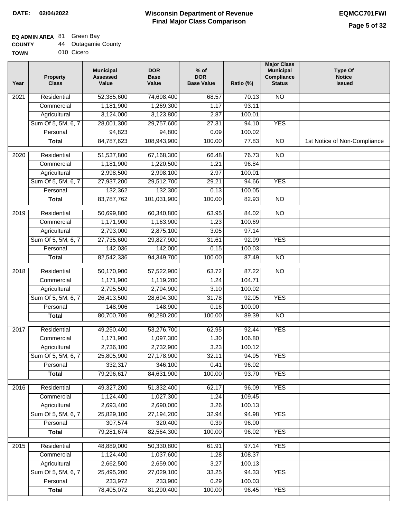### **EQ ADMIN AREA** 81 Green Bay

**TOWN** 010 Cicero

| Year              | <b>Property</b><br><b>Class</b> | <b>Municipal</b><br><b>Assessed</b><br>Value | <b>DOR</b><br><b>Base</b><br>Value | $%$ of<br><b>DOR</b><br><b>Base Value</b> | Ratio (%) | <b>Major Class</b><br><b>Municipal</b><br>Compliance<br><b>Status</b> | <b>Type Of</b><br><b>Notice</b><br><b>Issued</b> |
|-------------------|---------------------------------|----------------------------------------------|------------------------------------|-------------------------------------------|-----------|-----------------------------------------------------------------------|--------------------------------------------------|
| $\overline{202}1$ | Residential                     | 52,385,600                                   | 74,698,400                         | 68.57                                     | 70.13     | <b>NO</b>                                                             |                                                  |
|                   | Commercial                      | 1,181,900                                    | 1,269,300                          | 1.17                                      | 93.11     |                                                                       |                                                  |
|                   | Agricultural                    | 3,124,000                                    | 3,123,800                          | 2.87                                      | 100.01    |                                                                       |                                                  |
|                   | Sum Of 5, 5M, 6, 7              | 28,001,300                                   | 29,757,600                         | 27.31                                     | 94.10     | <b>YES</b>                                                            |                                                  |
|                   | Personal                        | 94,823                                       | 94,800                             | 0.09                                      | 100.02    |                                                                       |                                                  |
|                   | <b>Total</b>                    | 84,787,623                                   | 108,943,900                        | 100.00                                    | 77.83     | $\overline{NO}$                                                       | 1st Notice of Non-Compliance                     |
| $\overline{2020}$ | Residential                     | 51,537,800                                   | 67,168,300                         | 66.48                                     | 76.73     | $\overline{10}$                                                       |                                                  |
|                   | Commercial                      | 1,181,900                                    | 1,220,500                          | 1.21                                      | 96.84     |                                                                       |                                                  |
|                   | Agricultural                    | 2,998,500                                    | 2,998,100                          | 2.97                                      | 100.01    |                                                                       |                                                  |
|                   | Sum Of 5, 5M, 6, 7              | 27,937,200                                   | 29,512,700                         | 29.21                                     | 94.66     | <b>YES</b>                                                            |                                                  |
|                   | Personal                        | 132,362                                      | 132,300                            | 0.13                                      | 100.05    |                                                                       |                                                  |
|                   | <b>Total</b>                    | 83,787,762                                   | 101,031,900                        | 100.00                                    | 82.93     | $\overline{NO}$                                                       |                                                  |
| 2019              | Residential                     | 50,699,800                                   | 60,340,800                         | 63.95                                     | 84.02     | $\overline{10}$                                                       |                                                  |
|                   | Commercial                      | 1,171,900                                    | 1,163,900                          | 1.23                                      | 100.69    |                                                                       |                                                  |
|                   | Agricultural                    | 2,793,000                                    | 2,875,100                          | 3.05                                      | 97.14     |                                                                       |                                                  |
|                   | Sum Of 5, 5M, 6, 7              | 27,735,600                                   | 29,827,900                         | 31.61                                     | 92.99     | <b>YES</b>                                                            |                                                  |
|                   | Personal                        | 142,036                                      | 142,000                            | 0.15                                      | 100.03    |                                                                       |                                                  |
|                   | <b>Total</b>                    | 82,542,336                                   | 94,349,700                         | 100.00                                    | 87.49     | $\overline{NO}$                                                       |                                                  |
| 2018              | Residential                     | 50,170,900                                   | 57,522,900                         | 63.72                                     | 87.22     | $\overline{10}$                                                       |                                                  |
|                   | Commercial                      | 1,171,900                                    | 1,119,200                          | 1.24                                      | 104.71    |                                                                       |                                                  |
|                   | Agricultural                    | 2,795,500                                    | 2,794,900                          | 3.10                                      | 100.02    |                                                                       |                                                  |
|                   | Sum Of 5, 5M, 6, 7              | 26,413,500                                   | 28,694,300                         | 31.78                                     | 92.05     | <b>YES</b>                                                            |                                                  |
|                   | Personal                        | 148,906                                      | 148,900                            | 0.16                                      | 100.00    |                                                                       |                                                  |
|                   | <b>Total</b>                    | 80,700,706                                   | 90,280,200                         | 100.00                                    | 89.39     | <b>NO</b>                                                             |                                                  |
| 2017              | Residential                     | 49,250,400                                   | 53,276,700                         | 62.95                                     | 92.44     | <b>YES</b>                                                            |                                                  |
|                   | Commercial                      | 1,171,900                                    | 1,097,300                          | 1.30                                      | 106.80    |                                                                       |                                                  |
|                   | Agricultural                    | 2,736,100                                    | 2,732,900                          | 3.23                                      | 100.12    |                                                                       |                                                  |
|                   | Sum Of 5, 5M, 6, 7              | 25,805,900                                   | 27,178,900                         | 32.11                                     | 94.95     | <b>YES</b>                                                            |                                                  |
|                   | Personal                        | 332,317                                      | 346,100                            | 0.41                                      | 96.02     |                                                                       |                                                  |
|                   | <b>Total</b>                    | 79,296,617                                   | 84,631,900                         | 100.00                                    | 93.70     | <b>YES</b>                                                            |                                                  |
| 2016              | Residential                     | 49,327,200                                   | 51,332,400                         | 62.17                                     | 96.09     | <b>YES</b>                                                            |                                                  |
|                   | Commercial                      | 1,124,400                                    | 1,027,300                          | 1.24                                      | 109.45    |                                                                       |                                                  |
|                   | Agricultural                    | 2,693,400                                    | 2,690,000                          | 3.26                                      | 100.13    |                                                                       |                                                  |
|                   | Sum Of 5, 5M, 6, 7              | 25,829,100                                   | 27,194,200                         | 32.94                                     | 94.98     | <b>YES</b>                                                            |                                                  |
|                   | Personal                        | 307,574                                      | 320,400                            | 0.39                                      | 96.00     |                                                                       |                                                  |
|                   | <b>Total</b>                    | 79,281,674                                   | 82,564,300                         | 100.00                                    | 96.02     | <b>YES</b>                                                            |                                                  |
| 2015              | Residential                     | 48,889,000                                   | 50,330,800                         | 61.91                                     | 97.14     | <b>YES</b>                                                            |                                                  |
|                   | Commercial                      | 1,124,400                                    | 1,037,600                          | 1.28                                      | 108.37    |                                                                       |                                                  |
|                   | Agricultural                    | 2,662,500                                    | 2,659,000                          | 3.27                                      | 100.13    |                                                                       |                                                  |
|                   | Sum Of 5, 5M, 6, 7              | 25,495,200                                   | 27,029,100                         | 33.25                                     | 94.33     | <b>YES</b>                                                            |                                                  |
|                   | Personal                        | 233,972                                      | 233,900                            | 0.29                                      | 100.03    |                                                                       |                                                  |
|                   | <b>Total</b>                    | 78,405,072                                   | 81,290,400                         | 100.00                                    | 96.45     | <b>YES</b>                                                            |                                                  |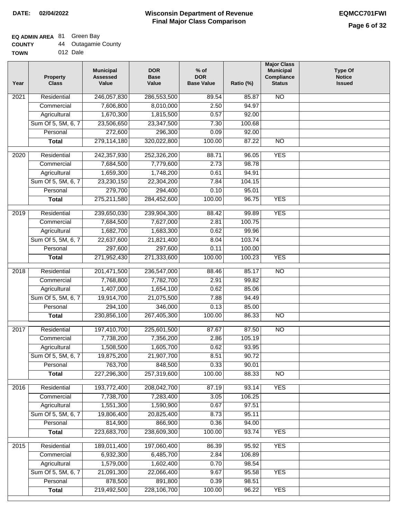### **EQ ADMIN AREA** 81 Green Bay

| <b>COUNTY</b> |  | Outagamie County |  |
|---------------|--|------------------|--|
|---------------|--|------------------|--|

**TOWN** 012 Dale

| Year              | <b>Property</b><br><b>Class</b> | <b>Municipal</b><br><b>Assessed</b><br>Value | <b>DOR</b><br><b>Base</b><br>Value | $%$ of<br><b>DOR</b><br><b>Base Value</b> | Ratio (%) | <b>Major Class</b><br><b>Municipal</b><br>Compliance<br><b>Status</b> | <b>Type Of</b><br><b>Notice</b><br><b>Issued</b> |
|-------------------|---------------------------------|----------------------------------------------|------------------------------------|-------------------------------------------|-----------|-----------------------------------------------------------------------|--------------------------------------------------|
| $\overline{202}1$ | Residential                     | 246,057,830                                  | 286,553,500                        | 89.54                                     | 85.87     | N <sub>O</sub>                                                        |                                                  |
|                   | Commercial                      | 7,606,800                                    | 8,010,000                          | 2.50                                      | 94.97     |                                                                       |                                                  |
|                   | Agricultural                    | 1,670,300                                    | 1,815,500                          | 0.57                                      | 92.00     |                                                                       |                                                  |
|                   | Sum Of 5, 5M, 6, 7              | 23,506,650                                   | 23,347,500                         | 7.30                                      | 100.68    |                                                                       |                                                  |
|                   | Personal                        | 272,600                                      | 296,300                            | 0.09                                      | 92.00     |                                                                       |                                                  |
|                   | <b>Total</b>                    | 279,114,180                                  | 320,022,800                        | 100.00                                    | 87.22     | <b>NO</b>                                                             |                                                  |
| 2020              | Residential                     | 242,357,930                                  | 252,326,200                        | 88.71                                     | 96.05     | <b>YES</b>                                                            |                                                  |
|                   | Commercial                      | 7,684,500                                    | 7,779,600                          | 2.73                                      | 98.78     |                                                                       |                                                  |
|                   | Agricultural                    | 1,659,300                                    | 1,748,200                          | 0.61                                      | 94.91     |                                                                       |                                                  |
|                   | Sum Of 5, 5M, 6, 7              | 23,230,150                                   | 22,304,200                         | 7.84                                      | 104.15    |                                                                       |                                                  |
|                   | Personal                        | 279,700                                      | 294,400                            | 0.10                                      | 95.01     |                                                                       |                                                  |
|                   | <b>Total</b>                    | 275,211,580                                  | 284,452,600                        | 100.00                                    | 96.75     | <b>YES</b>                                                            |                                                  |
|                   |                                 |                                              |                                    |                                           |           |                                                                       |                                                  |
| 2019              | Residential                     | 239,650,030                                  | 239,904,300                        | 88.42                                     | 99.89     | <b>YES</b>                                                            |                                                  |
|                   | Commercial                      | 7,684,500                                    | 7,627,000                          | 2.81                                      | 100.75    |                                                                       |                                                  |
|                   | Agricultural                    | 1,682,700                                    | 1,683,300                          | 0.62                                      | 99.96     |                                                                       |                                                  |
|                   | Sum Of 5, 5M, 6, 7              | 22,637,600                                   | 21,821,400                         | 8.04                                      | 103.74    |                                                                       |                                                  |
|                   | Personal                        | 297,600                                      | 297,600                            | 0.11                                      | 100.00    |                                                                       |                                                  |
|                   | <b>Total</b>                    | 271,952,430                                  | 271,333,600                        | 100.00                                    | 100.23    | <b>YES</b>                                                            |                                                  |
| 2018              | Residential                     | 201,471,500                                  | 236,547,000                        | 88.46                                     | 85.17     | $\overline{10}$                                                       |                                                  |
|                   | Commercial                      | 7,768,800                                    | 7,782,700                          | 2.91                                      | 99.82     |                                                                       |                                                  |
|                   | Agricultural                    | 1,407,000                                    | 1,654,100                          | 0.62                                      | 85.06     |                                                                       |                                                  |
|                   | Sum Of 5, 5M, 6, 7              | 19,914,700                                   | 21,075,500                         | 7.88                                      | 94.49     |                                                                       |                                                  |
|                   | Personal                        | 294,100                                      | 346,000                            | 0.13                                      | 85.00     |                                                                       |                                                  |
|                   | <b>Total</b>                    | 230,856,100                                  | 267,405,300                        | 100.00                                    | 86.33     | <b>NO</b>                                                             |                                                  |
| $\overline{20}17$ | Residential                     | 197,410,700                                  | 225,601,500                        | 87.67                                     | 87.50     | $\overline{NO}$                                                       |                                                  |
|                   | Commercial                      | 7,738,200                                    | 7,356,200                          | 2.86                                      | 105.19    |                                                                       |                                                  |
|                   | Agricultural                    | 1,508,500                                    | 1,605,700                          | 0.62                                      | 93.95     |                                                                       |                                                  |
|                   | Sum Of 5, 5M, 6, 7              | 19,875,200                                   | 21,907,700                         | 8.51                                      | 90.72     |                                                                       |                                                  |
|                   | Personal                        | 763,700                                      | 848,500                            | 0.33                                      | 90.01     |                                                                       |                                                  |
|                   | <b>Total</b>                    | 227,296,300                                  | 257,319,600                        | 100.00                                    | 88.33     | <b>NO</b>                                                             |                                                  |
| 2016              | Residential                     | 193,772,400                                  | 208,042,700                        | 87.19                                     | 93.14     | <b>YES</b>                                                            |                                                  |
|                   | Commercial                      | 7,738,700                                    | 7,283,400                          | 3.05                                      | 106.25    |                                                                       |                                                  |
|                   | Agricultural                    | 1,551,300                                    | 1,590,900                          | 0.67                                      | 97.51     |                                                                       |                                                  |
|                   | Sum Of 5, 5M, 6, 7              | 19,806,400                                   | 20,825,400                         | 8.73                                      | 95.11     |                                                                       |                                                  |
|                   | Personal                        | 814,900                                      | 866,900                            | 0.36                                      | 94.00     |                                                                       |                                                  |
|                   | <b>Total</b>                    | 223,683,700                                  | 238,609,300                        | 100.00                                    | 93.74     | <b>YES</b>                                                            |                                                  |
|                   |                                 |                                              |                                    |                                           |           |                                                                       |                                                  |
| 2015              | Residential                     | 189,011,400                                  | 197,060,400                        | 86.39                                     | 95.92     | <b>YES</b>                                                            |                                                  |
|                   | Commercial                      | 6,932,300                                    | 6,485,700                          | 2.84                                      | 106.89    |                                                                       |                                                  |
|                   | Agricultural                    | 1,579,000                                    | 1,602,400                          | 0.70                                      | 98.54     |                                                                       |                                                  |
|                   | Sum Of 5, 5M, 6, 7              | 21,091,300                                   | 22,066,400                         | 9.67                                      | 95.58     | <b>YES</b>                                                            |                                                  |
|                   | Personal                        | 878,500                                      | 891,800                            | 0.39                                      | 98.51     |                                                                       |                                                  |
|                   | <b>Total</b>                    | 219,492,500                                  | 228,106,700                        | 100.00                                    | 96.22     | <b>YES</b>                                                            |                                                  |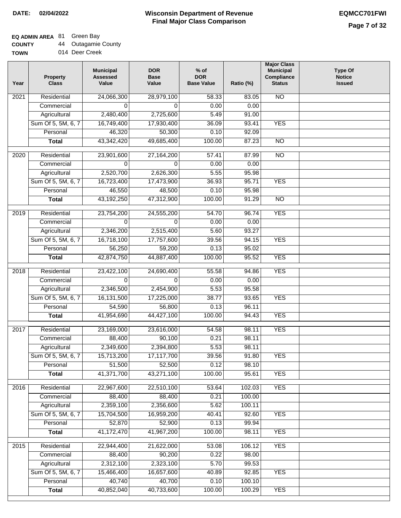### **Wisconsin Department of Revenue Final Major Class Comparison DATE: 02/04/2022 EQMCC701FWI**

٦

### **EQ ADMIN AREA** 81 Green Bay

**COUNTY** 44 Outagamie County

| Year | <b>Property</b><br><b>Class</b> | <b>Municipal</b><br><b>Assessed</b><br>Value | <b>DOR</b><br><b>Base</b><br>Value | $%$ of<br><b>DOR</b><br><b>Base Value</b> | Ratio (%) | <b>Major Class</b><br><b>Municipal</b><br>Compliance<br><b>Status</b> | <b>Type Of</b><br><b>Notice</b><br><b>Issued</b> |
|------|---------------------------------|----------------------------------------------|------------------------------------|-------------------------------------------|-----------|-----------------------------------------------------------------------|--------------------------------------------------|
| 2021 | Residential                     | 24,066,300                                   | 28,979,100                         | 58.33                                     | 83.05     | <b>NO</b>                                                             |                                                  |
|      | Commercial                      | $\Omega$                                     | $\Omega$                           | 0.00                                      | 0.00      |                                                                       |                                                  |
|      | Agricultural                    | 2,480,400                                    | 2,725,600                          | 5.49                                      | 91.00     |                                                                       |                                                  |
|      | Sum Of 5, 5M, 6, 7              | 16,749,400                                   | 17,930,400                         | 36.09                                     | 93.41     | <b>YES</b>                                                            |                                                  |
|      | Personal                        | 46,320                                       | 50,300                             | 0.10                                      | 92.09     |                                                                       |                                                  |
|      | <b>Total</b>                    | 43,342,420                                   | 49,685,400                         | 100.00                                    | 87.23     | $\overline{NO}$                                                       |                                                  |
| 2020 | Residential                     | 23,901,600                                   | 27,164,200                         | 57.41                                     | 87.99     | $\overline{NO}$                                                       |                                                  |
|      | Commercial                      | $\Omega$                                     | $\Omega$                           | 0.00                                      | 0.00      |                                                                       |                                                  |
|      | Agricultural                    | 2,520,700                                    | 2,626,300                          | 5.55                                      | 95.98     |                                                                       |                                                  |
|      | Sum Of 5, 5M, 6, 7              | 16,723,400                                   | 17,473,900                         | 36.93                                     | 95.71     | <b>YES</b>                                                            |                                                  |
|      | Personal                        | 46,550                                       | 48,500                             | 0.10                                      | 95.98     |                                                                       |                                                  |
|      | <b>Total</b>                    | 43,192,250                                   | 47,312,900                         | 100.00                                    | 91.29     | <b>NO</b>                                                             |                                                  |
|      |                                 |                                              |                                    |                                           |           |                                                                       |                                                  |
| 2019 | Residential                     | 23,754,200                                   | 24,555,200                         | 54.70                                     | 96.74     | <b>YES</b>                                                            |                                                  |
|      | Commercial                      | 0                                            | $\Omega$                           | 0.00                                      | 0.00      |                                                                       |                                                  |
|      | Agricultural                    | 2,346,200                                    | 2,515,400                          | 5.60                                      | 93.27     |                                                                       |                                                  |
|      | Sum Of 5, 5M, 6, 7              | 16,718,100                                   | 17,757,600                         | 39.56                                     | 94.15     | <b>YES</b>                                                            |                                                  |
|      | Personal                        | 56,250                                       | 59,200                             | 0.13                                      | 95.02     |                                                                       |                                                  |
|      | <b>Total</b>                    | 42,874,750                                   | 44,887,400                         | 100.00                                    | 95.52     | <b>YES</b>                                                            |                                                  |
| 2018 | Residential                     | 23,422,100                                   | 24,690,400                         | 55.58                                     | 94.86     | <b>YES</b>                                                            |                                                  |
|      | Commercial                      | 0                                            | $\Omega$                           | 0.00                                      | 0.00      |                                                                       |                                                  |
|      | Agricultural                    | 2,346,500                                    | 2,454,900                          | 5.53                                      | 95.58     |                                                                       |                                                  |
|      | Sum Of 5, 5M, 6, 7              | 16,131,500                                   | 17,225,000                         | 38.77                                     | 93.65     | <b>YES</b>                                                            |                                                  |
|      | Personal                        | 54,590                                       | 56,800                             | 0.13                                      | 96.11     |                                                                       |                                                  |
|      | <b>Total</b>                    | 41,954,690                                   | 44,427,100                         | 100.00                                    | 94.43     | <b>YES</b>                                                            |                                                  |
| 2017 | Residential                     | 23,169,000                                   | 23,616,000                         | 54.58                                     | 98.11     | <b>YES</b>                                                            |                                                  |
|      | Commercial                      | 88,400                                       | 90,100                             | 0.21                                      | 98.11     |                                                                       |                                                  |
|      | Agricultural                    | 2,349,600                                    | 2,394,800                          | 5.53                                      | 98.11     |                                                                       |                                                  |
|      | Sum Of 5, 5M, 6, 7              | 15,713,200                                   | 17,117,700                         | 39.56                                     | 91.80     | <b>YES</b>                                                            |                                                  |
|      | Personal                        | 51,500                                       | 52,500                             | 0.12                                      | 98.10     |                                                                       |                                                  |
|      | <b>Total</b>                    | 41,371,700                                   | 43,271,100                         | 100.00                                    | 95.61     | <b>YES</b>                                                            |                                                  |
|      |                                 |                                              |                                    |                                           |           |                                                                       |                                                  |
| 2016 | Residential                     | 22,967,600                                   | 22,510,100                         | 53.64                                     | 102.03    | <b>YES</b>                                                            |                                                  |
|      | Commercial                      | 88,400                                       | 88,400                             | 0.21                                      | 100.00    |                                                                       |                                                  |
|      | Agricultural                    | 2,359,100                                    | 2,356,600                          | 5.62                                      | 100.11    |                                                                       |                                                  |
|      | Sum Of 5, 5M, 6, 7              | 15,704,500                                   | 16,959,200                         | 40.41                                     | 92.60     | <b>YES</b>                                                            |                                                  |
|      | Personal                        | 52,870                                       | 52,900                             | 0.13                                      | 99.94     |                                                                       |                                                  |
|      | <b>Total</b>                    | 41,172,470                                   | 41,967,200                         | 100.00                                    | 98.11     | <b>YES</b>                                                            |                                                  |
| 2015 | Residential                     | 22,944,400                                   | 21,622,000                         | 53.08                                     | 106.12    | <b>YES</b>                                                            |                                                  |
|      | Commercial                      | 88,400                                       | 90,200                             | 0.22                                      | 98.00     |                                                                       |                                                  |
|      | Agricultural                    | 2,312,100                                    | 2,323,100                          | 5.70                                      | 99.53     |                                                                       |                                                  |
|      | Sum Of 5, 5M, 6, 7              | 15,466,400                                   | 16,657,600                         | 40.89                                     | 92.85     | <b>YES</b>                                                            |                                                  |
|      | Personal                        | 40,740                                       | 40,700                             | 0.10                                      | 100.10    |                                                                       |                                                  |
|      | <b>Total</b>                    | 40,852,040                                   | 40,733,600                         | 100.00                                    | 100.29    | <b>YES</b>                                                            |                                                  |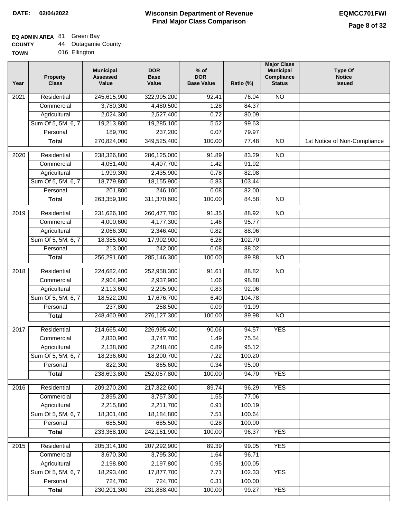### **EQ ADMIN AREA** 81 Green Bay

| <b>COUNTY</b> |  | <b>Outagamie County</b> |  |
|---------------|--|-------------------------|--|
|---------------|--|-------------------------|--|

**TOWN** 016 Ellington

| Year              | <b>Property</b><br><b>Class</b> | <b>Municipal</b><br><b>Assessed</b><br>Value | <b>DOR</b><br><b>Base</b><br>Value | $%$ of<br><b>DOR</b><br><b>Base Value</b> | Ratio (%) | <b>Major Class</b><br><b>Municipal</b><br>Compliance<br><b>Status</b> | <b>Type Of</b><br><b>Notice</b><br><b>Issued</b> |
|-------------------|---------------------------------|----------------------------------------------|------------------------------------|-------------------------------------------|-----------|-----------------------------------------------------------------------|--------------------------------------------------|
| $\overline{202}1$ | Residential                     | 245,615,900                                  | 322,995,200                        | 92.41                                     | 76.04     | <b>NO</b>                                                             |                                                  |
|                   | Commercial                      | 3,780,300                                    | 4,480,500                          | 1.28                                      | 84.37     |                                                                       |                                                  |
|                   | Agricultural                    | 2,024,300                                    | 2,527,400                          | 0.72                                      | 80.09     |                                                                       |                                                  |
|                   | Sum Of 5, 5M, 6, 7              | 19,213,800                                   | 19,285,100                         | 5.52                                      | 99.63     |                                                                       |                                                  |
|                   | Personal                        | 189,700                                      | 237,200                            | 0.07                                      | 79.97     |                                                                       |                                                  |
|                   | <b>Total</b>                    | 270,824,000                                  | 349,525,400                        | 100.00                                    | 77.48     | $\overline{NO}$                                                       | 1st Notice of Non-Compliance                     |
| $\overline{2020}$ | Residential                     | 238,326,800                                  | 286,125,000                        | 91.89                                     | 83.29     | $\overline{10}$                                                       |                                                  |
|                   | Commercial                      | 4,051,400                                    | 4,407,700                          | 1.42                                      | 91.92     |                                                                       |                                                  |
|                   | Agricultural                    | 1,999,300                                    | 2,435,900                          | 0.78                                      | 82.08     |                                                                       |                                                  |
|                   | Sum Of 5, 5M, 6, 7              | 18,779,800                                   | 18,155,900                         | 5.83                                      | 103.44    |                                                                       |                                                  |
|                   | Personal                        | 201,800                                      | 246,100                            | 0.08                                      | 82.00     |                                                                       |                                                  |
|                   | <b>Total</b>                    | 263,359,100                                  | 311,370,600                        | 100.00                                    | 84.58     | $\overline{NO}$                                                       |                                                  |
| 2019              | Residential                     | 231,626,100                                  | 260,477,700                        | 91.35                                     | 88.92     | $\overline{10}$                                                       |                                                  |
|                   | Commercial                      | 4,000,600                                    | 4,177,300                          | 1.46                                      | 95.77     |                                                                       |                                                  |
|                   | Agricultural                    | 2,066,300                                    | 2,346,400                          | 0.82                                      | 88.06     |                                                                       |                                                  |
|                   | Sum Of 5, 5M, 6, 7              | 18,385,600                                   | 17,902,900                         | 6.28                                      | 102.70    |                                                                       |                                                  |
|                   | Personal                        | 213,000                                      | 242,000                            | 0.08                                      | 88.02     |                                                                       |                                                  |
|                   | <b>Total</b>                    | 256,291,600                                  | 285,146,300                        | 100.00                                    | 89.88     | $\overline{NO}$                                                       |                                                  |
| 2018              | Residential                     | 224,682,400                                  | 252,958,300                        | 91.61                                     | 88.82     | $\overline{10}$                                                       |                                                  |
|                   | Commercial                      | 2,904,900                                    | 2,937,900                          | 1.06                                      | 98.88     |                                                                       |                                                  |
|                   | Agricultural                    | 2,113,600                                    | 2,295,900                          | 0.83                                      | 92.06     |                                                                       |                                                  |
|                   | Sum Of 5, 5M, 6, 7              | 18,522,200                                   | 17,676,700                         | 6.40                                      | 104.78    |                                                                       |                                                  |
|                   | Personal                        | 237,800                                      | 258,500                            | 0.09                                      | 91.99     |                                                                       |                                                  |
|                   | <b>Total</b>                    | 248,460,900                                  | 276, 127, 300                      | 100.00                                    | 89.98     | <b>NO</b>                                                             |                                                  |
| 2017              | Residential                     | 214,665,400                                  | 226,995,400                        | 90.06                                     | 94.57     | <b>YES</b>                                                            |                                                  |
|                   | Commercial                      | 2,830,900                                    | 3,747,700                          | 1.49                                      | 75.54     |                                                                       |                                                  |
|                   | Agricultural                    | 2,138,600                                    | 2,248,400                          | 0.89                                      | 95.12     |                                                                       |                                                  |
|                   | Sum Of 5, 5M, 6, 7              | 18,236,600                                   | 18,200,700                         | 7.22                                      | 100.20    |                                                                       |                                                  |
|                   | Personal                        | 822,300                                      | 865,600                            | 0.34                                      | 95.00     |                                                                       |                                                  |
|                   | <b>Total</b>                    | 238,693,800                                  | 252,057,800                        | 100.00                                    | 94.70     | <b>YES</b>                                                            |                                                  |
| 2016              | Residential                     | 209,270,200                                  | 217,322,600                        | 89.74                                     | 96.29     | <b>YES</b>                                                            |                                                  |
|                   | Commercial                      | 2,895,200                                    | 3,757,300                          | 1.55                                      | 77.06     |                                                                       |                                                  |
|                   | Agricultural                    | 2,215,800                                    | 2,211,700                          | 0.91                                      | 100.19    |                                                                       |                                                  |
|                   | Sum Of 5, 5M, 6, 7              | 18,301,400                                   | 18,184,800                         | 7.51                                      | 100.64    |                                                                       |                                                  |
|                   | Personal                        | 685,500                                      | 685,500                            | 0.28                                      | 100.00    |                                                                       |                                                  |
|                   | <b>Total</b>                    | 233,368,100                                  | 242, 161, 900                      | 100.00                                    | 96.37     | <b>YES</b>                                                            |                                                  |
| 2015              | Residential                     | 205,314,100                                  | 207,292,900                        | 89.39                                     | 99.05     | <b>YES</b>                                                            |                                                  |
|                   | Commercial                      | 3,670,300                                    | 3,795,300                          | 1.64                                      | 96.71     |                                                                       |                                                  |
|                   | Agricultural                    | 2,198,800                                    | 2,197,800                          | 0.95                                      | 100.05    |                                                                       |                                                  |
|                   | Sum Of 5, 5M, 6, 7              | 18,293,400                                   | 17,877,700                         | 7.71                                      | 102.33    | <b>YES</b>                                                            |                                                  |
|                   | Personal                        | 724,700                                      | 724,700                            | 0.31                                      | 100.00    |                                                                       |                                                  |
|                   | <b>Total</b>                    | 230, 201, 300                                | 231,888,400                        | 100.00                                    | 99.27     | <b>YES</b>                                                            |                                                  |
|                   |                                 |                                              |                                    |                                           |           |                                                                       |                                                  |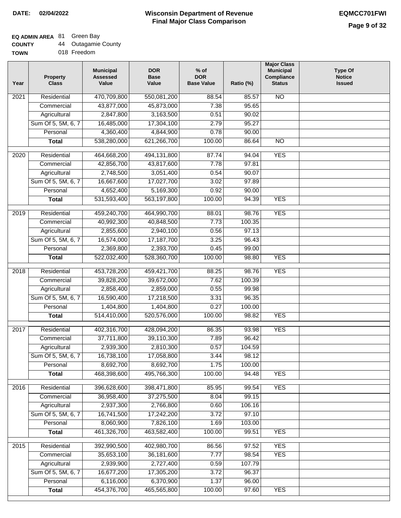## **EQ ADMIN AREA** 81 Green Bay

| <b>COUNTY</b> | Outagamie County |
|---------------|------------------|
|---------------|------------------|

**TOWN** 018 Freedom

| Year              | <b>Property</b><br><b>Class</b> | <b>Municipal</b><br><b>Assessed</b><br>Value | <b>DOR</b><br><b>Base</b><br>Value | $%$ of<br><b>DOR</b><br><b>Base Value</b> | Ratio (%) | <b>Major Class</b><br><b>Municipal</b><br>Compliance<br><b>Status</b> | <b>Type Of</b><br><b>Notice</b><br><b>Issued</b> |
|-------------------|---------------------------------|----------------------------------------------|------------------------------------|-------------------------------------------|-----------|-----------------------------------------------------------------------|--------------------------------------------------|
| $\overline{202}1$ | Residential                     | 470,709,800                                  | 550,081,200                        | 88.54                                     | 85.57     | $\overline{NO}$                                                       |                                                  |
|                   | Commercial                      | 43,877,000                                   | 45,873,000                         | 7.38                                      | 95.65     |                                                                       |                                                  |
|                   | Agricultural                    | 2,847,800                                    | 3,163,500                          | 0.51                                      | 90.02     |                                                                       |                                                  |
|                   | Sum Of 5, 5M, 6, 7              | 16,485,000                                   | 17,304,100                         | 2.79                                      | 95.27     |                                                                       |                                                  |
|                   | Personal                        | 4,360,400                                    | 4,844,900                          | 0.78                                      | 90.00     |                                                                       |                                                  |
|                   | <b>Total</b>                    | 538,280,000                                  | 621,266,700                        | 100.00                                    | 86.64     | <b>NO</b>                                                             |                                                  |
| 2020              | Residential                     | 464,668,200                                  | 494,131,800                        | 87.74                                     | 94.04     | <b>YES</b>                                                            |                                                  |
|                   | Commercial                      | 42,856,700                                   | 43,817,600                         | 7.78                                      | 97.81     |                                                                       |                                                  |
|                   | Agricultural                    | 2,748,500                                    | 3,051,400                          | 0.54                                      | 90.07     |                                                                       |                                                  |
|                   | Sum Of 5, 5M, 6, 7              | 16,667,600                                   | 17,027,700                         | 3.02                                      | 97.89     |                                                                       |                                                  |
|                   | Personal                        | 4,652,400                                    | 5,169,300                          | 0.92                                      | 90.00     |                                                                       |                                                  |
|                   | <b>Total</b>                    | 531,593,400                                  | 563,197,800                        | 100.00                                    | 94.39     | <b>YES</b>                                                            |                                                  |
| 2019              | Residential                     | 459,240,700                                  | 464,990,700                        | 88.01                                     | 98.76     | <b>YES</b>                                                            |                                                  |
|                   | Commercial                      | 40,992,300                                   | 40,848,500                         | 7.73                                      | 100.35    |                                                                       |                                                  |
|                   | Agricultural                    | 2,855,600                                    | 2,940,100                          | 0.56                                      | 97.13     |                                                                       |                                                  |
|                   | Sum Of 5, 5M, 6, 7              | 16,574,000                                   | 17,187,700                         | 3.25                                      | 96.43     |                                                                       |                                                  |
|                   | Personal                        | 2,369,800                                    | 2,393,700                          | 0.45                                      | 99.00     |                                                                       |                                                  |
|                   | <b>Total</b>                    | 522,032,400                                  | 528,360,700                        | 100.00                                    | 98.80     | <b>YES</b>                                                            |                                                  |
| 2018              | Residential                     | 453,728,200                                  | 459,421,700                        | 88.25                                     | 98.76     | <b>YES</b>                                                            |                                                  |
|                   | Commercial                      | 39,828,200                                   | 39,672,000                         | 7.62                                      | 100.39    |                                                                       |                                                  |
|                   | Agricultural                    | 2,858,400                                    | 2,859,000                          | 0.55                                      | 99.98     |                                                                       |                                                  |
|                   | Sum Of 5, 5M, 6, 7              | 16,590,400                                   | 17,218,500                         | 3.31                                      | 96.35     |                                                                       |                                                  |
|                   | Personal                        | 1,404,800                                    | 1,404,800                          | 0.27                                      | 100.00    |                                                                       |                                                  |
|                   | <b>Total</b>                    | 514,410,000                                  | 520,576,000                        | 100.00                                    | 98.82     | <b>YES</b>                                                            |                                                  |
| $\overline{2017}$ | Residential                     | 402,316,700                                  | 428,094,200                        | 86.35                                     | 93.98     | <b>YES</b>                                                            |                                                  |
|                   | Commercial                      | 37,711,800                                   | 39,110,300                         | 7.89                                      | 96.42     |                                                                       |                                                  |
|                   | Agricultural                    | 2,939,300                                    | 2,810,300                          | 0.57                                      | 104.59    |                                                                       |                                                  |
|                   | Sum Of 5, 5M, 6, 7              | 16,738,100                                   | 17,058,800                         | 3.44                                      | 98.12     |                                                                       |                                                  |
|                   | Personal                        | 8,692,700                                    | 8,692,700                          | 1.75                                      | 100.00    |                                                                       |                                                  |
|                   | <b>Total</b>                    | 468,398,600                                  | 495,766,300                        | 100.00                                    | 94.48     | <b>YES</b>                                                            |                                                  |
| 2016              | Residential                     | 396,628,600                                  | 398,471,800                        | 85.95                                     | 99.54     | <b>YES</b>                                                            |                                                  |
|                   | Commercial                      | 36,958,400                                   | 37,275,500                         | 8.04                                      | 99.15     |                                                                       |                                                  |
|                   | Agricultural                    | 2,937,300                                    | 2,766,800                          | 0.60                                      | 106.16    |                                                                       |                                                  |
|                   | Sum Of 5, 5M, 6, 7              | 16,741,500                                   | 17,242,200                         | 3.72                                      | 97.10     |                                                                       |                                                  |
|                   | Personal                        | 8,060,900                                    | 7,826,100                          | 1.69                                      | 103.00    |                                                                       |                                                  |
|                   | <b>Total</b>                    | 461,326,700                                  | 463,582,400                        | 100.00                                    | 99.51     | <b>YES</b>                                                            |                                                  |
| 2015              | Residential                     | 392,990,500                                  | 402,980,700                        | 86.56                                     | 97.52     | <b>YES</b>                                                            |                                                  |
|                   | Commercial                      | 35,653,100                                   | 36, 181, 600                       | 7.77                                      | 98.54     | <b>YES</b>                                                            |                                                  |
|                   | Agricultural                    | 2,939,900                                    | 2,727,400                          | 0.59                                      | 107.79    |                                                                       |                                                  |
|                   | Sum Of 5, 5M, 6, 7              | 16,677,200                                   | 17,305,200                         | 3.72                                      | 96.37     |                                                                       |                                                  |
|                   | Personal                        | 6,116,000                                    | 6,370,900                          | 1.37                                      | 96.00     |                                                                       |                                                  |
|                   | <b>Total</b>                    | 454,376,700                                  | 465,565,800                        | 100.00                                    | 97.60     | <b>YES</b>                                                            |                                                  |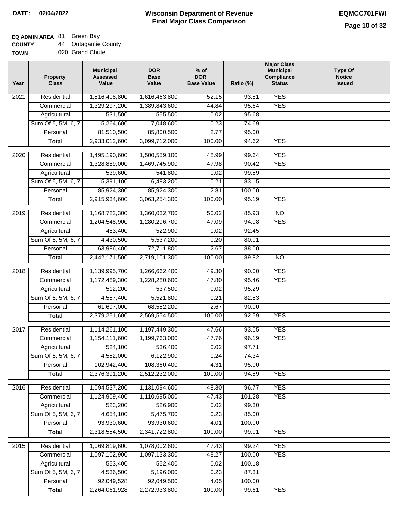٦

## **EQ ADMIN AREA** 81 Green Bay

| <b>COUNTY</b> | <b>Outagamie County</b> |
|---------------|-------------------------|
| <b>TOWN</b>   | 020 Grand Chute         |

|  | 020 Grand Chute |  |
|--|-----------------|--|
|  |                 |  |

| Year             | <b>Property</b><br><b>Class</b> | <b>Municipal</b><br><b>Assessed</b><br>Value | <b>DOR</b><br><b>Base</b><br>Value | $%$ of<br><b>DOR</b><br><b>Base Value</b> | Ratio (%) | <b>Major Class</b><br><b>Municipal</b><br>Compliance<br><b>Status</b> | <b>Type Of</b><br><b>Notice</b><br><b>Issued</b> |
|------------------|---------------------------------|----------------------------------------------|------------------------------------|-------------------------------------------|-----------|-----------------------------------------------------------------------|--------------------------------------------------|
| 2021             | Residential                     | 1,516,408,800                                | 1,616,463,800                      | 52.15                                     | 93.81     | <b>YES</b>                                                            |                                                  |
|                  | Commercial                      | 1,329,297,200                                | 1,389,843,600                      | 44.84                                     | 95.64     | <b>YES</b>                                                            |                                                  |
|                  | Agricultural                    | 531,500                                      | 555,500                            | 0.02                                      | 95.68     |                                                                       |                                                  |
|                  | Sum Of 5, 5M, 6, 7              | 5,264,600                                    | 7,048,600                          | 0.23                                      | 74.69     |                                                                       |                                                  |
|                  | Personal                        | 81,510,500                                   | 85,800,500                         | 2.77                                      | 95.00     |                                                                       |                                                  |
|                  | <b>Total</b>                    | 2,933,012,600                                | 3,099,712,000                      | 100.00                                    | 94.62     | <b>YES</b>                                                            |                                                  |
| $\frac{1}{2020}$ | Residential                     | 1,495,190,600                                | 1,500,559,100                      | 48.99                                     | 99.64     | <b>YES</b>                                                            |                                                  |
|                  | Commercial                      | 1,328,889,000                                | 1,469,745,900                      | 47.98                                     | 90.42     | <b>YES</b>                                                            |                                                  |
|                  | Agricultural                    | 539,600                                      | 541,800                            | 0.02                                      | 99.59     |                                                                       |                                                  |
|                  | Sum Of 5, 5M, 6, 7              | 5,391,100                                    | 6,483,200                          | 0.21                                      | 83.15     |                                                                       |                                                  |
|                  | Personal                        | 85,924,300                                   | 85,924,300                         | 2.81                                      | 100.00    |                                                                       |                                                  |
|                  | <b>Total</b>                    | 2,915,934,600                                | 3,063,254,300                      | 100.00                                    | 95.19     | <b>YES</b>                                                            |                                                  |
|                  |                                 |                                              |                                    |                                           |           |                                                                       |                                                  |
| $\frac{1}{2019}$ | Residential                     | 1,168,722,300                                | 1,360,032,700                      | 50.02                                     | 85.93     | $\overline{NO}$                                                       |                                                  |
|                  | Commercial                      | 1,204,548,900                                | 1,280,296,700                      | 47.09                                     | 94.08     | <b>YES</b>                                                            |                                                  |
|                  | Agricultural                    | 483,400                                      | 522,900                            | 0.02                                      | 92.45     |                                                                       |                                                  |
|                  | Sum Of 5, 5M, 6, 7              | 4,430,500                                    | 5,537,200                          | 0.20                                      | 80.01     |                                                                       |                                                  |
|                  | Personal                        | 63,986,400                                   | 72,711,800                         | 2.67                                      | 88.00     |                                                                       |                                                  |
|                  | <b>Total</b>                    | 2,442,171,500                                | 2,719,101,300                      | 100.00                                    | 89.82     | $\overline{NO}$                                                       |                                                  |
| 2018             | Residential                     | 1,139,995,700                                | 1,266,662,400                      | 49.30                                     | 90.00     | <b>YES</b>                                                            |                                                  |
|                  | Commercial                      | 1,172,489,300                                | 1,228,280,600                      | 47.80                                     | 95.46     | <b>YES</b>                                                            |                                                  |
|                  | Agricultural                    | 512,200                                      | 537,500                            | 0.02                                      | 95.29     |                                                                       |                                                  |
|                  | Sum Of 5, 5M, 6, 7              | 4,557,400                                    | 5,521,800                          | 0.21                                      | 82.53     |                                                                       |                                                  |
|                  | Personal                        | 61,697,000                                   | 68,552,200                         | 2.67                                      | 90.00     |                                                                       |                                                  |
|                  | <b>Total</b>                    | 2,379,251,600                                | 2,569,554,500                      | 100.00                                    | 92.59     | <b>YES</b>                                                            |                                                  |
| 2017             | Residential                     | 1,114,261,100                                | 1,197,449,300                      | 47.66                                     | 93.05     | <b>YES</b>                                                            |                                                  |
|                  | Commercial                      | 1,154,111,600                                | 1,199,763,000                      | 47.76                                     | 96.19     | <b>YES</b>                                                            |                                                  |
|                  | Agricultural                    | 524,100                                      | 536,400                            | 0.02                                      | 97.71     |                                                                       |                                                  |
|                  | Sum Of 5, 5M, 6, 7              | 4,552,000                                    | 6,122,900                          | 0.24                                      | 74.34     |                                                                       |                                                  |
|                  | Personal                        | 102,942,400                                  | 108,360,400                        | 4.31                                      | 95.00     |                                                                       |                                                  |
|                  | <b>Total</b>                    | 2,376,391,200                                | 2,512,232,000                      | 100.00                                    | 94.59     | <b>YES</b>                                                            |                                                  |
|                  |                                 |                                              |                                    |                                           |           |                                                                       |                                                  |
| 2016             | Residential                     | 1,094,537,200                                | 1,131,094,600                      | 48.30                                     | 96.77     | <b>YES</b>                                                            |                                                  |
|                  | Commercial                      | 1,124,909,400                                | 1,110,695,000                      | 47.43                                     | 101.28    | <b>YES</b>                                                            |                                                  |
|                  | Agricultural                    | 523,200                                      | 526,900                            | 0.02                                      | 99.30     |                                                                       |                                                  |
|                  | Sum Of 5, 5M, 6, 7              | 4,654,100                                    | 5,475,700                          | 0.23                                      | 85.00     |                                                                       |                                                  |
|                  | Personal                        | 93,930,600                                   | 93,930,600                         | 4.01                                      | 100.00    |                                                                       |                                                  |
|                  | <b>Total</b>                    | 2,318,554,500                                | 2,341,722,800                      | 100.00                                    | 99.01     | <b>YES</b>                                                            |                                                  |
| 2015             | Residential                     | 1,069,819,600                                | 1,078,002,600                      | 47.43                                     | 99.24     | <b>YES</b>                                                            |                                                  |
|                  | Commercial                      | 1,097,102,900                                | 1,097,133,300                      | 48.27                                     | 100.00    | <b>YES</b>                                                            |                                                  |
|                  | Agricultural                    | 553,400                                      | 552,400                            | 0.02                                      | 100.18    |                                                                       |                                                  |
|                  | Sum Of 5, 5M, 6, 7              | 4,536,500                                    | 5,196,000                          | 0.23                                      | 87.31     |                                                                       |                                                  |
|                  | Personal                        | 92,049,528                                   | 92,049,500                         | 4.05                                      | 100.00    |                                                                       |                                                  |
|                  | <b>Total</b>                    | 2,264,061,928                                | 2,272,933,800                      | 100.00                                    | 99.61     | <b>YES</b>                                                            |                                                  |
|                  |                                 |                                              |                                    |                                           |           |                                                                       |                                                  |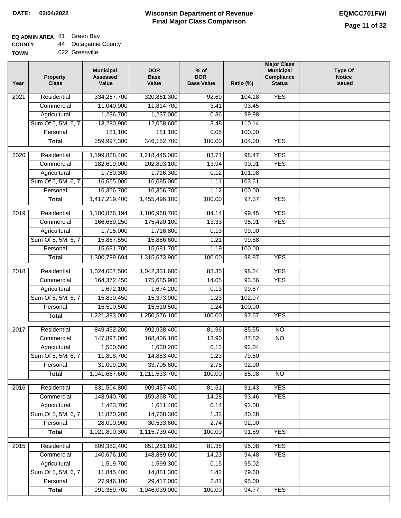## **EQ ADMIN AREA** 81 Green Bay

| <b>COUNTY</b> | 44 Outagamie County |
|---------------|---------------------|
|---------------|---------------------|

| <b>TOWN</b> | 022 Greenville |
|-------------|----------------|
|             |                |

| Year | <b>Property</b><br><b>Class</b> | <b>Municipal</b><br><b>Assessed</b><br>Value | <b>DOR</b><br><b>Base</b><br>Value | $%$ of<br><b>DOR</b><br><b>Base Value</b> | Ratio (%) | <b>Major Class</b><br><b>Municipal</b><br>Compliance<br><b>Status</b> | <b>Type Of</b><br><b>Notice</b><br><b>Issued</b> |
|------|---------------------------------|----------------------------------------------|------------------------------------|-------------------------------------------|-----------|-----------------------------------------------------------------------|--------------------------------------------------|
| 2021 | Residential                     | 334,257,700                                  | 320,861,300                        | 92.69                                     | 104.18    | <b>YES</b>                                                            |                                                  |
|      | Commercial                      | 11,040,900                                   | 11,814,700                         | 3.41                                      | 93.45     |                                                                       |                                                  |
|      | Agricultural                    | 1,236,700                                    | 1,237,000                          | 0.36                                      | 99.98     |                                                                       |                                                  |
|      | Sum Of 5, 5M, 6, 7              | 13,280,900                                   | 12,058,600                         | 3.48                                      | 110.14    |                                                                       |                                                  |
|      | Personal                        | 181,100                                      | 181,100                            | 0.05                                      | 100.00    |                                                                       |                                                  |
|      | <b>Total</b>                    | 359,997,300                                  | 346, 152, 700                      | 100.00                                    | 104.00    | <b>YES</b>                                                            |                                                  |
| 2020 | Residential                     | 1,199,828,400                                | 1,218,445,000                      | 83.71                                     | 98.47     | <b>YES</b>                                                            |                                                  |
|      | Commercial                      | 182,619,000                                  | 202,893,100                        | 13.94                                     | 90.01     | <b>YES</b>                                                            |                                                  |
|      | Agricultural                    | 1,750,300                                    | 1,716,300                          | 0.12                                      | 101.98    |                                                                       |                                                  |
|      | Sum Of 5, 5M, 6, 7              | 16,665,000                                   | 16,085,000                         | 1.11                                      | 103.61    |                                                                       |                                                  |
|      | Personal                        | 16,356,700                                   | 16,356,700                         | 1.12                                      | 100.00    |                                                                       |                                                  |
|      | <b>Total</b>                    | 1,417,219,400                                | 1,455,496,100                      | 100.00                                    | 97.37     | <b>YES</b>                                                            |                                                  |
| 2019 | Residential                     | 1,100,876,194                                | 1,106,968,700                      | 84.14                                     | 99.45     | <b>YES</b>                                                            |                                                  |
|      | Commercial                      | 166,659,250                                  | 175,420,100                        | 13.33                                     | 95.01     | <b>YES</b>                                                            |                                                  |
|      | Agricultural                    | 1,715,000                                    | 1,716,800                          | 0.13                                      | 99.90     |                                                                       |                                                  |
|      | Sum Of 5, 5M, 6, 7              | 15,867,550                                   | 15,886,600                         | 1.21                                      | 99.88     |                                                                       |                                                  |
|      | Personal                        | 15,681,700                                   | 15,681,700                         | 1.19                                      | 100.00    |                                                                       |                                                  |
|      | <b>Total</b>                    | 1,300,799,694                                | 1,315,673,900                      | 100.00                                    | 98.87     | <b>YES</b>                                                            |                                                  |
|      |                                 |                                              |                                    |                                           |           |                                                                       |                                                  |
| 2018 | Residential                     | 1,024,007,500                                | 1,042,331,600                      | 83.35                                     | 98.24     | <b>YES</b>                                                            |                                                  |
|      | Commercial                      | 164,372,450                                  | 175,685,900                        | 14.05                                     | 93.56     | <b>YES</b>                                                            |                                                  |
|      | Agricultural                    | 1,672,100                                    | 1,674,200                          | 0.13                                      | 99.87     |                                                                       |                                                  |
|      | Sum Of 5, 5M, 6, 7              | 15,830,450                                   | 15,373,900                         | 1.23                                      | 102.97    |                                                                       |                                                  |
|      | Personal                        | 15,510,500                                   | 15,510,500                         | 1.24                                      | 100.00    |                                                                       |                                                  |
|      | <b>Total</b>                    | 1,221,393,000                                | 1,250,576,100                      | 100.00                                    | 97.67     | <b>YES</b>                                                            |                                                  |
| 2017 | Residential                     | 849,452,200                                  | 992,938,400                        | 81.96                                     | 85.55     | $\overline{NO}$                                                       |                                                  |
|      | Commercial                      | 147,897,000                                  | 168,406,100                        | 13.90                                     | 87.82     | $\overline{NO}$                                                       |                                                  |
|      | Agricultural                    | 1,500,500                                    | 1,630,200                          | 0.13                                      | 92.04     |                                                                       |                                                  |
|      | Sum Of 5, 5M, 6, 7              | 11,808,700                                   | 14,853,400                         | 1.23                                      | 79.50     |                                                                       |                                                  |
|      | Personal                        | 31,009,200                                   | 33,705,600                         | 2.78                                      | 92.00     |                                                                       |                                                  |
|      | <b>Total</b>                    | 1,041,667,600                                | 1,211,533,700                      | 100.00                                    | 85.98     | <b>NO</b>                                                             |                                                  |
| 2016 | Residential                     | 831,504,800                                  | 909,457,400                        | 81.51                                     | 91.43     | <b>YES</b>                                                            |                                                  |
|      | Commercial                      | 148,940,700                                  | 159,368,700                        | 14.28                                     | 93.46     | <b>YES</b>                                                            |                                                  |
|      | Agricultural                    | 1,483,700                                    | 1,611,400                          | 0.14                                      | 92.08     |                                                                       |                                                  |
|      | Sum Of 5, 5M, 6, 7              | 11,870,200                                   | 14,768,300                         | 1.32                                      | 80.38     |                                                                       |                                                  |
|      | Personal                        | 28,090,900                                   | 30,533,600                         | 2.74                                      | 92.00     |                                                                       |                                                  |
|      | <b>Total</b>                    | 1,021,890,300                                | 1,115,739,400                      | 100.00                                    | 91.59     | <b>YES</b>                                                            |                                                  |
| 2015 | Residential                     | 809,382,400                                  | 851,251,800                        | 81.38                                     | 95.08     | <b>YES</b>                                                            |                                                  |
|      | Commercial                      | 140,676,100                                  | 148,889,600                        | 14.23                                     | 94.48     | <b>YES</b>                                                            |                                                  |
|      | Agricultural                    | 1,519,700                                    | 1,599,300                          | 0.15                                      | 95.02     |                                                                       |                                                  |
|      | Sum Of 5, 5M, 6, 7              | 11,845,400                                   | 14,881,300                         | 1.42                                      | 79.60     |                                                                       |                                                  |
|      | Personal                        | 27,946,100                                   | 29,417,000                         | 2.81                                      | 95.00     |                                                                       |                                                  |
|      | <b>Total</b>                    | 991,369,700                                  | 1,046,039,000                      | 100.00                                    | 94.77     | <b>YES</b>                                                            |                                                  |
|      |                                 |                                              |                                    |                                           |           |                                                                       |                                                  |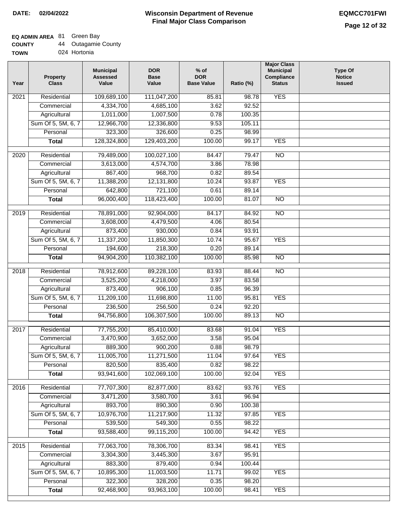## **EQ ADMIN AREA** 81 Green Bay

| <b>COUNTY</b> | Outagamie County |
|---------------|------------------|
|---------------|------------------|

**TOWN** 024 Hortonia

| Year | <b>Property</b><br><b>Class</b> | <b>Municipal</b><br><b>Assessed</b><br>Value | <b>DOR</b><br><b>Base</b><br>Value | $%$ of<br><b>DOR</b><br><b>Base Value</b> | Ratio (%) | <b>Major Class</b><br><b>Municipal</b><br>Compliance<br><b>Status</b> | <b>Type Of</b><br><b>Notice</b><br><b>Issued</b> |
|------|---------------------------------|----------------------------------------------|------------------------------------|-------------------------------------------|-----------|-----------------------------------------------------------------------|--------------------------------------------------|
| 2021 | Residential                     | 109,689,100                                  | 111,047,200                        | 85.81                                     | 98.78     | <b>YES</b>                                                            |                                                  |
|      | Commercial                      | 4,334,700                                    | 4,685,100                          | 3.62                                      | 92.52     |                                                                       |                                                  |
|      | Agricultural                    | 1,011,000                                    | 1,007,500                          | 0.78                                      | 100.35    |                                                                       |                                                  |
|      | Sum Of 5, 5M, 6, 7              | 12,966,700                                   | 12,336,800                         | 9.53                                      | 105.11    |                                                                       |                                                  |
|      | Personal                        | 323,300                                      | 326,600                            | 0.25                                      | 98.99     |                                                                       |                                                  |
|      | <b>Total</b>                    | 128,324,800                                  | 129,403,200                        | 100.00                                    | 99.17     | <b>YES</b>                                                            |                                                  |
| 2020 | Residential                     | 79,489,000                                   | 100,027,100                        | 84.47                                     | 79.47     | $\overline{NO}$                                                       |                                                  |
|      | Commercial                      | 3,613,000                                    | 4,574,700                          | 3.86                                      | 78.98     |                                                                       |                                                  |
|      | Agricultural                    | 867,400                                      | 968,700                            | 0.82                                      | 89.54     |                                                                       |                                                  |
|      | Sum Of 5, 5M, 6, 7              | 11,388,200                                   | 12,131,800                         | 10.24                                     | 93.87     | <b>YES</b>                                                            |                                                  |
|      | Personal                        | 642,800                                      | 721,100                            | 0.61                                      | 89.14     |                                                                       |                                                  |
|      | <b>Total</b>                    | 96,000,400                                   | 118,423,400                        | 100.00                                    | 81.07     | $\overline{NO}$                                                       |                                                  |
| 2019 | Residential                     | 78,891,000                                   | 92,904,000                         | 84.17                                     | 84.92     | $\overline{NO}$                                                       |                                                  |
|      | Commercial                      | 3,608,000                                    | 4,479,500                          | 4.06                                      | 80.54     |                                                                       |                                                  |
|      | Agricultural                    | 873,400                                      | 930,000                            | 0.84                                      | 93.91     |                                                                       |                                                  |
|      | Sum Of 5, 5M, 6, 7              | 11,337,200                                   | 11,850,300                         | 10.74                                     | 95.67     | <b>YES</b>                                                            |                                                  |
|      | Personal                        | 194,600                                      | 218,300                            | 0.20                                      | 89.14     |                                                                       |                                                  |
|      | <b>Total</b>                    | 94,904,200                                   | 110,382,100                        | 100.00                                    | 85.98     | $\overline{NO}$                                                       |                                                  |
| 2018 | Residential                     | 78,912,600                                   | 89,228,100                         | 83.93                                     | 88.44     | $\overline{NO}$                                                       |                                                  |
|      | Commercial                      | 3,525,200                                    | 4,218,000                          | 3.97                                      | 83.58     |                                                                       |                                                  |
|      | Agricultural                    | 873,400                                      | 906,100                            | 0.85                                      | 96.39     |                                                                       |                                                  |
|      | Sum Of 5, 5M, 6, 7              | 11,209,100                                   | 11,698,800                         | 11.00                                     | 95.81     | <b>YES</b>                                                            |                                                  |
|      | Personal                        | 236,500                                      | 256,500                            | 0.24                                      | 92.20     |                                                                       |                                                  |
|      | <b>Total</b>                    | 94,756,800                                   | 106,307,500                        | 100.00                                    | 89.13     | $\overline{NO}$                                                       |                                                  |
| 2017 | Residential                     | 77,755,200                                   | 85,410,000                         | 83.68                                     | 91.04     | <b>YES</b>                                                            |                                                  |
|      | Commercial                      | 3,470,900                                    | 3,652,000                          | 3.58                                      | 95.04     |                                                                       |                                                  |
|      | Agricultural                    | 889,300                                      | 900,200                            | 0.88                                      | 98.79     |                                                                       |                                                  |
|      | Sum Of 5, 5M, 6, 7              | 11,005,700                                   | 11,271,500                         | 11.04                                     | 97.64     | <b>YES</b>                                                            |                                                  |
|      | Personal                        | 820,500                                      | 835,400                            | 0.82                                      | 98.22     |                                                                       |                                                  |
|      | <b>Total</b>                    | 93,941,600                                   | 102,069,100                        | 100.00                                    | 92.04     | <b>YES</b>                                                            |                                                  |
|      |                                 |                                              |                                    |                                           |           |                                                                       |                                                  |
| 2016 | Residential                     | 77,707,300                                   | 82,877,000                         | 83.62                                     | 93.76     | <b>YES</b>                                                            |                                                  |
|      | Commercial                      | 3,471,200                                    | 3,580,700                          | 3.61                                      | 96.94     |                                                                       |                                                  |
|      | Agricultural                    | 893,700                                      | 890,300                            | 0.90                                      | 100.38    |                                                                       |                                                  |
|      | Sum Of 5, 5M, 6, 7              | 10,976,700                                   | 11,217,900                         | 11.32                                     | 97.85     | <b>YES</b>                                                            |                                                  |
|      | Personal                        | 539,500                                      | 549,300                            | 0.55                                      | 98.22     |                                                                       |                                                  |
|      | <b>Total</b>                    | 93,588,400                                   | 99,115,200                         | 100.00                                    | 94.42     | <b>YES</b>                                                            |                                                  |
| 2015 | Residential                     | 77,063,700                                   | 78,306,700                         | 83.34                                     | 98.41     | <b>YES</b>                                                            |                                                  |
|      | Commercial                      | 3,304,300                                    | 3,445,300                          | 3.67                                      | 95.91     |                                                                       |                                                  |
|      | Agricultural                    | 883,300                                      | 879,400                            | 0.94                                      | 100.44    |                                                                       |                                                  |
|      | Sum Of 5, 5M, 6, 7              | 10,895,300                                   | 11,003,500                         | 11.71                                     | 99.02     | <b>YES</b>                                                            |                                                  |
|      | Personal                        | 322,300                                      | 328,200                            | 0.35                                      | 98.20     |                                                                       |                                                  |
|      | <b>Total</b>                    | 92,468,900                                   | 93,963,100                         | 100.00                                    | 98.41     | <b>YES</b>                                                            |                                                  |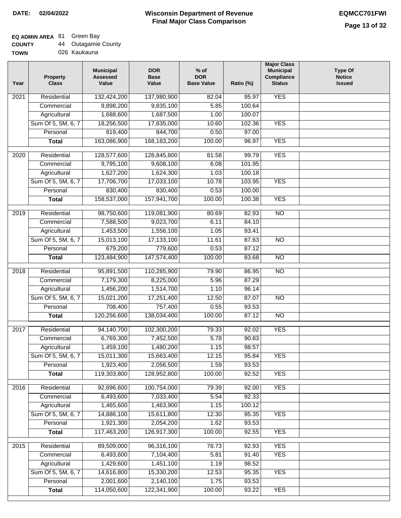# **EQ ADMIN AREA** 81 Green Bay

| <b>COUNTY</b> | Outagamie County |  |
|---------------|------------------|--|
|---------------|------------------|--|

**TOWN** 026 Kaukauna

| Year | <b>Property</b><br><b>Class</b> | <b>Municipal</b><br><b>Assessed</b><br>Value | <b>DOR</b><br><b>Base</b><br>Value | $%$ of<br><b>DOR</b><br><b>Base Value</b> | Ratio (%)      | <b>Major Class</b><br><b>Municipal</b><br>Compliance<br><b>Status</b> | <b>Type Of</b><br><b>Notice</b><br><b>Issued</b> |
|------|---------------------------------|----------------------------------------------|------------------------------------|-------------------------------------------|----------------|-----------------------------------------------------------------------|--------------------------------------------------|
| 2021 | Residential                     | 132,424,200                                  | 137,980,900                        | 82.04                                     | 95.97          | <b>YES</b>                                                            |                                                  |
|      | Commercial                      | 9,898,200                                    | 9,835,100                          | 5.85                                      | 100.64         |                                                                       |                                                  |
|      | Agricultural                    | 1,688,600                                    | 1,687,500                          | 1.00                                      | 100.07         |                                                                       |                                                  |
|      | Sum Of 5, 5M, 6, 7              | 18,256,500                                   | 17,835,000                         | 10.60                                     | 102.36         | <b>YES</b>                                                            |                                                  |
|      | Personal                        | 819,400                                      | 844,700                            | 0.50                                      | 97.00          |                                                                       |                                                  |
|      | <b>Total</b>                    | 163,086,900                                  | 168, 183, 200                      | 100.00                                    | 96.97          | <b>YES</b>                                                            |                                                  |
| 2020 | Residential                     | 128,577,600                                  | 128,845,800                        | 81.58                                     | 99.79          | <b>YES</b>                                                            |                                                  |
|      | Commercial                      | 9,795,100                                    | 9,608,100                          | 6.08                                      | 101.95         |                                                                       |                                                  |
|      | Agricultural                    | 1,627,200                                    | 1,624,300                          | 1.03                                      | 100.18         |                                                                       |                                                  |
|      | Sum Of 5, 5M, 6, 7              | 17,706,700                                   | 17,033,100                         | 10.78                                     | 103.95         | <b>YES</b>                                                            |                                                  |
|      | Personal                        | 830,400                                      | 830,400                            | 0.53                                      | 100.00         |                                                                       |                                                  |
|      | <b>Total</b>                    | 158,537,000                                  | 157,941,700                        | 100.00                                    | 100.38         | <b>YES</b>                                                            |                                                  |
|      |                                 |                                              |                                    |                                           |                |                                                                       |                                                  |
| 2019 | Residential                     | 98,750,600                                   | 119,081,900                        | 80.69<br>6.11                             | 82.93<br>84.10 | $\overline{10}$                                                       |                                                  |
|      | Commercial                      | 7,588,500                                    | 9,023,700                          |                                           |                |                                                                       |                                                  |
|      | Agricultural                    | 1,453,500                                    | 1,556,100                          | 1.05                                      | 93.41          |                                                                       |                                                  |
|      | Sum Of 5, 5M, 6, 7              | 15,013,100                                   | 17,133,100                         | 11.61                                     | 87.63          | $\overline{NO}$                                                       |                                                  |
|      | Personal                        | 679,200                                      | 779,600                            | 0.53                                      | 87.12          |                                                                       |                                                  |
|      | <b>Total</b>                    | 123,484,900                                  | 147,574,400                        | 100.00                                    | 83.68          | $\overline{NO}$                                                       |                                                  |
| 2018 | Residential                     | 95,891,500                                   | 110,285,900                        | 79.90                                     | 86.95          | $\overline{NO}$                                                       |                                                  |
|      | Commercial                      | 7,179,300                                    | 8,225,000                          | 5.96                                      | 87.29          |                                                                       |                                                  |
|      | Agricultural                    | 1,456,200                                    | 1,514,700                          | 1.10                                      | 96.14          |                                                                       |                                                  |
|      | Sum Of 5, 5M, 6, 7              | 15,021,200                                   | 17,251,400                         | 12.50                                     | 87.07          | $\overline{10}$                                                       |                                                  |
|      | Personal                        | 708,400                                      | 757,400                            | 0.55                                      | 93.53          |                                                                       |                                                  |
|      | <b>Total</b>                    | 120,256,600                                  | 138,034,400                        | 100.00                                    | 87.12          | <b>NO</b>                                                             |                                                  |
| 2017 | Residential                     | 94,140,700                                   | 102,300,200                        | 79.33                                     | 92.02          | <b>YES</b>                                                            |                                                  |
|      | Commercial                      | 6,769,300                                    | 7,452,500                          | 5.78                                      | 90.83          |                                                                       |                                                  |
|      | Agricultural                    | 1,459,100                                    | 1,480,200                          | 1.15                                      | 98.57          |                                                                       |                                                  |
|      | Sum Of 5, 5M, 6, 7              | 15,011,300                                   | 15,663,400                         | 12.15                                     | 95.84          | <b>YES</b>                                                            |                                                  |
|      | Personal                        | 1,923,400                                    | 2,056,500                          | 1.59                                      | 93.53          |                                                                       |                                                  |
|      | <b>Total</b>                    | 119,303,800                                  | 128,952,800                        | 100.00                                    | 92.52          | <b>YES</b>                                                            |                                                  |
| 2016 | Residential                     | 92,696,600                                   | 100,754,000                        | 79.39                                     | 92.00          | <b>YES</b>                                                            |                                                  |
|      | Commercial                      | 6,493,600                                    | 7,033,400                          | 5.54                                      | 92.33          |                                                                       |                                                  |
|      | Agricultural                    | 1,465,600                                    | 1,463,900                          | 1.15                                      | 100.12         |                                                                       |                                                  |
|      | Sum Of 5, 5M, 6, 7              | 14,886,100                                   | 15,611,800                         | 12.30                                     | 95.35          | <b>YES</b>                                                            |                                                  |
|      | Personal                        | 1,921,300                                    | 2,054,200                          | 1.62                                      | 93.53          |                                                                       |                                                  |
|      | <b>Total</b>                    | 117,463,200                                  | 126,917,300                        | 100.00                                    | 92.55          | <b>YES</b>                                                            |                                                  |
| 2015 | Residential                     | 89,509,000                                   | 96,316,100                         | 78.73                                     | 92.93          | <b>YES</b>                                                            |                                                  |
|      |                                 | 6,493,600                                    | 7,104,400                          | 5.81                                      | 91.40          | <b>YES</b>                                                            |                                                  |
|      | Commercial<br>Agricultural      | 1,429,600                                    | 1,451,100                          | 1.19                                      | 98.52          |                                                                       |                                                  |
|      | Sum Of 5, 5M, 6, 7              | 14,616,800                                   | 15,330,200                         | 12.53                                     | 95.35          | <b>YES</b>                                                            |                                                  |
|      | Personal                        | 2,001,600                                    | 2,140,100                          | 1.75                                      | 93.53          |                                                                       |                                                  |
|      | <b>Total</b>                    | 114,050,600                                  | 122,341,900                        | 100.00                                    | 93.22          | <b>YES</b>                                                            |                                                  |
|      |                                 |                                              |                                    |                                           |                |                                                                       |                                                  |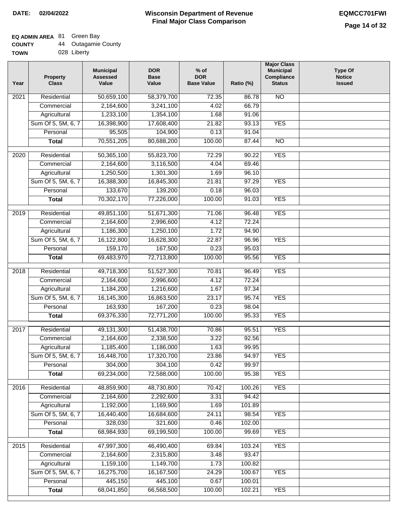# **EQ ADMIN AREA** 81 Green Bay

| <b>COUNTY</b> | 44 | <b>Outagamie County</b> |
|---------------|----|-------------------------|
| <b>TOWN</b>   |    | 028 Liberty             |

028 Liberty

| Year              | <b>Property</b><br><b>Class</b> | <b>Municipal</b><br><b>Assessed</b><br>Value | <b>DOR</b><br><b>Base</b><br>Value | $%$ of<br><b>DOR</b><br><b>Base Value</b> | Ratio (%)        | <b>Major Class</b><br><b>Municipal</b><br>Compliance<br><b>Status</b> | <b>Type Of</b><br><b>Notice</b><br><b>Issued</b> |
|-------------------|---------------------------------|----------------------------------------------|------------------------------------|-------------------------------------------|------------------|-----------------------------------------------------------------------|--------------------------------------------------|
| 2021              | Residential                     | 50,659,100                                   | 58,379,700                         | 72.35                                     | 86.78            | $\overline{NO}$                                                       |                                                  |
|                   | Commercial                      | 2,164,600                                    | 3,241,100                          | 4.02                                      | 66.79            |                                                                       |                                                  |
|                   | Agricultural                    | 1,233,100                                    | 1,354,100                          | 1.68                                      | 91.06            |                                                                       |                                                  |
|                   | Sum Of 5, 5M, 6, 7              | 16,398,900                                   | 17,608,400                         | 21.82                                     | 93.13            | <b>YES</b>                                                            |                                                  |
|                   | Personal                        | 95,505                                       | 104,900                            | 0.13                                      | 91.04            |                                                                       |                                                  |
|                   | <b>Total</b>                    | 70,551,205                                   | 80,688,200                         | 100.00                                    | 87.44            | $\overline{NO}$                                                       |                                                  |
| $\overline{2020}$ | Residential                     | 50,365,100                                   | 55,823,700                         | 72.29                                     | 90.22            | <b>YES</b>                                                            |                                                  |
|                   | Commercial                      | 2,164,600                                    | 3,116,500                          | 4.04                                      | 69.46            |                                                                       |                                                  |
|                   | Agricultural                    | 1,250,500                                    | 1,301,300                          | 1.69                                      | 96.10            |                                                                       |                                                  |
|                   | Sum Of 5, 5M, 6, 7              | 16,388,300                                   | 16,845,300                         | 21.81                                     | 97.29            | <b>YES</b>                                                            |                                                  |
|                   | Personal                        | 133,670                                      | 139,200                            | 0.18                                      | 96.03            |                                                                       |                                                  |
|                   | <b>Total</b>                    | 70,302,170                                   | 77,226,000                         | 100.00                                    | 91.03            | <b>YES</b>                                                            |                                                  |
|                   |                                 |                                              |                                    |                                           |                  |                                                                       |                                                  |
| $\frac{1}{2019}$  | Residential                     | 49,851,100                                   | 51,671,300                         | 71.06                                     | 96.48            | <b>YES</b>                                                            |                                                  |
|                   | Commercial                      | 2,164,600                                    | 2,996,600                          | 4.12                                      | 72.24            |                                                                       |                                                  |
|                   | Agricultural                    | 1,186,300                                    | 1,250,100                          | 1.72                                      | 94.90            |                                                                       |                                                  |
|                   | Sum Of 5, 5M, 6, 7              | 16,122,800                                   | 16,628,300                         | 22.87                                     | 96.96            | <b>YES</b>                                                            |                                                  |
|                   | Personal                        | 159,170                                      | 167,500                            | 0.23                                      | 95.03            |                                                                       |                                                  |
|                   | <b>Total</b>                    | 69,483,970                                   | 72,713,800                         | 100.00                                    | 95.56            | <b>YES</b>                                                            |                                                  |
| 2018              | Residential                     | 49,718,300                                   | 51,527,300                         | 70.81                                     | 96.49            | <b>YES</b>                                                            |                                                  |
|                   | Commercial                      | 2,164,600                                    | 2,996,600                          | 4.12                                      | 72.24            |                                                                       |                                                  |
|                   | Agricultural                    | 1,184,200                                    | 1,216,600                          | 1.67                                      | 97.34            |                                                                       |                                                  |
|                   | Sum Of 5, 5M, 6, 7              | 16,145,300                                   | 16,863,500                         | 23.17                                     | 95.74            | <b>YES</b>                                                            |                                                  |
|                   | Personal                        | 163,930                                      | 167,200                            | 0.23                                      | 98.04            |                                                                       |                                                  |
|                   | <b>Total</b>                    | 69,376,330                                   | 72,771,200                         | 100.00                                    | 95.33            | <b>YES</b>                                                            |                                                  |
| 2017              | Residential                     | 49,131,300                                   | 51,438,700                         | 70.86                                     | 95.51            | <b>YES</b>                                                            |                                                  |
|                   | Commercial                      | 2,164,600                                    | 2,338,500                          | 3.22                                      | 92.56            |                                                                       |                                                  |
|                   | Agricultural                    | 1,185,400                                    | 1,186,000                          | 1.63                                      | 99.95            |                                                                       |                                                  |
|                   | Sum Of 5, 5M, 6, 7              | 16,448,700                                   | 17,320,700                         | 23.86                                     | 94.97            | <b>YES</b>                                                            |                                                  |
|                   | Personal                        | 304,000                                      | 304,100                            | 0.42                                      | 99.97            |                                                                       |                                                  |
|                   | <b>Total</b>                    | 69,234,000                                   | 72,588,000                         | 100.00                                    | 95.38            | <b>YES</b>                                                            |                                                  |
| 2016              | Residential                     | 48,859,900                                   | 48,730,800                         | 70.42                                     | 100.26           | <b>YES</b>                                                            |                                                  |
|                   | Commercial                      | 2,164,600                                    | 2,292,600                          | 3.31                                      | 94.42            |                                                                       |                                                  |
|                   | Agricultural                    | 1,192,000                                    | 1,169,900                          | 1.69                                      | 101.89           |                                                                       |                                                  |
|                   | Sum Of 5, 5M, 6, 7              | 16,440,400                                   | 16,684,600                         | 24.11                                     | 98.54            | <b>YES</b>                                                            |                                                  |
|                   | Personal                        | 328,030                                      | 321,600                            | 0.46                                      | 102.00           |                                                                       |                                                  |
|                   | <b>Total</b>                    | 68,984,930                                   | 69,199,500                         | 100.00                                    | 99.69            | <b>YES</b>                                                            |                                                  |
|                   |                                 |                                              |                                    |                                           |                  |                                                                       |                                                  |
| 2015              | Residential                     | 47,997,300                                   | 46,490,400                         | 69.84                                     | 103.24           | <b>YES</b>                                                            |                                                  |
|                   | Commercial                      | 2,164,600                                    | 2,315,800                          | 3.48                                      | 93.47            |                                                                       |                                                  |
|                   | Agricultural                    | 1,159,100                                    | 1,149,700                          | 1.73                                      | 100.82           |                                                                       |                                                  |
|                   | Sum Of 5, 5M, 6, 7<br>Personal  | 16,275,700<br>445,150                        | 16, 167, 500<br>445,100            | 24.29<br>0.67                             | 100.67<br>100.01 | <b>YES</b>                                                            |                                                  |
|                   | <b>Total</b>                    | 68,041,850                                   | 66,568,500                         | 100.00                                    | 102.21           | <b>YES</b>                                                            |                                                  |
|                   |                                 |                                              |                                    |                                           |                  |                                                                       |                                                  |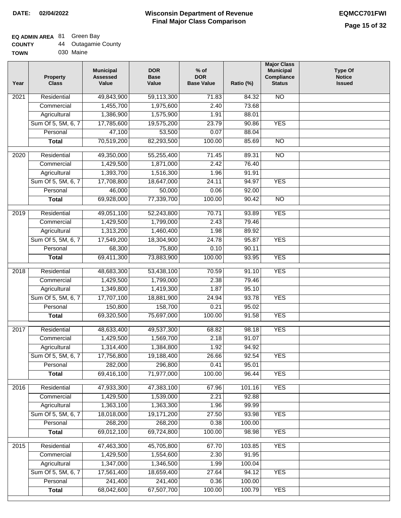## **EQ ADMIN AREA** 81 Green Bay

| <b>COUNTY</b> |  | Outagamie County |  |
|---------------|--|------------------|--|
|---------------|--|------------------|--|

**TOWN** 030 Maine

| Year              | <b>Property</b><br><b>Class</b> | <b>Municipal</b><br><b>Assessed</b><br>Value | <b>DOR</b><br><b>Base</b><br>Value | $%$ of<br><b>DOR</b><br><b>Base Value</b> | Ratio (%) | <b>Major Class</b><br><b>Municipal</b><br>Compliance<br><b>Status</b> | <b>Type Of</b><br><b>Notice</b><br><b>Issued</b> |
|-------------------|---------------------------------|----------------------------------------------|------------------------------------|-------------------------------------------|-----------|-----------------------------------------------------------------------|--------------------------------------------------|
| $\overline{202}1$ | Residential                     | 49,843,900                                   | 59,113,300                         | 71.83                                     | 84.32     | <b>NO</b>                                                             |                                                  |
|                   | Commercial                      | 1,455,700                                    | 1,975,600                          | 2.40                                      | 73.68     |                                                                       |                                                  |
|                   | Agricultural                    | 1,386,900                                    | 1,575,900                          | 1.91                                      | 88.01     |                                                                       |                                                  |
|                   | Sum Of 5, 5M, 6, 7              | 17,785,600                                   | 19,575,200                         | 23.79                                     | 90.86     | <b>YES</b>                                                            |                                                  |
|                   | Personal                        | 47,100                                       | 53,500                             | 0.07                                      | 88.04     |                                                                       |                                                  |
|                   | <b>Total</b>                    | 70,519,200                                   | 82,293,500                         | 100.00                                    | 85.69     | $\overline{NO}$                                                       |                                                  |
| $\overline{2020}$ | Residential                     | 49,350,000                                   | 55,255,400                         | 71.45                                     | 89.31     | $\overline{10}$                                                       |                                                  |
|                   | Commercial                      | 1,429,500                                    | 1,871,000                          | 2.42                                      | 76.40     |                                                                       |                                                  |
|                   | Agricultural                    | 1,393,700                                    | 1,516,300                          | 1.96                                      | 91.91     |                                                                       |                                                  |
|                   | Sum Of 5, 5M, 6, 7              | 17,708,800                                   | 18,647,000                         | 24.11                                     | 94.97     | <b>YES</b>                                                            |                                                  |
|                   | Personal                        | 46,000                                       | 50,000                             | 0.06                                      | 92.00     |                                                                       |                                                  |
|                   | <b>Total</b>                    | 69,928,000                                   | 77,339,700                         | 100.00                                    | 90.42     | $\overline{NO}$                                                       |                                                  |
| 2019              | Residential                     | 49,051,100                                   | 52,243,800                         | 70.71                                     | 93.89     | <b>YES</b>                                                            |                                                  |
|                   | Commercial                      | 1,429,500                                    | 1,799,000                          | 2.43                                      | 79.46     |                                                                       |                                                  |
|                   | Agricultural                    | 1,313,200                                    | 1,460,400                          | 1.98                                      | 89.92     |                                                                       |                                                  |
|                   | Sum Of 5, 5M, 6, 7              | 17,549,200                                   | 18,304,900                         | 24.78                                     | 95.87     | <b>YES</b>                                                            |                                                  |
|                   | Personal                        | 68,300                                       | 75,800                             | 0.10                                      | 90.11     |                                                                       |                                                  |
|                   | <b>Total</b>                    | 69,411,300                                   | 73,883,900                         | 100.00                                    | 93.95     | <b>YES</b>                                                            |                                                  |
| 2018              | Residential                     | 48,683,300                                   | 53,438,100                         | 70.59                                     | 91.10     | <b>YES</b>                                                            |                                                  |
|                   | Commercial                      | 1,429,500                                    | 1,799,000                          | 2.38                                      | 79.46     |                                                                       |                                                  |
|                   | Agricultural                    | 1,349,800                                    | 1,419,300                          | 1.87                                      | 95.10     |                                                                       |                                                  |
|                   | Sum Of 5, 5M, 6, 7              | 17,707,100                                   | 18,881,900                         | 24.94                                     | 93.78     | <b>YES</b>                                                            |                                                  |
|                   | Personal                        | 150,800                                      | 158,700                            | 0.21                                      | 95.02     |                                                                       |                                                  |
|                   | <b>Total</b>                    | 69,320,500                                   | 75,697,000                         | 100.00                                    | 91.58     | <b>YES</b>                                                            |                                                  |
| 2017              | Residential                     | 48,633,400                                   | 49,537,300                         | 68.82                                     | 98.18     | <b>YES</b>                                                            |                                                  |
|                   | Commercial                      | 1,429,500                                    | 1,569,700                          | 2.18                                      | 91.07     |                                                                       |                                                  |
|                   | Agricultural                    | 1,314,400                                    | 1,384,800                          | 1.92                                      | 94.92     |                                                                       |                                                  |
|                   | Sum Of 5, 5M, 6, 7              | 17,756,800                                   | 19,188,400                         | 26.66                                     | 92.54     | <b>YES</b>                                                            |                                                  |
|                   | Personal                        | 282,000                                      | 296,800                            | 0.41                                      | 95.01     |                                                                       |                                                  |
|                   | <b>Total</b>                    | 69,416,100                                   | 71,977,000                         | 100.00                                    | 96.44     | <b>YES</b>                                                            |                                                  |
| 2016              | Residential                     | 47,933,300                                   | 47,383,100                         | 67.96                                     | 101.16    | <b>YES</b>                                                            |                                                  |
|                   | Commercial                      | 1,429,500                                    | 1,539,000                          | 2.21                                      | 92.88     |                                                                       |                                                  |
|                   | Agricultural                    | 1,363,100                                    | 1,363,300                          | 1.96                                      | 99.99     |                                                                       |                                                  |
|                   | Sum Of 5, 5M, 6, 7              | 18,018,000                                   | 19,171,200                         | 27.50                                     | 93.98     | <b>YES</b>                                                            |                                                  |
|                   | Personal                        | 268,200                                      | 268,200                            | 0.38                                      | 100.00    |                                                                       |                                                  |
|                   | <b>Total</b>                    | 69,012,100                                   | 69,724,800                         | 100.00                                    | 98.98     | <b>YES</b>                                                            |                                                  |
| 2015              | Residential                     | 47,463,300                                   | 45,705,800                         | 67.70                                     | 103.85    | <b>YES</b>                                                            |                                                  |
|                   | Commercial                      | 1,429,500                                    | 1,554,600                          | 2.30                                      | 91.95     |                                                                       |                                                  |
|                   | Agricultural                    | 1,347,000                                    | 1,346,500                          | 1.99                                      | 100.04    |                                                                       |                                                  |
|                   | Sum Of 5, 5M, 6, 7              | 17,561,400                                   | 18,659,400                         | 27.64                                     | 94.12     | <b>YES</b>                                                            |                                                  |
|                   | Personal                        | 241,400                                      | 241,400                            | 0.36                                      | 100.00    |                                                                       |                                                  |
|                   | <b>Total</b>                    | 68,042,600                                   | 67,507,700                         | 100.00                                    | 100.79    | <b>YES</b>                                                            |                                                  |
|                   |                                 |                                              |                                    |                                           |           |                                                                       |                                                  |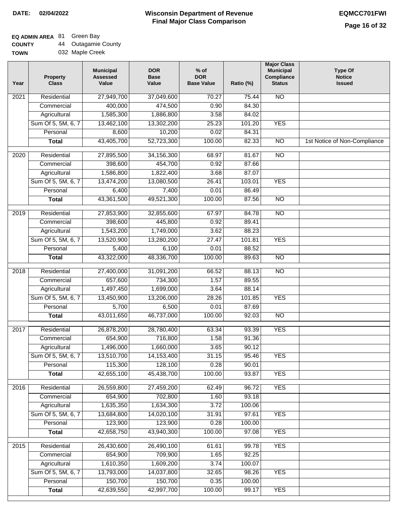٦

## **EQ ADMIN AREA** 81 Green Bay

| <b>COUNTY</b> |  | <b>Outagamie County</b> |  |
|---------------|--|-------------------------|--|
|---------------|--|-------------------------|--|

| <b>TOWN</b> | 032 Maple Creek |
|-------------|-----------------|

| Year             | <b>Property</b><br><b>Class</b> | <b>Municipal</b><br><b>Assessed</b><br>Value | <b>DOR</b><br><b>Base</b><br>Value | $%$ of<br><b>DOR</b><br><b>Base Value</b> | Ratio (%) | <b>Major Class</b><br><b>Municipal</b><br>Compliance<br><b>Status</b> | <b>Type Of</b><br><b>Notice</b><br><b>Issued</b> |
|------------------|---------------------------------|----------------------------------------------|------------------------------------|-------------------------------------------|-----------|-----------------------------------------------------------------------|--------------------------------------------------|
| 2021             | Residential                     | 27,949,700                                   | 37,049,600                         | 70.27                                     | 75.44     | <b>NO</b>                                                             |                                                  |
|                  | Commercial                      | 400,000                                      | 474,500                            | 0.90                                      | 84.30     |                                                                       |                                                  |
|                  | Agricultural                    | 1,585,300                                    | 1,886,800                          | 3.58                                      | 84.02     |                                                                       |                                                  |
|                  | Sum Of 5, 5M, 6, 7              | 13,462,100                                   | 13,302,200                         | 25.23                                     | 101.20    | <b>YES</b>                                                            |                                                  |
|                  | Personal                        | 8,600                                        | 10,200                             | 0.02                                      | 84.31     |                                                                       |                                                  |
|                  | <b>Total</b>                    | 43,405,700                                   | 52,723,300                         | 100.00                                    | 82.33     | $\overline{NO}$                                                       | 1st Notice of Non-Compliance                     |
| 2020             | Residential                     | 27,895,500                                   | 34, 156, 300                       | 68.97                                     | 81.67     | $\overline{10}$                                                       |                                                  |
|                  | Commercial                      | 398,600                                      | 454,700                            | 0.92                                      | 87.66     |                                                                       |                                                  |
|                  | Agricultural                    | 1,586,800                                    | 1,822,400                          | 3.68                                      | 87.07     |                                                                       |                                                  |
|                  | Sum Of 5, 5M, 6, 7              | 13,474,200                                   | 13,080,500                         | 26.41                                     | 103.01    | <b>YES</b>                                                            |                                                  |
|                  | Personal                        | 6,400                                        | 7,400                              | 0.01                                      | 86.49     |                                                                       |                                                  |
|                  | <b>Total</b>                    | 43,361,500                                   | 49,521,300                         | 100.00                                    | 87.56     | <b>NO</b>                                                             |                                                  |
|                  |                                 |                                              |                                    |                                           |           |                                                                       |                                                  |
| $\frac{1}{2019}$ | Residential                     | 27,853,900                                   | 32,855,600                         | 67.97                                     | 84.78     | $\overline{NO}$                                                       |                                                  |
|                  | Commercial                      | 398,600                                      | 445,800                            | 0.92                                      | 89.41     |                                                                       |                                                  |
|                  | Agricultural                    | 1,543,200                                    | 1,749,000                          | 3.62                                      | 88.23     |                                                                       |                                                  |
|                  | Sum Of 5, 5M, 6, 7              | 13,520,900                                   | 13,280,200                         | 27.47                                     | 101.81    | <b>YES</b>                                                            |                                                  |
|                  | Personal                        | 5,400                                        | 6,100                              | 0.01                                      | 88.52     |                                                                       |                                                  |
|                  | <b>Total</b>                    | 43,322,000                                   | 48,336,700                         | 100.00                                    | 89.63     | $\overline{NO}$                                                       |                                                  |
| 2018             | Residential                     | 27,400,000                                   | 31,091,200                         | 66.52                                     | 88.13     | $\overline{10}$                                                       |                                                  |
|                  | Commercial                      | 657,600                                      | 734,300                            | 1.57                                      | 89.55     |                                                                       |                                                  |
|                  | Agricultural                    | 1,497,450                                    | 1,699,000                          | 3.64                                      | 88.14     |                                                                       |                                                  |
|                  | Sum Of 5, 5M, 6, 7              | 13,450,900                                   | 13,206,000                         | 28.26                                     | 101.85    | <b>YES</b>                                                            |                                                  |
|                  | Personal                        | 5,700                                        | 6,500                              | 0.01                                      | 87.69     |                                                                       |                                                  |
|                  | <b>Total</b>                    | 43,011,650                                   | 46,737,000                         | 100.00                                    | 92.03     | $\overline{10}$                                                       |                                                  |
| 2017             | Residential                     | 26,878,200                                   | 28,780,400                         | 63.34                                     | 93.39     | <b>YES</b>                                                            |                                                  |
|                  | Commercial                      | 654,900                                      | 716,800                            | 1.58                                      | 91.36     |                                                                       |                                                  |
|                  | Agricultural                    | 1,496,000                                    | 1,660,000                          | 3.65                                      | 90.12     |                                                                       |                                                  |
|                  | Sum Of 5, 5M, 6, 7              | 13,510,700                                   | 14,153,400                         | 31.15                                     | 95.46     | <b>YES</b>                                                            |                                                  |
|                  | Personal                        | 115,300                                      | 128,100                            | 0.28                                      | 90.01     |                                                                       |                                                  |
|                  | <b>Total</b>                    | 42,655,100                                   | 45,438,700                         | 100.00                                    | 93.87     | <b>YES</b>                                                            |                                                  |
| 2016             | Residential                     | 26,559,800                                   | 27,459,200                         | 62.49                                     | 96.72     | <b>YES</b>                                                            |                                                  |
|                  | Commercial                      | 654,900                                      | 702,800                            | 1.60                                      | 93.18     |                                                                       |                                                  |
|                  | Agricultural                    | 1,635,350                                    | 1,634,300                          | 3.72                                      | 100.06    |                                                                       |                                                  |
|                  | Sum Of 5, 5M, 6, 7              | 13,684,800                                   | 14,020,100                         | 31.91                                     | 97.61     | <b>YES</b>                                                            |                                                  |
|                  | Personal                        | 123,900                                      | 123,900                            | 0.28                                      | 100.00    |                                                                       |                                                  |
|                  | <b>Total</b>                    | 42,658,750                                   | 43,940,300                         | 100.00                                    | 97.08     | <b>YES</b>                                                            |                                                  |
| 2015             | Residential                     | 26,430,600                                   | 26,490,100                         | 61.61                                     | 99.78     | <b>YES</b>                                                            |                                                  |
|                  | Commercial                      | 654,900                                      | 709,900                            | 1.65                                      | 92.25     |                                                                       |                                                  |
|                  | Agricultural                    | 1,610,350                                    | 1,609,200                          | 3.74                                      | 100.07    |                                                                       |                                                  |
|                  | Sum Of 5, 5M, 6, 7              | 13,793,000                                   | 14,037,800                         | 32.65                                     | 98.26     | <b>YES</b>                                                            |                                                  |
|                  | Personal                        | 150,700                                      | 150,700                            | 0.35                                      | 100.00    |                                                                       |                                                  |
|                  | <b>Total</b>                    | 42,639,550                                   | 42,997,700                         | 100.00                                    | 99.17     | <b>YES</b>                                                            |                                                  |
|                  |                                 |                                              |                                    |                                           |           |                                                                       |                                                  |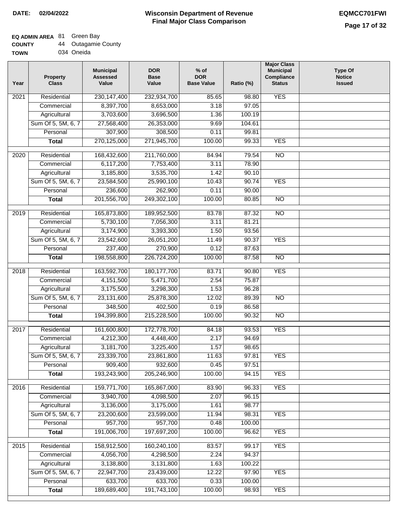### **EQ ADMIN AREA** 81 Green Bay

| <b>COUNTY</b> |  | 44 Outagamie County |  |
|---------------|--|---------------------|--|
|---------------|--|---------------------|--|

**TOWN** 034 Oneida

| Year | <b>Property</b><br><b>Class</b> | <b>Municipal</b><br><b>Assessed</b><br>Value | <b>DOR</b><br><b>Base</b><br>Value | $%$ of<br><b>DOR</b><br><b>Base Value</b> | Ratio (%) | <b>Major Class</b><br><b>Municipal</b><br>Compliance<br><b>Status</b> | <b>Type Of</b><br><b>Notice</b><br><b>Issued</b> |
|------|---------------------------------|----------------------------------------------|------------------------------------|-------------------------------------------|-----------|-----------------------------------------------------------------------|--------------------------------------------------|
| 2021 | Residential                     | 230, 147, 400                                | 232,934,700                        | 85.65                                     | 98.80     | <b>YES</b>                                                            |                                                  |
|      | Commercial                      | 8,397,700                                    | 8,653,000                          | 3.18                                      | 97.05     |                                                                       |                                                  |
|      | Agricultural                    | 3,703,600                                    | 3,696,500                          | 1.36                                      | 100.19    |                                                                       |                                                  |
|      | Sum Of 5, 5M, 6, 7              | 27,568,400                                   | 26,353,000                         | 9.69                                      | 104.61    |                                                                       |                                                  |
|      | Personal                        | 307,900                                      | 308,500                            | 0.11                                      | 99.81     |                                                                       |                                                  |
|      | <b>Total</b>                    | 270,125,000                                  | 271,945,700                        | 100.00                                    | 99.33     | <b>YES</b>                                                            |                                                  |
| 2020 | Residential                     | 168,432,600                                  | 211,760,000                        | 84.94                                     | 79.54     | $\overline{NO}$                                                       |                                                  |
|      | Commercial                      | 6,117,200                                    | 7,753,400                          | 3.11                                      | 78.90     |                                                                       |                                                  |
|      | Agricultural                    | 3,185,800                                    | 3,535,700                          | 1.42                                      | 90.10     |                                                                       |                                                  |
|      | Sum Of 5, 5M, 6, 7              | 23,584,500                                   | 25,990,100                         | 10.43                                     | 90.74     | <b>YES</b>                                                            |                                                  |
|      | Personal                        | 236,600                                      | 262,900                            | 0.11                                      | 90.00     |                                                                       |                                                  |
|      | <b>Total</b>                    | 201,556,700                                  | 249,302,100                        | 100.00                                    | 80.85     | $\overline{NO}$                                                       |                                                  |
|      |                                 |                                              |                                    |                                           |           |                                                                       |                                                  |
| 2019 | Residential                     | 165,873,800                                  | 189,952,500                        | 83.78                                     | 87.32     | $\overline{NO}$                                                       |                                                  |
|      | Commercial                      | 5,730,100                                    | 7,056,300                          | 3.11                                      | 81.21     |                                                                       |                                                  |
|      | Agricultural                    | 3,174,900                                    | 3,393,300                          | 1.50                                      | 93.56     |                                                                       |                                                  |
|      | Sum Of 5, 5M, 6, 7              | 23,542,600                                   | 26,051,200                         | 11.49                                     | 90.37     | <b>YES</b>                                                            |                                                  |
|      | Personal                        | 237,400                                      | 270,900                            | 0.12                                      | 87.63     |                                                                       |                                                  |
|      | <b>Total</b>                    | 198,558,800                                  | 226,724,200                        | 100.00                                    | 87.58     | <b>NO</b>                                                             |                                                  |
| 2018 | Residential                     | 163,592,700                                  | 180, 177, 700                      | 83.71                                     | 90.80     | <b>YES</b>                                                            |                                                  |
|      | Commercial                      | 4,151,500                                    | 5,471,700                          | 2.54                                      | 75.87     |                                                                       |                                                  |
|      | Agricultural                    | 3,175,500                                    | 3,298,300                          | 1.53                                      | 96.28     |                                                                       |                                                  |
|      | Sum Of 5, 5M, 6, 7              | 23,131,600                                   | 25,878,300                         | 12.02                                     | 89.39     | <b>NO</b>                                                             |                                                  |
|      | Personal                        | 348,500                                      | 402,500                            | 0.19                                      | 86.58     |                                                                       |                                                  |
|      | <b>Total</b>                    | 194,399,800                                  | 215,228,500                        | 100.00                                    | 90.32     | $\overline{10}$                                                       |                                                  |
| 2017 | Residential                     | 161,600,800                                  | 172,778,700                        | 84.18                                     | 93.53     | <b>YES</b>                                                            |                                                  |
|      | Commercial                      | 4,212,300                                    | 4,448,400                          | 2.17                                      | 94.69     |                                                                       |                                                  |
|      | Agricultural                    | 3,181,700                                    | 3,225,400                          | 1.57                                      | 98.65     |                                                                       |                                                  |
|      | Sum Of 5, 5M, 6, 7              | 23,339,700                                   | 23,861,800                         | 11.63                                     | 97.81     | <b>YES</b>                                                            |                                                  |
|      | Personal                        | 909,400                                      | 932,600                            | 0.45                                      | 97.51     |                                                                       |                                                  |
|      | <b>Total</b>                    | 193,243,900                                  | 205,246,900                        | 100.00                                    | 94.15     | <b>YES</b>                                                            |                                                  |
| 2016 | Residential                     | 159,771,700                                  | 165,867,000                        | 83.90                                     | 96.33     | <b>YES</b>                                                            |                                                  |
|      | Commercial                      | 3,940,700                                    | 4,098,500                          | 2.07                                      | 96.15     |                                                                       |                                                  |
|      | Agricultural                    | 3,136,000                                    | 3,175,000                          | 1.61                                      | 98.77     |                                                                       |                                                  |
|      | Sum Of 5, 5M, 6, 7              | 23,200,600                                   | 23,599,000                         | 11.94                                     | 98.31     | <b>YES</b>                                                            |                                                  |
|      | Personal                        | 957,700                                      | 957,700                            | 0.48                                      | 100.00    |                                                                       |                                                  |
|      | <b>Total</b>                    | 191,006,700                                  | 197,697,200                        | 100.00                                    | 96.62     | <b>YES</b>                                                            |                                                  |
|      |                                 |                                              |                                    |                                           |           |                                                                       |                                                  |
| 2015 | Residential                     | 158,912,500                                  | 160,240,100                        | 83.57                                     | 99.17     | <b>YES</b>                                                            |                                                  |
|      | Commercial                      | 4,056,700                                    | 4,298,500                          | 2.24                                      | 94.37     |                                                                       |                                                  |
|      | Agricultural                    | 3,138,800                                    | 3,131,800                          | 1.63                                      | 100.22    |                                                                       |                                                  |
|      | Sum Of 5, 5M, 6, 7              | 22,947,700                                   | 23,439,000                         | 12.22                                     | 97.90     | <b>YES</b>                                                            |                                                  |
|      | Personal                        | 633,700                                      | 633,700                            | 0.33                                      | 100.00    |                                                                       |                                                  |
|      | <b>Total</b>                    | 189,689,400                                  | 191,743,100                        | 100.00                                    | 98.93     | <b>YES</b>                                                            |                                                  |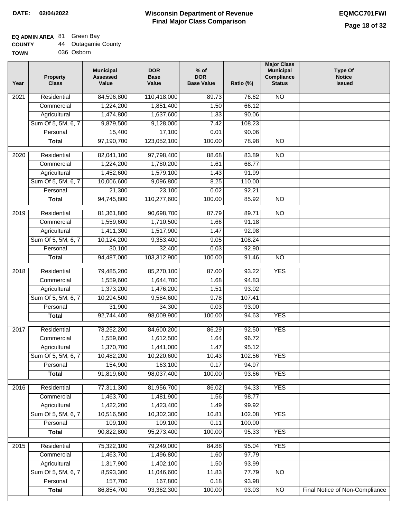## **EQ ADMIN AREA** 81 Green Bay

| <b>COUNTY</b> |  | <b>Outagamie County</b> |  |
|---------------|--|-------------------------|--|
|---------------|--|-------------------------|--|

**TOWN** 036 Osborn

| Residential<br><b>NO</b><br>$\overline{202}1$<br>84,596,800<br>110,418,000<br>89.73<br>76.62<br>1,224,200<br>1,851,400<br>1.50<br>66.12<br>Commercial<br>Agricultural<br>1,474,800<br>1,637,600<br>90.06<br>1.33<br>Sum Of 5, 5M, 6, 7<br>9,879,500<br>9,128,000<br>7.42<br>108.23<br>15,400<br>17,100<br>Personal<br>0.01<br>90.06<br>97,190,700<br>123,052,100<br>100.00<br>78.98<br>$\overline{NO}$<br><b>Total</b><br>$\overline{2020}$<br>Residential<br>82,041,100<br>97,798,400<br>88.68<br>83.89<br>N <sub>O</sub><br>1,780,200<br>1,224,200<br>1.61<br>68.77<br>Commercial<br>1,452,600<br>1,579,100<br>1.43<br>91.99<br>Agricultural<br>Sum Of 5, 5M, 6, 7<br>10,006,600<br>9,096,800<br>8.25<br>110.00<br>23,100<br>Personal<br>21,300<br>0.02<br>92.21 |  |
|--------------------------------------------------------------------------------------------------------------------------------------------------------------------------------------------------------------------------------------------------------------------------------------------------------------------------------------------------------------------------------------------------------------------------------------------------------------------------------------------------------------------------------------------------------------------------------------------------------------------------------------------------------------------------------------------------------------------------------------------------------------------|--|
|                                                                                                                                                                                                                                                                                                                                                                                                                                                                                                                                                                                                                                                                                                                                                                    |  |
|                                                                                                                                                                                                                                                                                                                                                                                                                                                                                                                                                                                                                                                                                                                                                                    |  |
|                                                                                                                                                                                                                                                                                                                                                                                                                                                                                                                                                                                                                                                                                                                                                                    |  |
|                                                                                                                                                                                                                                                                                                                                                                                                                                                                                                                                                                                                                                                                                                                                                                    |  |
|                                                                                                                                                                                                                                                                                                                                                                                                                                                                                                                                                                                                                                                                                                                                                                    |  |
|                                                                                                                                                                                                                                                                                                                                                                                                                                                                                                                                                                                                                                                                                                                                                                    |  |
|                                                                                                                                                                                                                                                                                                                                                                                                                                                                                                                                                                                                                                                                                                                                                                    |  |
|                                                                                                                                                                                                                                                                                                                                                                                                                                                                                                                                                                                                                                                                                                                                                                    |  |
|                                                                                                                                                                                                                                                                                                                                                                                                                                                                                                                                                                                                                                                                                                                                                                    |  |
|                                                                                                                                                                                                                                                                                                                                                                                                                                                                                                                                                                                                                                                                                                                                                                    |  |
|                                                                                                                                                                                                                                                                                                                                                                                                                                                                                                                                                                                                                                                                                                                                                                    |  |
| 110,277,600<br>94,745,800<br>100.00<br>85.92<br>$\overline{NO}$<br><b>Total</b>                                                                                                                                                                                                                                                                                                                                                                                                                                                                                                                                                                                                                                                                                    |  |
|                                                                                                                                                                                                                                                                                                                                                                                                                                                                                                                                                                                                                                                                                                                                                                    |  |
| 2019<br>Residential<br>81,361,800<br>90,698,700<br>87.79<br>89.71<br>$\overline{3}$                                                                                                                                                                                                                                                                                                                                                                                                                                                                                                                                                                                                                                                                                |  |
| 1,559,600<br>1,710,500<br>91.18<br>Commercial<br>1.66                                                                                                                                                                                                                                                                                                                                                                                                                                                                                                                                                                                                                                                                                                              |  |
| 1,411,300<br>1,517,900<br>1.47<br>92.98<br>Agricultural                                                                                                                                                                                                                                                                                                                                                                                                                                                                                                                                                                                                                                                                                                            |  |
| Sum Of 5, 5M, 6, 7<br>10,124,200<br>9,353,400<br>9.05<br>108.24                                                                                                                                                                                                                                                                                                                                                                                                                                                                                                                                                                                                                                                                                                    |  |
| Personal<br>30,100<br>32,400<br>0.03<br>92.90                                                                                                                                                                                                                                                                                                                                                                                                                                                                                                                                                                                                                                                                                                                      |  |
| 94,487,000<br>103,312,900<br>100.00<br>$\overline{NO}$<br><b>Total</b><br>91.46                                                                                                                                                                                                                                                                                                                                                                                                                                                                                                                                                                                                                                                                                    |  |
| Residential<br>79,485,200<br>85,270,100<br>93.22<br><b>YES</b><br>2018<br>87.00                                                                                                                                                                                                                                                                                                                                                                                                                                                                                                                                                                                                                                                                                    |  |
| 1,644,700<br>Commercial<br>1,559,600<br>1.68<br>94.83                                                                                                                                                                                                                                                                                                                                                                                                                                                                                                                                                                                                                                                                                                              |  |
| 1,373,200<br>93.02<br>Agricultural<br>1,476,200<br>1.51                                                                                                                                                                                                                                                                                                                                                                                                                                                                                                                                                                                                                                                                                                            |  |
| Sum Of 5, 5M, 6, 7<br>10,294,500<br>9,584,600<br>9.78<br>107.41                                                                                                                                                                                                                                                                                                                                                                                                                                                                                                                                                                                                                                                                                                    |  |
| Personal<br>31,900<br>34,300<br>0.03<br>93.00                                                                                                                                                                                                                                                                                                                                                                                                                                                                                                                                                                                                                                                                                                                      |  |
| 92,744,400<br>98,009,900<br>100.00<br><b>YES</b><br><b>Total</b><br>94.63                                                                                                                                                                                                                                                                                                                                                                                                                                                                                                                                                                                                                                                                                          |  |
|                                                                                                                                                                                                                                                                                                                                                                                                                                                                                                                                                                                                                                                                                                                                                                    |  |
| $\overline{2017}$<br>Residential<br>78,252,200<br>84,600,200<br>92.50<br><b>YES</b><br>86.29                                                                                                                                                                                                                                                                                                                                                                                                                                                                                                                                                                                                                                                                       |  |
| Commercial<br>1,559,600<br>1,612,500<br>1.64<br>96.72                                                                                                                                                                                                                                                                                                                                                                                                                                                                                                                                                                                                                                                                                                              |  |
| 1,370,700<br>1,441,000<br>95.12<br>1.47<br>Agricultural                                                                                                                                                                                                                                                                                                                                                                                                                                                                                                                                                                                                                                                                                                            |  |
| 10,482,200<br>102.56<br>Sum Of 5, 5M, 6, 7<br>10,220,600<br>10.43<br><b>YES</b>                                                                                                                                                                                                                                                                                                                                                                                                                                                                                                                                                                                                                                                                                    |  |
| 154,900<br>163,100<br>Personal<br>0.17<br>94.97                                                                                                                                                                                                                                                                                                                                                                                                                                                                                                                                                                                                                                                                                                                    |  |
| 91,819,600<br>98,037,400<br>100.00<br><b>YES</b><br><b>Total</b><br>93.66                                                                                                                                                                                                                                                                                                                                                                                                                                                                                                                                                                                                                                                                                          |  |
| 77,311,300<br>81,956,700<br><b>YES</b><br>Residential<br>86.02<br>2016<br>94.33                                                                                                                                                                                                                                                                                                                                                                                                                                                                                                                                                                                                                                                                                    |  |
| 1,463,700<br>1,481,900<br>1.56<br>98.77<br>Commercial                                                                                                                                                                                                                                                                                                                                                                                                                                                                                                                                                                                                                                                                                                              |  |
| Agricultural<br>1,422,200<br>1,423,400<br>99.92<br>1.49                                                                                                                                                                                                                                                                                                                                                                                                                                                                                                                                                                                                                                                                                                            |  |
| Sum Of 5, 5M, 6, 7<br>10,516,500<br>10.81<br><b>YES</b><br>10,302,300<br>102.08                                                                                                                                                                                                                                                                                                                                                                                                                                                                                                                                                                                                                                                                                    |  |
| 109,100<br>Personal<br>109,100<br>0.11<br>100.00                                                                                                                                                                                                                                                                                                                                                                                                                                                                                                                                                                                                                                                                                                                   |  |
| <b>YES</b><br>90,822,800<br>95,273,400<br>100.00<br>95.33<br><b>Total</b>                                                                                                                                                                                                                                                                                                                                                                                                                                                                                                                                                                                                                                                                                          |  |
| <b>YES</b><br>Residential<br>75,322,100<br>79,249,000<br>84.88<br>95.04<br>2015                                                                                                                                                                                                                                                                                                                                                                                                                                                                                                                                                                                                                                                                                    |  |
| 1,463,700<br>97.79<br>1,496,800<br>1.60<br>Commercial                                                                                                                                                                                                                                                                                                                                                                                                                                                                                                                                                                                                                                                                                                              |  |
| 1,317,900<br>1,402,100<br>1.50<br>93.99<br>Agricultural                                                                                                                                                                                                                                                                                                                                                                                                                                                                                                                                                                                                                                                                                                            |  |
| Sum Of 5, 5M, 6, 7<br>8,593,300<br>11,046,600<br>11.83<br>77.79<br><b>NO</b>                                                                                                                                                                                                                                                                                                                                                                                                                                                                                                                                                                                                                                                                                       |  |
| 157,700<br>167,800<br>93.98<br>Personal<br>0.18                                                                                                                                                                                                                                                                                                                                                                                                                                                                                                                                                                                                                                                                                                                    |  |
| 86,854,700<br>Final Notice of Non-Compliance<br><b>Total</b><br>93,362,300<br>100.00<br>93.03<br>N <sub>O</sub>                                                                                                                                                                                                                                                                                                                                                                                                                                                                                                                                                                                                                                                    |  |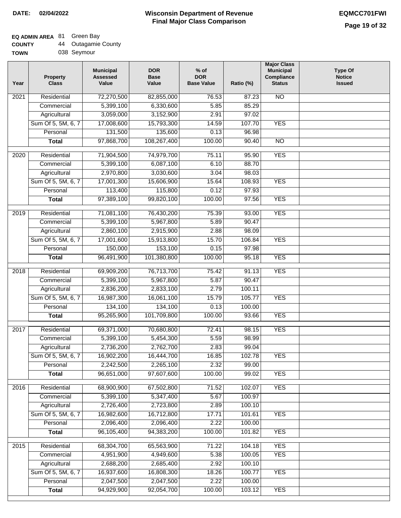# **EQ ADMIN AREA** 81 Green Bay

| <b>COUNTY</b> | 44 | <b>Outagamie County</b> |
|---------------|----|-------------------------|
| <b>TOWN</b>   |    | 038 Seymour             |

038 Seymour

| Year              | <b>Property</b><br><b>Class</b> | <b>Municipal</b><br><b>Assessed</b><br>Value | <b>DOR</b><br><b>Base</b><br>Value | $%$ of<br><b>DOR</b><br><b>Base Value</b> | Ratio (%) | <b>Major Class</b><br><b>Municipal</b><br>Compliance<br><b>Status</b> | <b>Type Of</b><br><b>Notice</b><br><b>Issued</b> |
|-------------------|---------------------------------|----------------------------------------------|------------------------------------|-------------------------------------------|-----------|-----------------------------------------------------------------------|--------------------------------------------------|
| 2021              | Residential                     | 72,270,500                                   | 82,855,000                         | 76.53                                     | 87.23     | $\overline{NO}$                                                       |                                                  |
|                   | Commercial                      | 5,399,100                                    | 6,330,600                          | 5.85                                      | 85.29     |                                                                       |                                                  |
|                   | Agricultural                    | 3,059,000                                    | 3,152,900                          | 2.91                                      | 97.02     |                                                                       |                                                  |
|                   | Sum Of 5, 5M, 6, 7              | 17,008,600                                   | 15,793,300                         | 14.59                                     | 107.70    | <b>YES</b>                                                            |                                                  |
|                   | Personal                        | 131,500                                      | 135,600                            | 0.13                                      | 96.98     |                                                                       |                                                  |
|                   | <b>Total</b>                    | 97,868,700                                   | 108,267,400                        | 100.00                                    | 90.40     | $\overline{NO}$                                                       |                                                  |
| $\overline{2020}$ | Residential                     | 71,904,500                                   | 74,979,700                         | 75.11                                     | 95.90     | <b>YES</b>                                                            |                                                  |
|                   | Commercial                      | 5,399,100                                    | 6,087,100                          | 6.10                                      | 88.70     |                                                                       |                                                  |
|                   | Agricultural                    | 2,970,800                                    | 3,030,600                          | 3.04                                      | 98.03     |                                                                       |                                                  |
|                   | Sum Of 5, 5M, 6, 7              | 17,001,300                                   | 15,606,900                         | 15.64                                     | 108.93    | <b>YES</b>                                                            |                                                  |
|                   | Personal                        | 113,400                                      | 115,800                            | 0.12                                      | 97.93     |                                                                       |                                                  |
|                   | <b>Total</b>                    | 97,389,100                                   | 99,820,100                         | 100.00                                    | 97.56     | <b>YES</b>                                                            |                                                  |
| $\frac{1}{2019}$  | Residential                     | 71,081,100                                   | 76,430,200                         | 75.39                                     | 93.00     | <b>YES</b>                                                            |                                                  |
|                   | Commercial                      | 5,399,100                                    | 5,967,800                          | 5.89                                      | 90.47     |                                                                       |                                                  |
|                   | Agricultural                    | 2,860,100                                    | 2,915,900                          | 2.88                                      | 98.09     |                                                                       |                                                  |
|                   | Sum Of 5, 5M, 6, 7              | 17,001,600                                   | 15,913,800                         | 15.70                                     | 106.84    | <b>YES</b>                                                            |                                                  |
|                   | Personal                        | 150,000                                      | 153,100                            | 0.15                                      | 97.98     |                                                                       |                                                  |
|                   | <b>Total</b>                    | 96,491,900                                   | 101,380,800                        | 100.00                                    | 95.18     | <b>YES</b>                                                            |                                                  |
|                   |                                 |                                              |                                    |                                           |           |                                                                       |                                                  |
| 2018              | Residential                     | 69,909,200                                   | 76,713,700                         | 75.42                                     | 91.13     | <b>YES</b>                                                            |                                                  |
|                   | Commercial                      | 5,399,100                                    | 5,967,800                          | 5.87                                      | 90.47     |                                                                       |                                                  |
|                   | Agricultural                    | 2,836,200                                    | 2,833,100                          | 2.79                                      | 100.11    |                                                                       |                                                  |
|                   | Sum Of 5, 5M, 6, 7              | 16,987,300                                   | 16,061,100                         | 15.79                                     | 105.77    | <b>YES</b>                                                            |                                                  |
|                   | Personal                        | 134,100                                      | 134,100                            | 0.13                                      | 100.00    |                                                                       |                                                  |
|                   | <b>Total</b>                    | 95,265,900                                   | 101,709,800                        | 100.00                                    | 93.66     | <b>YES</b>                                                            |                                                  |
| 2017              | Residential                     | 69,371,000                                   | 70,680,800                         | 72.41                                     | 98.15     | <b>YES</b>                                                            |                                                  |
|                   | Commercial                      | 5,399,100                                    | 5,454,300                          | 5.59                                      | 98.99     |                                                                       |                                                  |
|                   | Agricultural                    | 2,736,200                                    | 2,762,700                          | 2.83                                      | 99.04     |                                                                       |                                                  |
|                   | Sum Of 5, 5M, 6, 7              | 16,902,200                                   | 16,444,700                         | 16.85                                     | 102.78    | YES                                                                   |                                                  |
|                   | Personal                        | 2,242,500                                    | 2,265,100                          | 2.32                                      | 99.00     |                                                                       |                                                  |
|                   | <b>Total</b>                    | 96,651,000                                   | 97,607,600                         | 100.00                                    | 99.02     | <b>YES</b>                                                            |                                                  |
| 2016              | Residential                     | 68,900,900                                   | 67,502,800                         | 71.52                                     | 102.07    | <b>YES</b>                                                            |                                                  |
|                   | Commercial                      | 5,399,100                                    | 5,347,400                          | 5.67                                      | 100.97    |                                                                       |                                                  |
|                   | Agricultural                    | 2,726,400                                    | 2,723,800                          | 2.89                                      | 100.10    |                                                                       |                                                  |
|                   | Sum Of 5, 5M, 6, 7              | 16,982,600                                   | 16,712,800                         | 17.71                                     | 101.61    | <b>YES</b>                                                            |                                                  |
|                   | Personal                        | 2,096,400                                    | 2,096,400                          | 2.22                                      | 100.00    |                                                                       |                                                  |
|                   | <b>Total</b>                    | 96,105,400                                   | 94,383,200                         | 100.00                                    | 101.82    | <b>YES</b>                                                            |                                                  |
| 2015              | Residential                     | 68,304,700                                   | 65,563,900                         | 71.22                                     | 104.18    | <b>YES</b>                                                            |                                                  |
|                   |                                 | 4,951,900                                    | 4,949,600                          | 5.38                                      | 100.05    | <b>YES</b>                                                            |                                                  |
|                   | Commercial<br>Agricultural      | 2,688,200                                    | 2,685,400                          | 2.92                                      | 100.10    |                                                                       |                                                  |
|                   | Sum Of 5, 5M, 6, 7              | 16,937,600                                   | 16,808,300                         | 18.26                                     | 100.77    | <b>YES</b>                                                            |                                                  |
|                   | Personal                        | 2,047,500                                    | 2,047,500                          | 2.22                                      | 100.00    |                                                                       |                                                  |
|                   | <b>Total</b>                    | 94,929,900                                   | 92,054,700                         | 100.00                                    | 103.12    | <b>YES</b>                                                            |                                                  |
|                   |                                 |                                              |                                    |                                           |           |                                                                       |                                                  |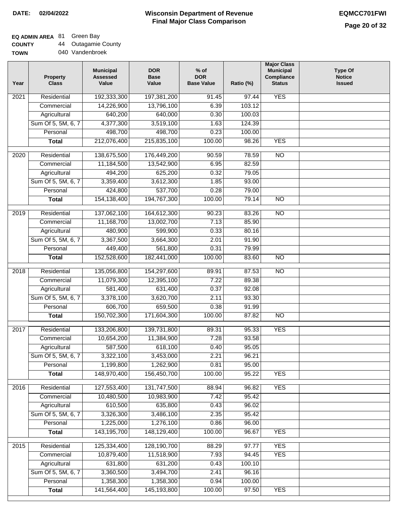٦

### **EQ ADMIN AREA** 81 Green Bay

**COUNTY** 44 Outagamie County

| <b>TOWN</b> | 040 Vandenbroek |
|-------------|-----------------|

| Year             | <b>Property</b><br><b>Class</b> | <b>Municipal</b><br><b>Assessed</b><br>Value | <b>DOR</b><br><b>Base</b><br>Value | $%$ of<br><b>DOR</b><br><b>Base Value</b> | Ratio (%)      | <b>Major Class</b><br><b>Municipal</b><br>Compliance<br><b>Status</b> | <b>Type Of</b><br><b>Notice</b><br><b>Issued</b> |
|------------------|---------------------------------|----------------------------------------------|------------------------------------|-------------------------------------------|----------------|-----------------------------------------------------------------------|--------------------------------------------------|
| 2021             | Residential                     | 192,333,300                                  | 197,381,200                        | $\frac{1}{91.45}$                         | 97.44          | <b>YES</b>                                                            |                                                  |
|                  | Commercial                      | 14,226,900                                   | 13,796,100                         | 6.39                                      | 103.12         |                                                                       |                                                  |
|                  | Agricultural                    | 640,200                                      | 640,000                            | 0.30                                      | 100.03         |                                                                       |                                                  |
|                  | Sum Of 5, 5M, 6, 7              | 4,377,300                                    | 3,519,100                          | 1.63                                      | 124.39         |                                                                       |                                                  |
|                  | Personal                        | 498,700                                      | 498,700                            | 0.23                                      | 100.00         |                                                                       |                                                  |
|                  | <b>Total</b>                    | 212,076,400                                  | 215,835,100                        | 100.00                                    | 98.26          | <b>YES</b>                                                            |                                                  |
| 2020             | Residential                     | 138,675,500                                  | 176,449,200                        | 90.59                                     | 78.59          | $\overline{10}$                                                       |                                                  |
|                  | Commercial                      | 11,184,500                                   | 13,542,900                         | 6.95                                      | 82.59          |                                                                       |                                                  |
|                  | Agricultural                    | 494,200                                      | 625,200                            | 0.32                                      | 79.05          |                                                                       |                                                  |
|                  | Sum Of 5, 5M, 6, 7              | 3,359,400                                    | 3,612,300                          | 1.85                                      | 93.00          |                                                                       |                                                  |
|                  | Personal                        | 424,800                                      | 537,700                            | 0.28                                      | 79.00          |                                                                       |                                                  |
|                  | <b>Total</b>                    | 154,138,400                                  | 194,767,300                        | 100.00                                    | 79.14          | <b>NO</b>                                                             |                                                  |
| $\frac{1}{2019}$ | Residential                     | 137,062,100                                  | 164,612,300                        | 90.23                                     | 83.26          | $\overline{NO}$                                                       |                                                  |
|                  | Commercial                      | 11,168,700                                   | 13,002,700                         | 7.13                                      | 85.90          |                                                                       |                                                  |
|                  | Agricultural                    | 480,900                                      | 599,900                            | 0.33                                      | 80.16          |                                                                       |                                                  |
|                  | Sum Of 5, 5M, 6, 7              | 3,367,500                                    | 3,664,300                          | 2.01                                      | 91.90          |                                                                       |                                                  |
|                  | Personal                        | 449,400                                      | 561,800                            | 0.31                                      | 79.99          |                                                                       |                                                  |
|                  | <b>Total</b>                    | 152,528,600                                  | 182,441,000                        | 100.00                                    | 83.60          | $\overline{NO}$                                                       |                                                  |
|                  |                                 |                                              |                                    |                                           |                |                                                                       |                                                  |
| 2018             | Residential<br>Commercial       | 135,056,800<br>11,079,300                    | 154,297,600<br>12,395,100          | 89.91<br>7.22                             | 87.53<br>89.38 | $\overline{10}$                                                       |                                                  |
|                  | Agricultural                    | 581,400                                      | 631,400                            | 0.37                                      | 92.08          |                                                                       |                                                  |
|                  | Sum Of 5, 5M, 6, 7              | 3,378,100                                    | 3,620,700                          | 2.11                                      | 93.30          |                                                                       |                                                  |
|                  | Personal                        | 606,700                                      | 659,500                            | 0.38                                      | 91.99          |                                                                       |                                                  |
|                  | <b>Total</b>                    | 150,702,300                                  | 171,604,300                        | 100.00                                    | 87.82          | $\overline{10}$                                                       |                                                  |
|                  |                                 |                                              |                                    |                                           |                |                                                                       |                                                  |
| 2017             | Residential                     | 133,206,800                                  | 139,731,800                        | 89.31                                     | 95.33          | <b>YES</b>                                                            |                                                  |
|                  | Commercial                      | 10,654,200                                   | 11,384,900                         | 7.28                                      | 93.58          |                                                                       |                                                  |
|                  | Agricultural                    | 587,500                                      | 618,100                            | 0.40                                      | 95.05          |                                                                       |                                                  |
|                  | Sum Of 5, 5M, 6, 7              | 3,322,100                                    | 3,453,000                          | 2.21                                      | 96.21          |                                                                       |                                                  |
|                  | Personal                        | 1,199,800                                    | 1,262,900                          | 0.81                                      | 95.00          |                                                                       |                                                  |
|                  | <b>Total</b>                    | 148,970,400                                  | 156,450,700                        | 100.00                                    | 95.22          | <b>YES</b>                                                            |                                                  |
| 2016             | Residential                     | 127,553,400                                  | 131,747,500                        | 88.94                                     | 96.82          | <b>YES</b>                                                            |                                                  |
|                  | Commercial                      | 10,480,500                                   | 10,983,900                         | 7.42                                      | 95.42          |                                                                       |                                                  |
|                  | Agricultural                    | 610,500                                      | 635,800                            | 0.43                                      | 96.02          |                                                                       |                                                  |
|                  | Sum Of 5, 5M, 6, 7              | 3,326,300                                    | 3,486,100                          | 2.35                                      | 95.42          |                                                                       |                                                  |
|                  | Personal                        | 1,225,000                                    | 1,276,100                          | 0.86                                      | 96.00          |                                                                       |                                                  |
|                  | <b>Total</b>                    | 143,195,700                                  | 148,129,400                        | 100.00                                    | 96.67          | <b>YES</b>                                                            |                                                  |
| 2015             | Residential                     | 125,334,400                                  | 128,190,700                        | 88.29                                     | 97.77          | <b>YES</b>                                                            |                                                  |
|                  | Commercial                      | 10,879,400                                   | 11,518,900                         | 7.93                                      | 94.45          | <b>YES</b>                                                            |                                                  |
|                  | Agricultural                    | 631,800                                      | 631,200                            | 0.43                                      | 100.10         |                                                                       |                                                  |
|                  | Sum Of 5, 5M, 6, 7              | 3,360,500                                    | 3,494,700                          | 2.41                                      | 96.16          |                                                                       |                                                  |
|                  | Personal                        | 1,358,300                                    | 1,358,300                          | 0.94                                      | 100.00         |                                                                       |                                                  |
|                  | <b>Total</b>                    | 141,564,400                                  | 145,193,800                        | 100.00                                    | 97.50          | <b>YES</b>                                                            |                                                  |
|                  |                                 |                                              |                                    |                                           |                |                                                                       |                                                  |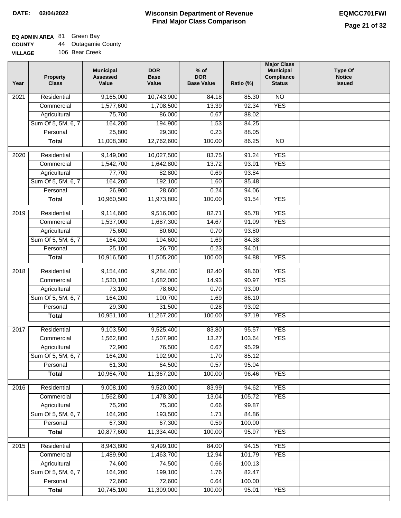## **EQ ADMIN AREA** 81 Green Bay

| <b>COUNTY</b> |  | 44 Outagamie County |
|---------------|--|---------------------|
|---------------|--|---------------------|

**VILLAGE** 106 Bear Creek

| Year              | <b>Property</b><br><b>Class</b> | <b>Municipal</b><br><b>Assessed</b><br>Value | <b>DOR</b><br><b>Base</b><br>Value | $%$ of<br><b>DOR</b><br><b>Base Value</b> | Ratio (%) | <b>Major Class</b><br><b>Municipal</b><br>Compliance<br><b>Status</b> | <b>Type Of</b><br><b>Notice</b><br><b>Issued</b> |
|-------------------|---------------------------------|----------------------------------------------|------------------------------------|-------------------------------------------|-----------|-----------------------------------------------------------------------|--------------------------------------------------|
| $\overline{202}1$ | Residential                     | 9,165,000                                    | 10,743,900                         | 84.18                                     | 85.30     | $\overline{NO}$                                                       |                                                  |
|                   | Commercial                      | 1,577,600                                    | 1,708,500                          | 13.39                                     | 92.34     | <b>YES</b>                                                            |                                                  |
|                   | Agricultural                    | 75,700                                       | 86,000                             | 0.67                                      | 88.02     |                                                                       |                                                  |
|                   | Sum Of 5, 5M, 6, 7              | 164,200                                      | 194,900                            | 1.53                                      | 84.25     |                                                                       |                                                  |
|                   | Personal                        | 25,800                                       | 29,300                             | 0.23                                      | 88.05     |                                                                       |                                                  |
|                   | <b>Total</b>                    | 11,008,300                                   | 12,762,600                         | 100.00                                    | 86.25     | $\overline{NO}$                                                       |                                                  |
| 2020              | Residential                     | 9,149,000                                    | 10,027,500                         | 83.75                                     | 91.24     | <b>YES</b>                                                            |                                                  |
|                   | Commercial                      | 1,542,700                                    | 1,642,800                          | 13.72                                     | 93.91     | <b>YES</b>                                                            |                                                  |
|                   | Agricultural                    | 77,700                                       | 82,800                             | 0.69                                      | 93.84     |                                                                       |                                                  |
|                   | Sum Of 5, 5M, 6, 7              | 164,200                                      | 192,100                            | 1.60                                      | 85.48     |                                                                       |                                                  |
|                   | Personal                        | 26,900                                       | 28,600                             | 0.24                                      | 94.06     |                                                                       |                                                  |
|                   | <b>Total</b>                    | 10,960,500                                   | 11,973,800                         | 100.00                                    | 91.54     | <b>YES</b>                                                            |                                                  |
| 2019              | Residential                     | 9,114,600                                    | 9,516,000                          | 82.71                                     | 95.78     | <b>YES</b>                                                            |                                                  |
|                   | Commercial                      | 1,537,000                                    | 1,687,300                          | 14.67                                     | 91.09     | <b>YES</b>                                                            |                                                  |
|                   | Agricultural                    | 75,600                                       | 80,600                             | 0.70                                      | 93.80     |                                                                       |                                                  |
|                   | Sum Of 5, 5M, 6, 7              | 164,200                                      | 194,600                            | 1.69                                      | 84.38     |                                                                       |                                                  |
|                   | Personal                        | 25,100                                       | 26,700                             | 0.23                                      | 94.01     |                                                                       |                                                  |
|                   | <b>Total</b>                    | 10,916,500                                   | 11,505,200                         | 100.00                                    | 94.88     | <b>YES</b>                                                            |                                                  |
|                   |                                 |                                              |                                    |                                           |           |                                                                       |                                                  |
| 2018              | Residential                     | 9,154,400                                    | 9,284,400                          | 82.40                                     | 98.60     | <b>YES</b>                                                            |                                                  |
|                   | Commercial                      | 1,530,100                                    | 1,682,000                          | 14.93                                     | 90.97     | <b>YES</b>                                                            |                                                  |
|                   | Agricultural                    | 73,100                                       | 78,600                             | 0.70                                      | 93.00     |                                                                       |                                                  |
|                   | Sum Of 5, 5M, 6, 7              | 164,200                                      | 190,700                            | 1.69                                      | 86.10     |                                                                       |                                                  |
|                   | Personal                        | 29,300                                       | 31,500                             | 0.28                                      | 93.02     |                                                                       |                                                  |
|                   | <b>Total</b>                    | 10,951,100                                   | 11,267,200                         | 100.00                                    | 97.19     | <b>YES</b>                                                            |                                                  |
| 2017              | Residential                     | 9,103,500                                    | 9,525,400                          | 83.80                                     | 95.57     | <b>YES</b>                                                            |                                                  |
|                   | Commercial                      | 1,562,800                                    | 1,507,900                          | 13.27                                     | 103.64    | <b>YES</b>                                                            |                                                  |
|                   | Agricultural                    | 72,900                                       | 76,500                             | 0.67                                      | 95.29     |                                                                       |                                                  |
|                   | Sum Of 5, 5M, 6, 7              | 164,200                                      | 192,900                            | 1.70                                      | 85.12     |                                                                       |                                                  |
|                   | Personal                        | 61,300                                       | 64,500                             | 0.57                                      | 95.04     |                                                                       |                                                  |
|                   | <b>Total</b>                    | 10,964,700                                   | 11,367,200                         | 100.00                                    | 96.46     | <b>YES</b>                                                            |                                                  |
| 2016              | Residential                     | 9,008,100                                    | 9,520,000                          | 83.99                                     | 94.62     | <b>YES</b>                                                            |                                                  |
|                   | Commercial                      | 1,562,800                                    | 1,478,300                          | 13.04                                     | 105.72    | <b>YES</b>                                                            |                                                  |
|                   | Agricultural                    | 75,200                                       | 75,300                             | 0.66                                      | 99.87     |                                                                       |                                                  |
|                   | Sum Of 5, 5M, 6, 7              | 164,200                                      | 193,500                            | 1.71                                      | 84.86     |                                                                       |                                                  |
|                   | Personal                        | 67,300                                       | 67,300                             | 0.59                                      | 100.00    |                                                                       |                                                  |
|                   | <b>Total</b>                    | 10,877,600                                   | 11,334,400                         | 100.00                                    | 95.97     | <b>YES</b>                                                            |                                                  |
| 2015              | Residential                     | 8,943,800                                    | 9,499,100                          | 84.00                                     | 94.15     | <b>YES</b>                                                            |                                                  |
|                   | Commercial                      | 1,489,900                                    | 1,463,700                          | 12.94                                     | 101.79    | <b>YES</b>                                                            |                                                  |
|                   | Agricultural                    | 74,600                                       | 74,500                             | 0.66                                      | 100.13    |                                                                       |                                                  |
|                   | Sum Of 5, 5M, 6, 7              | 164,200                                      | 199,100                            | 1.76                                      | 82.47     |                                                                       |                                                  |
|                   | Personal                        | 72,600                                       | 72,600                             | 0.64                                      | 100.00    |                                                                       |                                                  |
|                   | <b>Total</b>                    | 10,745,100                                   | 11,309,000                         | 100.00                                    | 95.01     | <b>YES</b>                                                            |                                                  |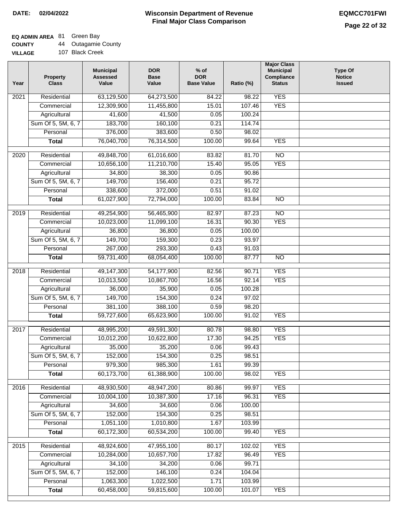### **EQ ADMIN AREA** 81 Green Bay

| <b>COUNTY</b> |  | <b>Outagamie County</b> |  |
|---------------|--|-------------------------|--|
|---------------|--|-------------------------|--|

| - - - - - - -  |                 |
|----------------|-----------------|
| <b>VILLAGE</b> | 107 Black Creek |

| Year              | <b>Property</b><br><b>Class</b> | <b>Municipal</b><br><b>Assessed</b><br>Value | <b>DOR</b><br><b>Base</b><br>Value | $%$ of<br><b>DOR</b><br><b>Base Value</b> | Ratio (%)         | <b>Major Class</b><br><b>Municipal</b><br>Compliance<br><b>Status</b> | <b>Type Of</b><br><b>Notice</b><br><b>Issued</b> |
|-------------------|---------------------------------|----------------------------------------------|------------------------------------|-------------------------------------------|-------------------|-----------------------------------------------------------------------|--------------------------------------------------|
| 2021              | Residential                     | 63,129,500                                   | 64,273,500                         | 84.22                                     | $\frac{1}{98.22}$ | <b>YES</b>                                                            |                                                  |
|                   | Commercial                      | 12,309,900                                   | 11,455,800                         | 15.01                                     | 107.46            | <b>YES</b>                                                            |                                                  |
|                   | Agricultural                    | 41,600                                       | 41,500                             | 0.05                                      | 100.24            |                                                                       |                                                  |
|                   | Sum Of 5, 5M, 6, 7              | 183,700                                      | 160,100                            | 0.21                                      | 114.74            |                                                                       |                                                  |
|                   | Personal                        | 376,000                                      | 383,600                            | 0.50                                      | 98.02             |                                                                       |                                                  |
|                   | <b>Total</b>                    | 76,040,700                                   | 76,314,500                         | 100.00                                    | 99.64             | <b>YES</b>                                                            |                                                  |
| $\overline{2020}$ | Residential                     | 49,848,700                                   | 61,016,600                         | 83.82                                     | 81.70             | $\overline{10}$                                                       |                                                  |
|                   | Commercial                      | 10,656,100                                   | 11,210,700                         | 15.40                                     | 95.05             | <b>YES</b>                                                            |                                                  |
|                   | Agricultural                    | 34,800                                       | 38,300                             | 0.05                                      | 90.86             |                                                                       |                                                  |
|                   | Sum Of 5, 5M, 6, 7              | 149,700                                      | 156,400                            | 0.21                                      | 95.72             |                                                                       |                                                  |
|                   | Personal                        | 338,600                                      | 372,000                            | 0.51                                      | 91.02             |                                                                       |                                                  |
|                   | <b>Total</b>                    | 61,027,900                                   | 72,794,000                         | 100.00                                    | 83.84             | $\overline{NO}$                                                       |                                                  |
|                   |                                 |                                              |                                    |                                           |                   |                                                                       |                                                  |
| $\frac{2019}{ }$  | Residential                     | 49,254,900                                   | 56,465,900                         | 82.97                                     | 87.23             | $\overline{NO}$                                                       |                                                  |
|                   | Commercial                      | 10,023,000                                   | 11,099,100                         | 16.31                                     | 90.30             | <b>YES</b>                                                            |                                                  |
|                   | Agricultural                    | 36,800                                       | 36,800                             | 0.05                                      | 100.00            |                                                                       |                                                  |
|                   | Sum Of 5, 5M, 6, 7              | 149,700                                      | 159,300                            | 0.23                                      | 93.97             |                                                                       |                                                  |
|                   | Personal                        | 267,000                                      | 293,300                            | 0.43                                      | 91.03             |                                                                       |                                                  |
|                   | <b>Total</b>                    | 59,731,400                                   | 68,054,400                         | 100.00                                    | 87.77             | $\overline{NO}$                                                       |                                                  |
| 2018              | Residential                     | 49,147,300                                   | 54,177,900                         | 82.56                                     | 90.71             | <b>YES</b>                                                            |                                                  |
|                   | Commercial                      | 10,013,500                                   | 10,867,700                         | 16.56                                     | 92.14             | <b>YES</b>                                                            |                                                  |
|                   | Agricultural                    | 36,000                                       | 35,900                             | 0.05                                      | 100.28            |                                                                       |                                                  |
|                   | Sum Of 5, 5M, 6, 7              | 149,700                                      | 154,300                            | 0.24                                      | 97.02             |                                                                       |                                                  |
|                   | Personal                        | 381,100                                      | 388,100                            | 0.59                                      | 98.20             |                                                                       |                                                  |
|                   | <b>Total</b>                    | 59,727,600                                   | 65,623,900                         | 100.00                                    | 91.02             | <b>YES</b>                                                            |                                                  |
| 2017              | Residential                     | 48,995,200                                   | 49,591,300                         | 80.78                                     | 98.80             | <b>YES</b>                                                            |                                                  |
|                   | Commercial                      | 10,012,200                                   | 10,622,800                         | 17.30                                     | 94.25             | <b>YES</b>                                                            |                                                  |
|                   | Agricultural                    | 35,000                                       | 35,200                             | 0.06                                      | 99.43             |                                                                       |                                                  |
|                   | Sum Of 5, 5M, 6, 7              | 152,000                                      | 154,300                            | 0.25                                      | 98.51             |                                                                       |                                                  |
|                   | Personal                        | 979,300                                      | 985,300                            | 1.61                                      | 99.39             |                                                                       |                                                  |
|                   | <b>Total</b>                    | 60,173,700                                   | 61,388,900                         | 100.00                                    | 98.02             | <b>YES</b>                                                            |                                                  |
|                   |                                 |                                              |                                    |                                           |                   |                                                                       |                                                  |
| 2016              | Residential                     | 48,930,500                                   | 48,947,200                         | 80.86                                     | 99.97             | <b>YES</b>                                                            |                                                  |
|                   | Commercial                      | 10,004,100                                   | 10,387,300                         | 17.16                                     | 96.31             | <b>YES</b>                                                            |                                                  |
|                   | Agricultural                    | 34,600                                       | 34,600                             | 0.06                                      | 100.00            |                                                                       |                                                  |
|                   | Sum Of 5, 5M, 6, 7              | 152,000                                      | 154,300                            | 0.25                                      | 98.51             |                                                                       |                                                  |
|                   | Personal                        | 1,051,100                                    | 1,010,800                          | 1.67                                      | 103.99            |                                                                       |                                                  |
|                   | <b>Total</b>                    | 60,172,300                                   | 60,534,200                         | 100.00                                    | 99.40             | <b>YES</b>                                                            |                                                  |
| 2015              | Residential                     | 48,924,600                                   | 47,955,100                         | 80.17                                     | 102.02            | <b>YES</b>                                                            |                                                  |
|                   | Commercial                      | 10,284,000                                   | 10,657,700                         | 17.82                                     | 96.49             | <b>YES</b>                                                            |                                                  |
|                   | Agricultural                    | 34,100                                       | 34,200                             | 0.06                                      | 99.71             |                                                                       |                                                  |
|                   | Sum Of 5, 5M, 6, 7              | 152,000                                      | 146,100                            | 0.24                                      | 104.04            |                                                                       |                                                  |
|                   | Personal                        | 1,063,300                                    | 1,022,500                          | 1.71                                      | 103.99            |                                                                       |                                                  |
|                   | <b>Total</b>                    | 60,458,000                                   | 59,815,600                         | 100.00                                    | 101.07            | <b>YES</b>                                                            |                                                  |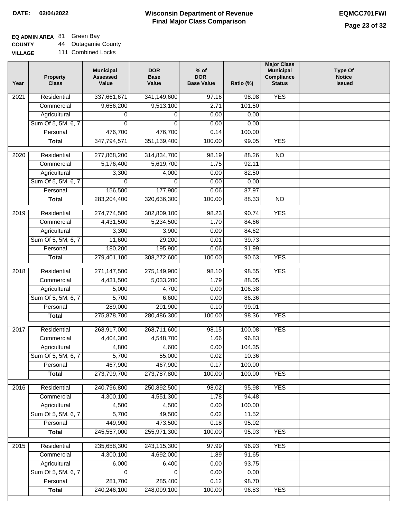## **EQ ADMIN AREA** 81 Green Bay

**COUNTY VILLAGE** 44 Outagamie County 111 Combined Locks

| Year              | <b>Property</b><br><b>Class</b> | <b>Municipal</b><br><b>Assessed</b><br>Value | <b>DOR</b><br><b>Base</b><br>Value | $%$ of<br><b>DOR</b><br><b>Base Value</b> | Ratio (%)      | <b>Major Class</b><br><b>Municipal</b><br>Compliance<br><b>Status</b> | Type Of<br><b>Notice</b><br><b>Issued</b> |
|-------------------|---------------------------------|----------------------------------------------|------------------------------------|-------------------------------------------|----------------|-----------------------------------------------------------------------|-------------------------------------------|
| $\overline{202}1$ | Residential                     | 337,661,671                                  | 341,149,600                        | 97.16                                     | 98.98          | <b>YES</b>                                                            |                                           |
|                   | Commercial                      | 9,656,200                                    | 9,513,100                          | 2.71                                      | 101.50         |                                                                       |                                           |
|                   | Agricultural                    | 0                                            | 0                                  | 0.00                                      | 0.00           |                                                                       |                                           |
|                   | Sum Of 5, 5M, 6, 7              | $\Omega$                                     | $\Omega$                           | 0.00                                      | 0.00           |                                                                       |                                           |
|                   | Personal                        | 476,700                                      | 476,700                            | 0.14                                      | 100.00         |                                                                       |                                           |
|                   | <b>Total</b>                    | 347,794,571                                  | 351,139,400                        | 100.00                                    | 99.05          | <b>YES</b>                                                            |                                           |
|                   |                                 |                                              |                                    |                                           |                |                                                                       |                                           |
| $\overline{2020}$ | Residential                     | 277,868,200<br>5,176,400                     | 314,834,700<br>5,619,700           | 98.19<br>1.75                             | 88.26<br>92.11 | $\overline{NO}$                                                       |                                           |
|                   | Commercial<br>Agricultural      | 3,300                                        | 4,000                              | 0.00                                      | 82.50          |                                                                       |                                           |
|                   | Sum Of 5, 5M, 6, 7              | 0                                            | $\Omega$                           | 0.00                                      | 0.00           |                                                                       |                                           |
|                   | Personal                        | 156,500                                      | 177,900                            | 0.06                                      | 87.97          |                                                                       |                                           |
|                   | <b>Total</b>                    | 283,204,400                                  | 320,636,300                        | 100.00                                    | 88.33          | $\overline{NO}$                                                       |                                           |
|                   |                                 |                                              |                                    |                                           |                |                                                                       |                                           |
| 2019              | Residential                     | 274,774,500                                  | 302,809,100                        | 98.23                                     | 90.74          | <b>YES</b>                                                            |                                           |
|                   | Commercial                      | 4,431,500                                    | 5,234,500                          | 1.70                                      | 84.66          |                                                                       |                                           |
|                   | Agricultural                    | 3,300                                        | 3,900                              | 0.00                                      | 84.62          |                                                                       |                                           |
|                   | Sum Of 5, 5M, 6, 7              | 11,600                                       | 29,200                             | 0.01                                      | 39.73          |                                                                       |                                           |
|                   | Personal                        | 180,200                                      | 195,900                            | 0.06                                      | 91.99          |                                                                       |                                           |
|                   | <b>Total</b>                    | 279,401,100                                  | 308,272,600                        | 100.00                                    | 90.63          | <b>YES</b>                                                            |                                           |
| 2018              | Residential                     | 271,147,500                                  | 275,149,900                        | 98.10                                     | 98.55          | <b>YES</b>                                                            |                                           |
|                   | Commercial                      | 4,431,500                                    | 5,033,200                          | 1.79                                      | 88.05          |                                                                       |                                           |
|                   | Agricultural                    | 5,000                                        | 4,700                              | 0.00                                      | 106.38         |                                                                       |                                           |
|                   | Sum Of 5, 5M, 6, 7              | 5,700                                        | 6,600                              | 0.00                                      | 86.36          |                                                                       |                                           |
|                   | Personal                        | 289,000                                      | 291,900                            | 0.10                                      | 99.01          |                                                                       |                                           |
|                   | <b>Total</b>                    | 275,878,700                                  | 280,486,300                        | 100.00                                    | 98.36          | <b>YES</b>                                                            |                                           |
|                   |                                 |                                              |                                    |                                           |                |                                                                       |                                           |
| 2017              | Residential                     | 268,917,000                                  | 268,711,600                        | 98.15                                     | 100.08         | <b>YES</b>                                                            |                                           |
|                   | Commercial                      | 4,404,300                                    | 4,548,700                          | 1.66                                      | 96.83          |                                                                       |                                           |
|                   | Agricultural                    | 4,800                                        | 4,600                              | 0.00                                      | 104.35         |                                                                       |                                           |
|                   | Sum Of 5, 5M, 6, 7              | 5,700                                        | 55,000                             | 0.02                                      | 10.36          |                                                                       |                                           |
|                   | Personal                        | 467,900                                      | 467,900                            | 0.17                                      | 100.00         |                                                                       |                                           |
|                   | <b>Total</b>                    | 273,799,700                                  | 273,787,800                        | 100.00                                    | 100.00         | <b>YES</b>                                                            |                                           |
| 2016              | Residential                     | 240,796,800                                  | 250,892,500                        | 98.02                                     | 95.98          | <b>YES</b>                                                            |                                           |
|                   | Commercial                      | 4,300,100                                    | 4,551,300                          | 1.78                                      | 94.48          |                                                                       |                                           |
|                   | Agricultural                    | 4,500                                        | 4,500                              | 0.00                                      | 100.00         |                                                                       |                                           |
|                   | Sum Of 5, 5M, 6, 7              | 5,700                                        | 49,500                             | 0.02                                      | 11.52          |                                                                       |                                           |
|                   | Personal                        | 449,900                                      | 473,500                            | 0.18                                      | 95.02          |                                                                       |                                           |
|                   | <b>Total</b>                    | 245,557,000                                  | 255,971,300                        | 100.00                                    | 95.93          | <b>YES</b>                                                            |                                           |
| 2015              | Residential                     | 235,658,300                                  | 243,115,300                        | 97.99                                     | 96.93          | <b>YES</b>                                                            |                                           |
|                   | Commercial                      | 4,300,100                                    | 4,692,000                          | 1.89                                      | 91.65          |                                                                       |                                           |
|                   | Agricultural                    | 6,000                                        | 6,400                              | 0.00                                      | 93.75          |                                                                       |                                           |
|                   | Sum Of 5, 5M, 6, 7              | 0                                            | $\Omega$                           | 0.00                                      | 0.00           |                                                                       |                                           |
|                   | Personal                        | 281,700                                      | 285,400                            | 0.12                                      | 98.70          |                                                                       |                                           |
|                   | <b>Total</b>                    | 240,246,100                                  | 248,099,100                        | 100.00                                    | 96.83          | <b>YES</b>                                                            |                                           |
|                   |                                 |                                              |                                    |                                           |                |                                                                       |                                           |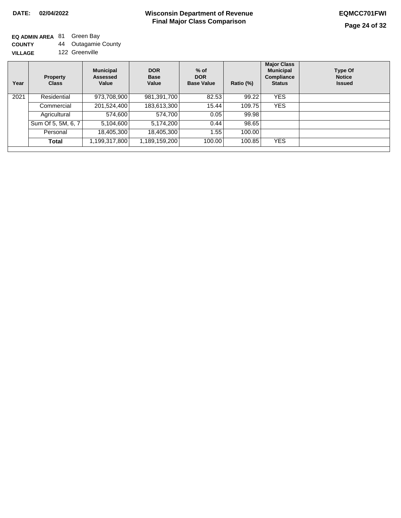**EQ ADMIN AREA** 81 Green Bay **COUNTY**

**VILLAGE** 44 Outagamie County 122 Greenville

| Year | <b>Property</b><br><b>Class</b> | <b>Municipal</b><br>Assessed<br>Value | <b>DOR</b><br><b>Base</b><br>Value | $%$ of<br><b>DOR</b><br><b>Base Value</b> | Ratio (%) | <b>Major Class</b><br><b>Municipal</b><br><b>Compliance</b><br><b>Status</b> | Type Of<br><b>Notice</b><br><b>Issued</b> |
|------|---------------------------------|---------------------------------------|------------------------------------|-------------------------------------------|-----------|------------------------------------------------------------------------------|-------------------------------------------|
| 2021 | Residential                     | 973,708,900                           | 981,391,700                        | 82.53                                     | 99.22     | <b>YES</b>                                                                   |                                           |
|      | Commercial                      | 201,524,400                           | 183,613,300                        | 15.44                                     | 109.75    | <b>YES</b>                                                                   |                                           |
|      | Agricultural                    | 574,600                               | 574,700                            | 0.05                                      | 99.98     |                                                                              |                                           |
|      | Sum Of 5, 5M, 6, 7              | 5,104,600                             | 5,174,200                          | 0.44                                      | 98.65     |                                                                              |                                           |
|      | Personal                        | 18,405,300                            | 18,405,300                         | 1.55                                      | 100.00    |                                                                              |                                           |
|      | Total                           | 1,199,317,800                         | 1,189,159,200                      | 100.00                                    | 100.85    | <b>YES</b>                                                                   |                                           |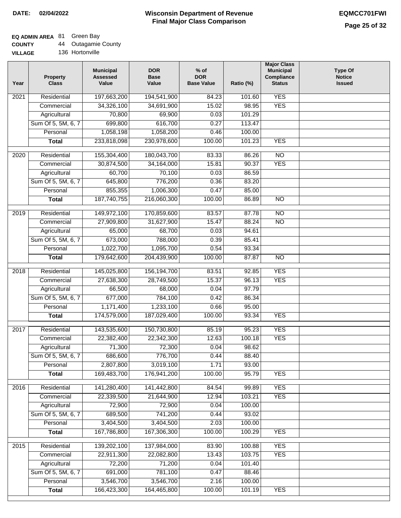## **EQ ADMIN AREA** 81 Green Bay

| <b>COUNTY</b> | 44 Outagamie County |  |
|---------------|---------------------|--|
|---------------|---------------------|--|

| Year | <b>Property</b><br><b>Class</b> | <b>Municipal</b><br><b>Assessed</b><br>Value | <b>DOR</b><br><b>Base</b><br>Value | $%$ of<br><b>DOR</b><br><b>Base Value</b> | Ratio (%) | <b>Major Class</b><br><b>Municipal</b><br>Compliance<br><b>Status</b> | <b>Type Of</b><br><b>Notice</b><br><b>Issued</b> |
|------|---------------------------------|----------------------------------------------|------------------------------------|-------------------------------------------|-----------|-----------------------------------------------------------------------|--------------------------------------------------|
| 2021 | Residential                     | 197,663,200                                  | 194,541,900                        | 84.23                                     | 101.60    | <b>YES</b>                                                            |                                                  |
|      | Commercial                      | 34,326,100                                   | 34,691,900                         | 15.02                                     | 98.95     | <b>YES</b>                                                            |                                                  |
|      | Agricultural                    | 70,800                                       | 69,900                             | 0.03                                      | 101.29    |                                                                       |                                                  |
|      | Sum Of 5, 5M, 6, 7              | 699,800                                      | 616,700                            | 0.27                                      | 113.47    |                                                                       |                                                  |
|      | Personal                        | 1,058,198                                    | 1,058,200                          | 0.46                                      | 100.00    |                                                                       |                                                  |
|      | <b>Total</b>                    | 233,818,098                                  | 230,978,600                        | 100.00                                    | 101.23    | <b>YES</b>                                                            |                                                  |
| 2020 | Residential                     | 155,304,400                                  | 180,043,700                        | 83.33                                     | 86.26     | $\overline{NO}$                                                       |                                                  |
|      | Commercial                      | 30,874,500                                   | 34, 164, 000                       | 15.81                                     | 90.37     | <b>YES</b>                                                            |                                                  |
|      | Agricultural                    | 60,700                                       | 70,100                             | 0.03                                      | 86.59     |                                                                       |                                                  |
|      | Sum Of 5, 5M, 6, 7              | 645,800                                      | 776,200                            | 0.36                                      | 83.20     |                                                                       |                                                  |
|      | Personal                        | 855,355                                      | 1,006,300                          | 0.47                                      | 85.00     |                                                                       |                                                  |
|      | <b>Total</b>                    | 187,740,755                                  | 216,060,300                        | 100.00                                    | 86.89     | $\overline{NO}$                                                       |                                                  |
|      |                                 |                                              |                                    |                                           |           |                                                                       |                                                  |
| 2019 | Residential                     | 149,972,100                                  | 170,859,600                        | 83.57                                     | 87.78     | $\overline{NO}$                                                       |                                                  |
|      | Commercial                      | 27,909,800                                   | 31,627,900                         | 15.47                                     | 88.24     | $\overline{NO}$                                                       |                                                  |
|      | Agricultural                    | 65,000                                       | 68,700                             | 0.03                                      | 94.61     |                                                                       |                                                  |
|      | Sum Of 5, 5M, 6, 7              | 673,000                                      | 788,000                            | 0.39                                      | 85.41     |                                                                       |                                                  |
|      | Personal                        | 1,022,700                                    | 1,095,700                          | 0.54                                      | 93.34     |                                                                       |                                                  |
|      | <b>Total</b>                    | 179,642,600                                  | 204,439,900                        | 100.00                                    | 87.87     | $\overline{NO}$                                                       |                                                  |
| 2018 | Residential                     | 145,025,800                                  | 156, 194, 700                      | 83.51                                     | 92.85     | <b>YES</b>                                                            |                                                  |
|      | Commercial                      | 27,638,300                                   | 28,749,500                         | 15.37                                     | 96.13     | <b>YES</b>                                                            |                                                  |
|      | Agricultural                    | 66,500                                       | 68,000                             | 0.04                                      | 97.79     |                                                                       |                                                  |
|      | Sum Of 5, 5M, 6, 7              | 677,000                                      | 784,100                            | 0.42                                      | 86.34     |                                                                       |                                                  |
|      | Personal                        | 1,171,400                                    | 1,233,100                          | 0.66                                      | 95.00     |                                                                       |                                                  |
|      | <b>Total</b>                    | 174,579,000                                  | 187,029,400                        | 100.00                                    | 93.34     | <b>YES</b>                                                            |                                                  |
| 2017 | Residential                     | 143,535,600                                  | 150,730,800                        | 85.19                                     | 95.23     | <b>YES</b>                                                            |                                                  |
|      | Commercial                      | 22,382,400                                   | 22,342,300                         | 12.63                                     | 100.18    | <b>YES</b>                                                            |                                                  |
|      | Agricultural                    | 71,300                                       | 72,300                             | 0.04                                      | 98.62     |                                                                       |                                                  |
|      | Sum Of 5, 5M, 6, 7              | 686,600                                      | 776,700                            | 0.44                                      | 88.40     |                                                                       |                                                  |
|      | Personal                        | 2,807,800                                    | 3,019,100                          | 1.71                                      | 93.00     |                                                                       |                                                  |
|      | <b>Total</b>                    | 169,483,700                                  | 176,941,200                        | 100.00                                    | 95.79     | <b>YES</b>                                                            |                                                  |
|      |                                 |                                              |                                    |                                           |           |                                                                       |                                                  |
| 2016 | Residential                     | 141,280,400                                  | 141,442,800                        | 84.54                                     | 99.89     | <b>YES</b>                                                            |                                                  |
|      | Commercial                      | 22,339,500                                   | 21,644,900                         | 12.94                                     | 103.21    | <b>YES</b>                                                            |                                                  |
|      | Agricultural                    | 72,900                                       | 72,900                             | 0.04                                      | 100.00    |                                                                       |                                                  |
|      | Sum Of 5, 5M, 6, 7              | 689,500                                      | 741,200                            | 0.44                                      | 93.02     |                                                                       |                                                  |
|      | Personal                        | 3,404,500                                    | 3,404,500                          | 2.03                                      | 100.00    |                                                                       |                                                  |
|      | <b>Total</b>                    | 167,786,800                                  | 167,306,300                        | 100.00                                    | 100.29    | <b>YES</b>                                                            |                                                  |
| 2015 | Residential                     | 139,202,100                                  | 137,984,000                        | 83.90                                     | 100.88    | <b>YES</b>                                                            |                                                  |
|      | Commercial                      | 22,911,300                                   | 22,082,800                         | 13.43                                     | 103.75    | <b>YES</b>                                                            |                                                  |
|      | Agricultural                    | 72,200                                       | 71,200                             | 0.04                                      | 101.40    |                                                                       |                                                  |
|      | Sum Of 5, 5M, 6, 7              | 691,000                                      | 781,100                            | 0.47                                      | 88.46     |                                                                       |                                                  |
|      | Personal                        | 3,546,700                                    | 3,546,700                          | 2.16                                      | 100.00    |                                                                       |                                                  |
|      | <b>Total</b>                    | 166,423,300                                  | 164,465,800                        | 100.00                                    | 101.19    | <b>YES</b>                                                            |                                                  |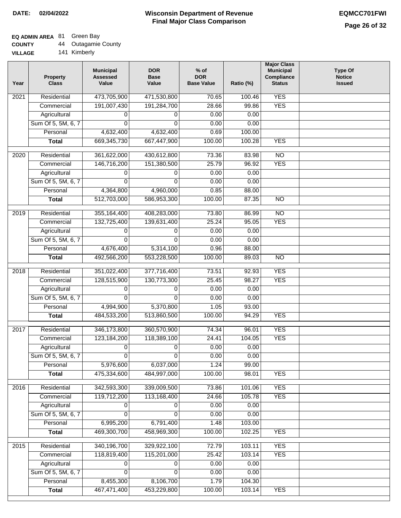## **EQ ADMIN AREA** 81 Green Bay

| <b>COUNTY</b> | Outagamie County |
|---------------|------------------|
|---------------|------------------|

**VILLAGE** 141 Kimberly

| Year             | <b>Property</b><br><b>Class</b> | <b>Municipal</b><br><b>Assessed</b><br>Value | <b>DOR</b><br><b>Base</b><br>Value | $%$ of<br><b>DOR</b><br><b>Base Value</b> | Ratio (%) | <b>Major Class</b><br><b>Municipal</b><br>Compliance<br><b>Status</b> | <b>Type Of</b><br><b>Notice</b><br><b>Issued</b> |
|------------------|---------------------------------|----------------------------------------------|------------------------------------|-------------------------------------------|-----------|-----------------------------------------------------------------------|--------------------------------------------------|
| 2021             | Residential                     | 473,705,900                                  | 471,530,800                        | 70.65                                     | 100.46    | <b>YES</b>                                                            |                                                  |
|                  | Commercial                      | 191,007,430                                  | 191,284,700                        | 28.66                                     | 99.86     | <b>YES</b>                                                            |                                                  |
|                  | Agricultural                    | 0                                            | 0                                  | 0.00                                      | 0.00      |                                                                       |                                                  |
|                  | Sum Of 5, 5M, 6, 7              | 0                                            | 0                                  | 0.00                                      | 0.00      |                                                                       |                                                  |
|                  | Personal                        | 4,632,400                                    | 4,632,400                          | 0.69                                      | 100.00    |                                                                       |                                                  |
|                  | <b>Total</b>                    | 669, 345, 730                                | 667,447,900                        | 100.00                                    | 100.28    | <b>YES</b>                                                            |                                                  |
| 2020             | Residential                     | 361,622,000                                  | 430,612,800                        | 73.36                                     | 83.98     | $\overline{NO}$                                                       |                                                  |
|                  | Commercial                      | 146,716,200                                  | 151,380,500                        | 25.79                                     | 96.92     | <b>YES</b>                                                            |                                                  |
|                  | Agricultural                    | 0                                            | 0                                  | 0.00                                      | 0.00      |                                                                       |                                                  |
|                  | Sum Of 5, 5M, 6, 7              | $\Omega$                                     | $\Omega$                           | 0.00                                      | 0.00      |                                                                       |                                                  |
|                  | Personal                        | 4,364,800                                    | 4,960,000                          | 0.85                                      | 88.00     |                                                                       |                                                  |
|                  | <b>Total</b>                    | 512,703,000                                  | 586,953,300                        | 100.00                                    | 87.35     | $\overline{NO}$                                                       |                                                  |
|                  |                                 |                                              |                                    |                                           |           |                                                                       |                                                  |
| $\frac{1}{2019}$ | Residential                     | 355, 164, 400                                | 408,283,000                        | 73.80                                     | 86.99     | $\overline{NO}$                                                       |                                                  |
|                  | Commercial                      | 132,725,400                                  | 139,631,400                        | 25.24                                     | 95.05     | <b>YES</b>                                                            |                                                  |
|                  | Agricultural                    | 0                                            | 0                                  | 0.00                                      | 0.00      |                                                                       |                                                  |
|                  | Sum Of 5, 5M, 6, 7              | $\Omega$                                     | $\Omega$                           | 0.00                                      | 0.00      |                                                                       |                                                  |
|                  | Personal                        | 4,676,400                                    | 5,314,100                          | 0.96                                      | 88.00     |                                                                       |                                                  |
|                  | <b>Total</b>                    | 492,566,200                                  | 553,228,500                        | 100.00                                    | 89.03     | $\overline{N}$                                                        |                                                  |
| 2018             | Residential                     | 351,022,400                                  | 377,716,400                        | 73.51                                     | 92.93     | <b>YES</b>                                                            |                                                  |
|                  | Commercial                      | 128,515,900                                  | 130,773,300                        | 25.45                                     | 98.27     | <b>YES</b>                                                            |                                                  |
|                  | Agricultural                    | 0                                            | 0                                  | 0.00                                      | 0.00      |                                                                       |                                                  |
|                  | Sum Of 5, 5M, 6, 7              | $\Omega$                                     | $\Omega$                           | 0.00                                      | 0.00      |                                                                       |                                                  |
|                  | Personal                        | 4,994,900                                    | 5,370,800                          | 1.05                                      | 93.00     |                                                                       |                                                  |
|                  | <b>Total</b>                    | 484,533,200                                  | 513,860,500                        | 100.00                                    | 94.29     | <b>YES</b>                                                            |                                                  |
| 2017             | Residential                     | 346, 173, 800                                | 360,570,900                        | 74.34                                     | 96.01     | <b>YES</b>                                                            |                                                  |
|                  | Commercial                      | 123, 184, 200                                | 118,389,100                        | 24.41                                     | 104.05    | <b>YES</b>                                                            |                                                  |
|                  | Agricultural                    | 0                                            | 0                                  | 0.00                                      | 0.00      |                                                                       |                                                  |
|                  | Sum Of 5, 5M, 6, 7              | 0                                            | 0                                  | 0.00                                      | 0.00      |                                                                       |                                                  |
|                  | Personal                        | 5,976,600                                    | 6,037,000                          | 1.24                                      | 99.00     |                                                                       |                                                  |
|                  | <b>Total</b>                    | 475,334,600                                  | 484,997,000                        | 100.00                                    | 98.01     | <b>YES</b>                                                            |                                                  |
|                  |                                 |                                              |                                    |                                           |           |                                                                       |                                                  |
| 2016             | Residential                     | 342,593,300                                  | 339,009,500                        | 73.86                                     | 101.06    | <b>YES</b>                                                            |                                                  |
|                  | Commercial                      | 119,712,200                                  | 113,168,400                        | 24.66                                     | 105.78    | <b>YES</b>                                                            |                                                  |
|                  | Agricultural                    |                                              | 0                                  | 0.00                                      | 0.00      |                                                                       |                                                  |
|                  | Sum Of 5, 5M, 6, 7              | 0                                            | 0                                  | 0.00                                      | 0.00      |                                                                       |                                                  |
|                  | Personal                        | 6,995,200                                    | 6,791,400                          | 1.48                                      | 103.00    |                                                                       |                                                  |
|                  | <b>Total</b>                    | 469,300,700                                  | 458,969,300                        | 100.00                                    | 102.25    | <b>YES</b>                                                            |                                                  |
| 2015             | Residential                     | 340,196,700                                  | 329,922,100                        | 72.79                                     | 103.11    | <b>YES</b>                                                            |                                                  |
|                  | Commercial                      | 118,819,400                                  | 115,201,000                        | 25.42                                     | 103.14    | <b>YES</b>                                                            |                                                  |
|                  | Agricultural                    | 0                                            | 0                                  | 0.00                                      | 0.00      |                                                                       |                                                  |
|                  | Sum Of 5, 5M, 6, 7              | 0                                            | 0                                  | 0.00                                      | 0.00      |                                                                       |                                                  |
|                  | Personal                        | 8,455,300                                    | 8,106,700                          | 1.79                                      | 104.30    |                                                                       |                                                  |
|                  | <b>Total</b>                    | 467,471,400                                  | 453,229,800                        | 100.00                                    | 103.14    | <b>YES</b>                                                            |                                                  |
|                  |                                 |                                              |                                    |                                           |           |                                                                       |                                                  |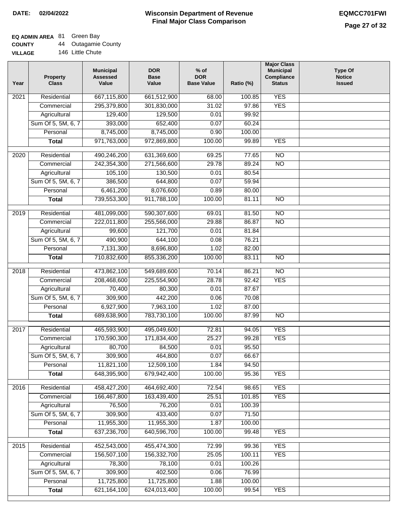## **EQ ADMIN AREA** 81 Green Bay

| <b>COUNTY</b>  | 44 | <b>Outagamie County</b> |
|----------------|----|-------------------------|
| <b>VILLAGE</b> |    | 146 Little Chute        |

| Year              | <b>Property</b><br><b>Class</b> | <b>Municipal</b><br><b>Assessed</b><br>Value | <b>DOR</b><br><b>Base</b><br>Value | % of<br><b>DOR</b><br><b>Base Value</b> | Ratio (%) | <b>Major Class</b><br><b>Municipal</b><br>Compliance<br><b>Status</b> | <b>Type Of</b><br><b>Notice</b><br><b>Issued</b> |
|-------------------|---------------------------------|----------------------------------------------|------------------------------------|-----------------------------------------|-----------|-----------------------------------------------------------------------|--------------------------------------------------|
| 2021              | Residential                     | 667,115,800                                  | 661,512,900                        | 68.00                                   | 100.85    | <b>YES</b>                                                            |                                                  |
|                   | Commercial                      | 295,379,800                                  | 301,830,000                        | 31.02                                   | 97.86     | <b>YES</b>                                                            |                                                  |
|                   | Agricultural                    | 129,400                                      | 129,500                            | 0.01                                    | 99.92     |                                                                       |                                                  |
|                   | Sum Of 5, 5M, 6, 7              | 393,000                                      | 652,400                            | 0.07                                    | 60.24     |                                                                       |                                                  |
|                   | Personal                        | 8,745,000                                    | 8,745,000                          | 0.90                                    | 100.00    |                                                                       |                                                  |
|                   | <b>Total</b>                    | 971,763,000                                  | 972,869,800                        | 100.00                                  | 99.89     | <b>YES</b>                                                            |                                                  |
| $\overline{2020}$ | Residential                     | 490,246,200                                  | 631,369,600                        | 69.25                                   | 77.65     | $\overline{NO}$                                                       |                                                  |
|                   | Commercial                      | 242,354,300                                  | 271,566,600                        | 29.78                                   | 89.24     | $\overline{NO}$                                                       |                                                  |
|                   | Agricultural                    | 105,100                                      | 130,500                            | 0.01                                    | 80.54     |                                                                       |                                                  |
|                   | Sum Of 5, 5M, 6, 7              | 386,500                                      | 644,800                            | 0.07                                    | 59.94     |                                                                       |                                                  |
|                   | Personal                        | 6,461,200                                    | 8,076,600                          | 0.89                                    | 80.00     |                                                                       |                                                  |
|                   | <b>Total</b>                    | 739,553,300                                  | 911,788,100                        | 100.00                                  | 81.11     | $\overline{NO}$                                                       |                                                  |
|                   |                                 |                                              |                                    |                                         |           |                                                                       |                                                  |
| 2019              | Residential                     | 481,099,000                                  | 590,307,600                        | 69.01                                   | 81.50     | $\overline{NO}$                                                       |                                                  |
|                   | Commercial                      | 222,011,800                                  | 255,566,000                        | 29.88                                   | 86.87     | $\overline{NO}$                                                       |                                                  |
|                   | Agricultural                    | 99,600                                       | 121,700                            | 0.01                                    | 81.84     |                                                                       |                                                  |
|                   | Sum Of 5, 5M, 6, 7              | 490,900                                      | 644,100                            | 0.08                                    | 76.21     |                                                                       |                                                  |
|                   | Personal                        | 7,131,300                                    | 8,696,800                          | 1.02                                    | 82.00     |                                                                       |                                                  |
|                   | <b>Total</b>                    | 710,832,600                                  | 855,336,200                        | 100.00                                  | 83.11     | $\overline{NO}$                                                       |                                                  |
| 2018              | Residential                     | 473,862,100                                  | 549,689,600                        | 70.14                                   | 86.21     | $\overline{NO}$                                                       |                                                  |
|                   | Commercial                      | 208,468,600                                  | 225,554,900                        | 28.78                                   | 92.42     | <b>YES</b>                                                            |                                                  |
|                   | Agricultural                    | 70,400                                       | 80,300                             | 0.01                                    | 87.67     |                                                                       |                                                  |
|                   | Sum Of 5, 5M, 6, 7              | 309,900                                      | 442,200                            | 0.06                                    | 70.08     |                                                                       |                                                  |
|                   | Personal                        | 6,927,900                                    | 7,963,100                          | 1.02                                    | 87.00     |                                                                       |                                                  |
|                   | <b>Total</b>                    | 689,638,900                                  | 783,730,100                        | 100.00                                  | 87.99     | $\overline{NO}$                                                       |                                                  |
| $\overline{20}17$ | Residential                     | 465,593,900                                  | 495,049,600                        | 72.81                                   | 94.05     | <b>YES</b>                                                            |                                                  |
|                   | Commercial                      | 170,590,300                                  | 171,834,400                        | 25.27                                   | 99.28     | <b>YES</b>                                                            |                                                  |
|                   | Agricultural                    | 80,700                                       | 84,500                             | 0.01                                    | 95.50     |                                                                       |                                                  |
|                   | Sum Of 5, 5M, 6, 7              | 309,900                                      | 464,800                            | 0.07                                    | 66.67     |                                                                       |                                                  |
|                   | Personal                        | 11,821,100                                   | 12,509,100                         | 1.84                                    | 94.50     |                                                                       |                                                  |
|                   | <b>Total</b>                    | 648,395,900                                  | 679,942,400                        | 100.00                                  | 95.36     | <b>YES</b>                                                            |                                                  |
| 2016              | Residential                     | 458,427,200                                  | 464,692,400                        | 72.54                                   | 98.65     | <b>YES</b>                                                            |                                                  |
|                   | Commercial                      | 166,467,800                                  | 163,439,400                        | 25.51                                   | 101.85    | <b>YES</b>                                                            |                                                  |
|                   | Agricultural                    | 76,500                                       | 76,200                             | 0.01                                    | 100.39    |                                                                       |                                                  |
|                   | Sum Of 5, 5M, 6, 7              | 309,900                                      | 433,400                            | 0.07                                    | 71.50     |                                                                       |                                                  |
|                   | Personal                        | 11,955,300                                   | 11,955,300                         | 1.87                                    | 100.00    |                                                                       |                                                  |
|                   | <b>Total</b>                    | 637,236,700                                  | 640,596,700                        | 100.00                                  | 99.48     | <b>YES</b>                                                            |                                                  |
|                   |                                 |                                              |                                    |                                         |           |                                                                       |                                                  |
| 2015              | Residential                     | 452,543,000                                  | 455,474,300                        | 72.99                                   | 99.36     | <b>YES</b>                                                            |                                                  |
|                   | Commercial                      | 156,507,100                                  | 156,332,700                        | 25.05                                   | 100.11    | <b>YES</b>                                                            |                                                  |
|                   | Agricultural                    | 78,300                                       | 78,100                             | 0.01                                    | 100.26    |                                                                       |                                                  |
|                   | Sum Of 5, 5M, 6, 7              | 309,900                                      | 402,500                            | 0.06                                    | 76.99     |                                                                       |                                                  |
|                   | Personal                        | 11,725,800                                   | 11,725,800                         | 1.88                                    | 100.00    |                                                                       |                                                  |
|                   | <b>Total</b>                    | 621, 164, 100                                | 624,013,400                        | 100.00                                  | 99.54     | <b>YES</b>                                                            |                                                  |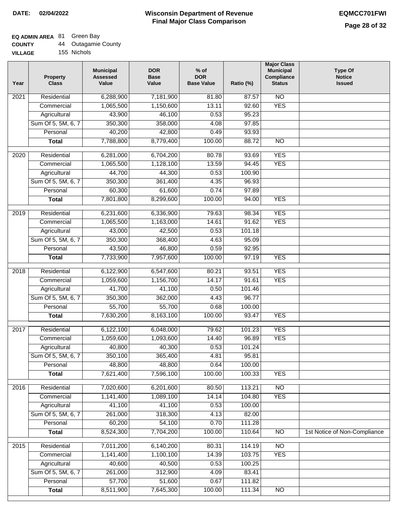### **EQ ADMIN AREA** 81 Green Bay

| <b>COUNTY</b> | Outagamie County |
|---------------|------------------|
|---------------|------------------|

**VILLAGE** 155 Nichols

| Year             | <b>Property</b><br><b>Class</b> | <b>Municipal</b><br><b>Assessed</b><br>Value | <b>DOR</b><br><b>Base</b><br>Value | $%$ of<br><b>DOR</b><br><b>Base Value</b> | Ratio (%) | <b>Major Class</b><br><b>Municipal</b><br>Compliance<br><b>Status</b> | <b>Type Of</b><br><b>Notice</b><br><b>Issued</b> |
|------------------|---------------------------------|----------------------------------------------|------------------------------------|-------------------------------------------|-----------|-----------------------------------------------------------------------|--------------------------------------------------|
| 2021             | Residential                     | 6,288,900                                    | 7,181,900                          | 81.80                                     | 87.57     | $\overline{NO}$                                                       |                                                  |
|                  | Commercial                      | 1,065,500                                    | 1,150,600                          | 13.11                                     | 92.60     | <b>YES</b>                                                            |                                                  |
|                  | Agricultural                    | 43,900                                       | 46,100                             | 0.53                                      | 95.23     |                                                                       |                                                  |
|                  | Sum Of 5, 5M, 6, 7              | 350,300                                      | 358,000                            | 4.08                                      | 97.85     |                                                                       |                                                  |
|                  | Personal                        | 40,200                                       | 42,800                             | 0.49                                      | 93.93     |                                                                       |                                                  |
|                  | <b>Total</b>                    | 7,788,800                                    | 8,779,400                          | 100.00                                    | 88.72     | <b>NO</b>                                                             |                                                  |
| 2020             | Residential                     | 6,281,000                                    | 6,704,200                          | 80.78                                     | 93.69     | <b>YES</b>                                                            |                                                  |
|                  | Commercial                      | 1,065,500                                    | 1,128,100                          | 13.59                                     | 94.45     | <b>YES</b>                                                            |                                                  |
|                  | Agricultural                    | 44,700                                       | 44,300                             | 0.53                                      | 100.90    |                                                                       |                                                  |
|                  | Sum Of 5, 5M, 6, 7              | 350,300                                      | 361,400                            | 4.35                                      | 96.93     |                                                                       |                                                  |
|                  | Personal                        | 60,300                                       | 61,600                             | 0.74                                      | 97.89     |                                                                       |                                                  |
|                  | <b>Total</b>                    | 7,801,800                                    | 8,299,600                          | 100.00                                    | 94.00     | <b>YES</b>                                                            |                                                  |
|                  |                                 |                                              |                                    |                                           |           |                                                                       |                                                  |
| $\frac{1}{2019}$ | Residential                     | 6,231,600                                    | 6,336,900                          | 79.63                                     | 98.34     | <b>YES</b>                                                            |                                                  |
|                  | Commercial                      | 1,065,500                                    | 1,163,000                          | 14.61                                     | 91.62     | <b>YES</b>                                                            |                                                  |
|                  | Agricultural                    | 43,000                                       | 42,500                             | 0.53                                      | 101.18    |                                                                       |                                                  |
|                  | Sum Of 5, 5M, 6, 7              | 350,300                                      | 368,400                            | 4.63                                      | 95.09     |                                                                       |                                                  |
|                  | Personal                        | 43,500                                       | 46,800                             | 0.59                                      | 92.95     |                                                                       |                                                  |
|                  | <b>Total</b>                    | 7,733,900                                    | 7,957,600                          | 100.00                                    | 97.19     | <b>YES</b>                                                            |                                                  |
| 2018             | Residential                     | 6,122,900                                    | 6,547,600                          | 80.21                                     | 93.51     | <b>YES</b>                                                            |                                                  |
|                  | Commercial                      | 1,059,600                                    | 1,156,700                          | 14.17                                     | 91.61     | <b>YES</b>                                                            |                                                  |
|                  | Agricultural                    | 41,700                                       | 41,100                             | 0.50                                      | 101.46    |                                                                       |                                                  |
|                  | Sum Of 5, 5M, 6, 7              | 350,300                                      | 362,000                            | 4.43                                      | 96.77     |                                                                       |                                                  |
|                  | Personal                        | 55,700                                       | 55,700                             | 0.68                                      | 100.00    |                                                                       |                                                  |
|                  | <b>Total</b>                    | 7,630,200                                    | 8,163,100                          | 100.00                                    | 93.47     | <b>YES</b>                                                            |                                                  |
| 2017             | Residential                     | 6,122,100                                    | 6,048,000                          | 79.62                                     | 101.23    | <b>YES</b>                                                            |                                                  |
|                  | Commercial                      | 1,059,600                                    | 1,093,600                          | 14.40                                     | 96.89     | <b>YES</b>                                                            |                                                  |
|                  | Agricultural                    | 40,800                                       | 40,300                             | 0.53                                      | 101.24    |                                                                       |                                                  |
|                  | Sum Of 5, 5M, 6, 7              | 350,100                                      | 365,400                            | 4.81                                      | 95.81     |                                                                       |                                                  |
|                  | Personal                        | 48,800                                       | 48,800                             | 0.64                                      | 100.00    |                                                                       |                                                  |
|                  | <b>Total</b>                    | 7,621,400                                    | 7,596,100                          | 100.00                                    | 100.33    | <b>YES</b>                                                            |                                                  |
| 2016             | Residential                     | 7,020,600                                    | 6,201,600                          | 80.50                                     | 113.21    | <b>NO</b>                                                             |                                                  |
|                  | Commercial                      | 1,141,400                                    | 1,089,100                          | 14.14                                     | 104.80    | <b>YES</b>                                                            |                                                  |
|                  | Agricultural                    | 41,100                                       | 41,100                             | 0.53                                      | 100.00    |                                                                       |                                                  |
|                  | Sum Of 5, 5M, 6, 7              | 261,000                                      | 318,300                            | 4.13                                      | 82.00     |                                                                       |                                                  |
|                  | Personal                        | 60,200                                       | 54,100                             | 0.70                                      | 111.28    |                                                                       |                                                  |
|                  | <b>Total</b>                    | 8,524,300                                    | 7,704,200                          | 100.00                                    | 110.64    | $\overline{NO}$                                                       | 1st Notice of Non-Compliance                     |
|                  |                                 |                                              |                                    |                                           |           |                                                                       |                                                  |
| 2015             | Residential                     | 7,011,200                                    | 6,140,200                          | 80.31                                     | 114.19    | <b>NO</b>                                                             |                                                  |
|                  | Commercial                      | 1,141,400                                    | 1,100,100                          | 14.39                                     | 103.75    | <b>YES</b>                                                            |                                                  |
|                  | Agricultural                    | 40,600                                       | 40,500                             | 0.53                                      | 100.25    |                                                                       |                                                  |
|                  | Sum Of 5, 5M, 6, 7              | 261,000                                      | 312,900                            | 4.09                                      | 83.41     |                                                                       |                                                  |
|                  | Personal                        | 57,700                                       | 51,600                             | 0.67                                      | 111.82    |                                                                       |                                                  |
|                  | <b>Total</b>                    | 8,511,900                                    | 7,645,300                          | 100.00                                    | 111.34    | NO                                                                    |                                                  |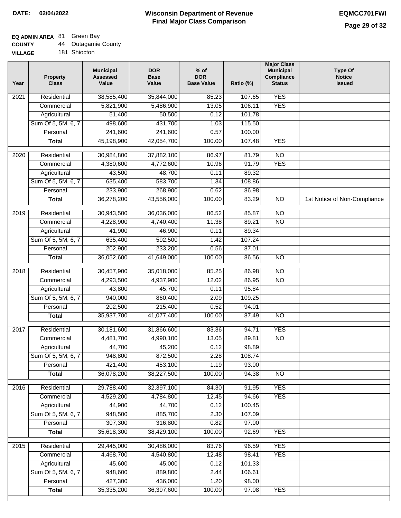## **EQ ADMIN AREA** 81 Green Bay

| <b>COUNTY</b> | <b>Outagamie County</b> |
|---------------|-------------------------|
|---------------|-------------------------|

**VILLAGE** 181 Shiocton

| Year              | <b>Property</b><br><b>Class</b> | <b>Municipal</b><br><b>Assessed</b><br>Value | <b>DOR</b><br><b>Base</b><br>Value | $%$ of<br><b>DOR</b><br><b>Base Value</b> | Ratio (%)      | <b>Major Class</b><br><b>Municipal</b><br>Compliance<br><b>Status</b> | Type Of<br><b>Notice</b><br><b>Issued</b> |
|-------------------|---------------------------------|----------------------------------------------|------------------------------------|-------------------------------------------|----------------|-----------------------------------------------------------------------|-------------------------------------------|
| $\overline{202}1$ | Residential                     | 38,585,400                                   | 35,844,000                         | 85.23                                     | 107.65         | <b>YES</b>                                                            |                                           |
|                   | Commercial                      | 5,821,900                                    | 5,486,900                          | 13.05                                     | 106.11         | <b>YES</b>                                                            |                                           |
|                   | Agricultural                    | 51,400                                       | 50,500                             | 0.12                                      | 101.78         |                                                                       |                                           |
|                   | Sum Of 5, 5M, 6, 7              | 498,600                                      | 431,700                            | 1.03                                      | 115.50         |                                                                       |                                           |
|                   | Personal                        | 241,600                                      | 241,600                            | 0.57                                      | 100.00         |                                                                       |                                           |
|                   | <b>Total</b>                    | 45,198,900                                   | 42,054,700                         | 100.00                                    | 107.48         | <b>YES</b>                                                            |                                           |
| $\overline{2020}$ | Residential                     | 30,984,800                                   | 37,882,100                         | 86.97                                     | 81.79          | $\overline{NO}$                                                       |                                           |
|                   | Commercial                      | 4,380,600                                    | 4,772,600                          | 10.96                                     | 91.79          | <b>YES</b>                                                            |                                           |
|                   | Agricultural                    | 43,500                                       | 48,700                             | 0.11                                      | 89.32          |                                                                       |                                           |
|                   | Sum Of 5, 5M, 6, 7              | 635,400                                      | 583,700                            | 1.34                                      | 108.86         |                                                                       |                                           |
|                   | Personal                        | 233,900                                      | 268,900                            | 0.62                                      | 86.98          |                                                                       |                                           |
|                   | <b>Total</b>                    | 36,278,200                                   | 43,556,000                         | 100.00                                    | 83.29          | $\overline{NO}$                                                       | 1st Notice of Non-Compliance              |
| 2019              | Residential                     | 30,943,500                                   | 36,036,000                         | 86.52                                     | 85.87          | $\overline{NO}$                                                       |                                           |
|                   | Commercial                      | 4,228,900                                    | 4,740,400                          | 11.38                                     | 89.21          | $\overline{NO}$                                                       |                                           |
|                   | Agricultural                    | 41,900                                       | 46,900                             | 0.11                                      | 89.34          |                                                                       |                                           |
|                   | Sum Of 5, 5M, 6, 7              | 635,400                                      | 592,500                            | 1.42                                      | 107.24         |                                                                       |                                           |
|                   | Personal                        | 202,900                                      | 233,200                            | 0.56                                      | 87.01          |                                                                       |                                           |
|                   | <b>Total</b>                    | 36,052,600                                   | 41,649,000                         | 100.00                                    | 86.56          | $\overline{NO}$                                                       |                                           |
| 2018              | Residential                     | 30,457,900                                   | 35,018,000                         | 85.25                                     | 86.98          | $\overline{NO}$                                                       |                                           |
|                   | Commercial                      | 4,293,500                                    | 4,937,900                          | 12.02                                     | 86.95          | $\overline{NO}$                                                       |                                           |
|                   | Agricultural                    | 43,800                                       | 45,700                             | 0.11                                      | 95.84          |                                                                       |                                           |
|                   | Sum Of 5, 5M, 6, 7              | 940,000                                      | 860,400                            | 2.09                                      | 109.25         |                                                                       |                                           |
|                   | Personal                        | 202,500                                      | 215,400                            | 0.52                                      | 94.01          |                                                                       |                                           |
|                   | <b>Total</b>                    | 35,937,700                                   | 41,077,400                         | 100.00                                    | 87.49          | $\overline{NO}$                                                       |                                           |
| 2017              | Residential                     | 30,181,600                                   | 31,866,600                         | 83.36                                     | 94.71          | <b>YES</b>                                                            |                                           |
|                   | Commercial                      | 4,481,700                                    | 4,990,100                          | 13.05                                     | 89.81          | <b>NO</b>                                                             |                                           |
|                   | Agricultural                    | 44,700                                       | 45,200                             | 0.12                                      | 98.89          |                                                                       |                                           |
|                   | Sum Of 5, 5M, 6, 7              | 948,800                                      | 872,500                            | 2.28                                      | 108.74         |                                                                       |                                           |
|                   | Personal                        | 421,400                                      | 453,100                            | 1.19                                      | 93.00          |                                                                       |                                           |
|                   | <b>Total</b>                    | 36,078,200                                   | 38,227,500                         | 100.00                                    | 94.38          | <b>NO</b>                                                             |                                           |
|                   | Residential                     |                                              |                                    |                                           |                |                                                                       |                                           |
| 2016              | Commercial                      | 29,788,400<br>4,529,200                      | 32,397,100<br>4,784,800            | 84.30<br>12.45                            | 91.95<br>94.66 | <b>YES</b><br><b>YES</b>                                              |                                           |
|                   | Agricultural                    | 44,900                                       | 44,700                             | 0.12                                      | 100.45         |                                                                       |                                           |
|                   | Sum Of 5, 5M, 6, 7              | 948,500                                      | 885,700                            | 2.30                                      | 107.09         |                                                                       |                                           |
|                   | Personal                        | 307,300                                      | 316,800                            | 0.82                                      | 97.00          |                                                                       |                                           |
|                   | <b>Total</b>                    | 35,618,300                                   | 38,429,100                         | 100.00                                    | 92.69          | <b>YES</b>                                                            |                                           |
|                   |                                 |                                              |                                    |                                           |                |                                                                       |                                           |
| 2015              | Residential                     | 29,445,000                                   | 30,486,000                         | 83.76                                     | 96.59          | <b>YES</b>                                                            |                                           |
|                   | Commercial                      | 4,468,700                                    | 4,540,800                          | 12.48                                     | 98.41          | <b>YES</b>                                                            |                                           |
|                   | Agricultural                    | 45,600                                       | 45,000                             | 0.12                                      | 101.33         |                                                                       |                                           |
|                   | Sum Of 5, 5M, 6, 7              | 948,600                                      | 889,800                            | 2.44                                      | 106.61         |                                                                       |                                           |
|                   | Personal<br><b>Total</b>        | 427,300<br>35,335,200                        | 436,000<br>36,397,600              | 1.20<br>100.00                            | 98.00<br>97.08 | <b>YES</b>                                                            |                                           |
|                   |                                 |                                              |                                    |                                           |                |                                                                       |                                           |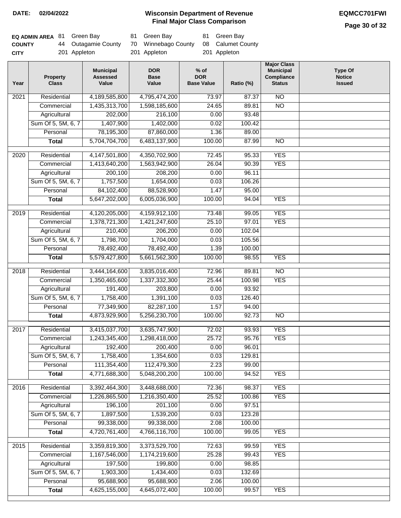**Page 30 of 32**

| <b>EQ ADMIN AREA 81 Green Bay</b> |                     | 81 Green Bay                          | 81 Green Bay |
|-----------------------------------|---------------------|---------------------------------------|--------------|
| <b>COUNTY</b>                     | 44 Outagamie County | 70 Winnebago County 08 Calumet County |              |
| CITY                              | 201 Appleton        | 201 Appleton                          | 201 Appleton |

| 4,189,585,800<br>$\overline{NO}$<br>2021<br>Residential<br>4,795,474,200<br>73.97<br>87.37<br>$\overline{NO}$<br>1,435,313,700<br>1,598,185,600<br>24.65<br>89.81<br>Commercial<br>202,000<br>216,100<br>Agricultural<br>0.00<br>93.48<br>Sum Of 5, 5M, 6, 7<br>1,407,900<br>1,402,000<br>0.02<br>100.42<br>78,195,300<br>87,860,000<br>1.36<br>89.00<br>Personal<br>5,704,704,700<br>6,483,137,900<br>100.00<br>87.99<br>$\overline{NO}$<br><b>Total</b><br><b>YES</b><br>Residential<br>4, 147, 501, 800<br>4,350,702,900<br>72.45<br>95.33<br>2020<br>1,413,640,200<br>1,563,942,900<br>26.04<br>90.39<br><b>YES</b><br>Commercial<br>Agricultural<br>200,100<br>208,200<br>0.00<br>96.11<br>Sum Of 5, 5M, 6, 7<br>1,757,500<br>1,654,000<br>0.03<br>106.26<br>84,102,400<br>88,528,900<br>1.47<br>Personal<br>95.00<br>5,647,202,000<br>6,005,036,900<br>100.00<br><b>YES</b><br><b>Total</b><br>94.04<br><b>YES</b><br>2019<br>Residential<br>4,120,205,000<br>4,159,912,100<br>73.48<br>99.05<br><b>YES</b><br>1,378,721,300<br>1,421,247,600<br>25.10<br>97.01<br>Commercial<br>210,400<br>Agricultural<br>206,200<br>0.00<br>102.04<br>Sum Of 5, 5M, 6, 7<br>1,798,700<br>1,704,000<br>0.03<br>105.56<br>78,492,400<br>78,492,400<br>Personal<br>1.39<br>100.00<br>100.00<br><b>YES</b><br><b>Total</b><br>5,579,427,800<br>5,661,562,300<br>98.55<br>2018<br>Residential<br>3,444,164,600<br>3,835,016,400<br>72.96<br>89.81<br>$\overline{NO}$<br><b>YES</b><br>1,350,465,600<br>1,337,332,300<br>25.44<br>100.98<br>Commercial<br>191,400<br>203,800<br>Agricultural<br>0.00<br>93.92<br>1,391,100<br>Sum Of 5, 5M, 6, 7<br>1,758,400<br>0.03<br>126.40<br>77,349,900<br>82,287,100<br>1.57<br>Personal<br>94.00<br>5,256,230,700<br>100.00<br><b>NO</b><br>4,873,929,900<br>92.73<br><b>Total</b><br><b>YES</b><br>Residential<br>3,415,037,700<br>72.02<br>93.93<br>2017<br>3,635,747,900<br><b>YES</b><br>25.72<br>1,243,345,400<br>1,298,418,000<br>95.76<br>Commercial<br>192,400<br>200,400<br>96.01<br>0.00<br>Agricultural<br>Sum Of 5, 5M, 6, 7<br>1,758,400<br>1,354,600<br>0.03<br>129.81<br>2.23<br>Personal<br>111,354,400<br>112,479,300<br>99.00<br>4,771,688,300<br>5,048,200,200<br>100.00<br>94.52<br><b>YES</b><br><b>Total</b><br><b>YES</b><br>2016<br>Residential<br>3,392,464,300<br>3,448,688,000<br>72.36<br>98.37<br>Commercial<br>25.52<br><b>YES</b><br>1,226,865,500<br>1,216,350,400<br>100.86<br>196,100<br>201,100<br>0.00<br>97.51<br>Agricultural<br>Sum Of 5, 5M, 6, 7<br>1,897,500<br>1,539,200<br>0.03<br>123.28<br>99,338,000<br>99,338,000<br>Personal<br>2.08<br>100.00<br>4,720,761,400<br>4,766,116,700<br>100.00<br><b>YES</b><br><b>Total</b><br>99.05<br><b>YES</b><br>Residential<br>3,359,819,300<br>3,373,529,700<br>2015<br>72.63<br>99.59<br>1,167,546,000<br>1,174,219,600<br>25.28<br>99.43<br><b>YES</b><br>Commercial<br>197,500<br>199,800<br>Agricultural<br>0.00<br>98.85<br>Sum Of 5, 5M, 6, 7<br>1,903,300<br>1,434,400<br>0.03<br>132.69<br>95,688,900<br>95,688,900<br>Personal<br>2.06<br>100.00<br>4,625,155,000<br>4,645,072,400<br>100.00<br><b>Total</b><br>99.57<br><b>YES</b> | Year | <b>Property</b><br><b>Class</b> | <b>Municipal</b><br><b>Assessed</b><br>Value | <b>DOR</b><br><b>Base</b><br>Value | $%$ of<br><b>DOR</b><br><b>Base Value</b> | Ratio (%) | <b>Major Class</b><br><b>Municipal</b><br>Compliance<br><b>Status</b> | <b>Type Of</b><br><b>Notice</b><br><b>Issued</b> |
|--------------------------------------------------------------------------------------------------------------------------------------------------------------------------------------------------------------------------------------------------------------------------------------------------------------------------------------------------------------------------------------------------------------------------------------------------------------------------------------------------------------------------------------------------------------------------------------------------------------------------------------------------------------------------------------------------------------------------------------------------------------------------------------------------------------------------------------------------------------------------------------------------------------------------------------------------------------------------------------------------------------------------------------------------------------------------------------------------------------------------------------------------------------------------------------------------------------------------------------------------------------------------------------------------------------------------------------------------------------------------------------------------------------------------------------------------------------------------------------------------------------------------------------------------------------------------------------------------------------------------------------------------------------------------------------------------------------------------------------------------------------------------------------------------------------------------------------------------------------------------------------------------------------------------------------------------------------------------------------------------------------------------------------------------------------------------------------------------------------------------------------------------------------------------------------------------------------------------------------------------------------------------------------------------------------------------------------------------------------------------------------------------------------------------------------------------------------------------------------------------------------------------------------------------------------------------------------------------------------------------------------------------------------------------------------------------------------------------------------------------------------------------------------------------------------------------------------------------------------------------------------------------------------------------------------------------------------------------------------------------------------------------------------------------------------------------------------------------------------------------------------------------------------|------|---------------------------------|----------------------------------------------|------------------------------------|-------------------------------------------|-----------|-----------------------------------------------------------------------|--------------------------------------------------|
|                                                                                                                                                                                                                                                                                                                                                                                                                                                                                                                                                                                                                                                                                                                                                                                                                                                                                                                                                                                                                                                                                                                                                                                                                                                                                                                                                                                                                                                                                                                                                                                                                                                                                                                                                                                                                                                                                                                                                                                                                                                                                                                                                                                                                                                                                                                                                                                                                                                                                                                                                                                                                                                                                                                                                                                                                                                                                                                                                                                                                                                                                                                                                              |      |                                 |                                              |                                    |                                           |           |                                                                       |                                                  |
|                                                                                                                                                                                                                                                                                                                                                                                                                                                                                                                                                                                                                                                                                                                                                                                                                                                                                                                                                                                                                                                                                                                                                                                                                                                                                                                                                                                                                                                                                                                                                                                                                                                                                                                                                                                                                                                                                                                                                                                                                                                                                                                                                                                                                                                                                                                                                                                                                                                                                                                                                                                                                                                                                                                                                                                                                                                                                                                                                                                                                                                                                                                                                              |      |                                 |                                              |                                    |                                           |           |                                                                       |                                                  |
|                                                                                                                                                                                                                                                                                                                                                                                                                                                                                                                                                                                                                                                                                                                                                                                                                                                                                                                                                                                                                                                                                                                                                                                                                                                                                                                                                                                                                                                                                                                                                                                                                                                                                                                                                                                                                                                                                                                                                                                                                                                                                                                                                                                                                                                                                                                                                                                                                                                                                                                                                                                                                                                                                                                                                                                                                                                                                                                                                                                                                                                                                                                                                              |      |                                 |                                              |                                    |                                           |           |                                                                       |                                                  |
|                                                                                                                                                                                                                                                                                                                                                                                                                                                                                                                                                                                                                                                                                                                                                                                                                                                                                                                                                                                                                                                                                                                                                                                                                                                                                                                                                                                                                                                                                                                                                                                                                                                                                                                                                                                                                                                                                                                                                                                                                                                                                                                                                                                                                                                                                                                                                                                                                                                                                                                                                                                                                                                                                                                                                                                                                                                                                                                                                                                                                                                                                                                                                              |      |                                 |                                              |                                    |                                           |           |                                                                       |                                                  |
|                                                                                                                                                                                                                                                                                                                                                                                                                                                                                                                                                                                                                                                                                                                                                                                                                                                                                                                                                                                                                                                                                                                                                                                                                                                                                                                                                                                                                                                                                                                                                                                                                                                                                                                                                                                                                                                                                                                                                                                                                                                                                                                                                                                                                                                                                                                                                                                                                                                                                                                                                                                                                                                                                                                                                                                                                                                                                                                                                                                                                                                                                                                                                              |      |                                 |                                              |                                    |                                           |           |                                                                       |                                                  |
|                                                                                                                                                                                                                                                                                                                                                                                                                                                                                                                                                                                                                                                                                                                                                                                                                                                                                                                                                                                                                                                                                                                                                                                                                                                                                                                                                                                                                                                                                                                                                                                                                                                                                                                                                                                                                                                                                                                                                                                                                                                                                                                                                                                                                                                                                                                                                                                                                                                                                                                                                                                                                                                                                                                                                                                                                                                                                                                                                                                                                                                                                                                                                              |      |                                 |                                              |                                    |                                           |           |                                                                       |                                                  |
|                                                                                                                                                                                                                                                                                                                                                                                                                                                                                                                                                                                                                                                                                                                                                                                                                                                                                                                                                                                                                                                                                                                                                                                                                                                                                                                                                                                                                                                                                                                                                                                                                                                                                                                                                                                                                                                                                                                                                                                                                                                                                                                                                                                                                                                                                                                                                                                                                                                                                                                                                                                                                                                                                                                                                                                                                                                                                                                                                                                                                                                                                                                                                              |      |                                 |                                              |                                    |                                           |           |                                                                       |                                                  |
|                                                                                                                                                                                                                                                                                                                                                                                                                                                                                                                                                                                                                                                                                                                                                                                                                                                                                                                                                                                                                                                                                                                                                                                                                                                                                                                                                                                                                                                                                                                                                                                                                                                                                                                                                                                                                                                                                                                                                                                                                                                                                                                                                                                                                                                                                                                                                                                                                                                                                                                                                                                                                                                                                                                                                                                                                                                                                                                                                                                                                                                                                                                                                              |      |                                 |                                              |                                    |                                           |           |                                                                       |                                                  |
|                                                                                                                                                                                                                                                                                                                                                                                                                                                                                                                                                                                                                                                                                                                                                                                                                                                                                                                                                                                                                                                                                                                                                                                                                                                                                                                                                                                                                                                                                                                                                                                                                                                                                                                                                                                                                                                                                                                                                                                                                                                                                                                                                                                                                                                                                                                                                                                                                                                                                                                                                                                                                                                                                                                                                                                                                                                                                                                                                                                                                                                                                                                                                              |      |                                 |                                              |                                    |                                           |           |                                                                       |                                                  |
|                                                                                                                                                                                                                                                                                                                                                                                                                                                                                                                                                                                                                                                                                                                                                                                                                                                                                                                                                                                                                                                                                                                                                                                                                                                                                                                                                                                                                                                                                                                                                                                                                                                                                                                                                                                                                                                                                                                                                                                                                                                                                                                                                                                                                                                                                                                                                                                                                                                                                                                                                                                                                                                                                                                                                                                                                                                                                                                                                                                                                                                                                                                                                              |      |                                 |                                              |                                    |                                           |           |                                                                       |                                                  |
|                                                                                                                                                                                                                                                                                                                                                                                                                                                                                                                                                                                                                                                                                                                                                                                                                                                                                                                                                                                                                                                                                                                                                                                                                                                                                                                                                                                                                                                                                                                                                                                                                                                                                                                                                                                                                                                                                                                                                                                                                                                                                                                                                                                                                                                                                                                                                                                                                                                                                                                                                                                                                                                                                                                                                                                                                                                                                                                                                                                                                                                                                                                                                              |      |                                 |                                              |                                    |                                           |           |                                                                       |                                                  |
|                                                                                                                                                                                                                                                                                                                                                                                                                                                                                                                                                                                                                                                                                                                                                                                                                                                                                                                                                                                                                                                                                                                                                                                                                                                                                                                                                                                                                                                                                                                                                                                                                                                                                                                                                                                                                                                                                                                                                                                                                                                                                                                                                                                                                                                                                                                                                                                                                                                                                                                                                                                                                                                                                                                                                                                                                                                                                                                                                                                                                                                                                                                                                              |      |                                 |                                              |                                    |                                           |           |                                                                       |                                                  |
|                                                                                                                                                                                                                                                                                                                                                                                                                                                                                                                                                                                                                                                                                                                                                                                                                                                                                                                                                                                                                                                                                                                                                                                                                                                                                                                                                                                                                                                                                                                                                                                                                                                                                                                                                                                                                                                                                                                                                                                                                                                                                                                                                                                                                                                                                                                                                                                                                                                                                                                                                                                                                                                                                                                                                                                                                                                                                                                                                                                                                                                                                                                                                              |      |                                 |                                              |                                    |                                           |           |                                                                       |                                                  |
|                                                                                                                                                                                                                                                                                                                                                                                                                                                                                                                                                                                                                                                                                                                                                                                                                                                                                                                                                                                                                                                                                                                                                                                                                                                                                                                                                                                                                                                                                                                                                                                                                                                                                                                                                                                                                                                                                                                                                                                                                                                                                                                                                                                                                                                                                                                                                                                                                                                                                                                                                                                                                                                                                                                                                                                                                                                                                                                                                                                                                                                                                                                                                              |      |                                 |                                              |                                    |                                           |           |                                                                       |                                                  |
|                                                                                                                                                                                                                                                                                                                                                                                                                                                                                                                                                                                                                                                                                                                                                                                                                                                                                                                                                                                                                                                                                                                                                                                                                                                                                                                                                                                                                                                                                                                                                                                                                                                                                                                                                                                                                                                                                                                                                                                                                                                                                                                                                                                                                                                                                                                                                                                                                                                                                                                                                                                                                                                                                                                                                                                                                                                                                                                                                                                                                                                                                                                                                              |      |                                 |                                              |                                    |                                           |           |                                                                       |                                                  |
|                                                                                                                                                                                                                                                                                                                                                                                                                                                                                                                                                                                                                                                                                                                                                                                                                                                                                                                                                                                                                                                                                                                                                                                                                                                                                                                                                                                                                                                                                                                                                                                                                                                                                                                                                                                                                                                                                                                                                                                                                                                                                                                                                                                                                                                                                                                                                                                                                                                                                                                                                                                                                                                                                                                                                                                                                                                                                                                                                                                                                                                                                                                                                              |      |                                 |                                              |                                    |                                           |           |                                                                       |                                                  |
|                                                                                                                                                                                                                                                                                                                                                                                                                                                                                                                                                                                                                                                                                                                                                                                                                                                                                                                                                                                                                                                                                                                                                                                                                                                                                                                                                                                                                                                                                                                                                                                                                                                                                                                                                                                                                                                                                                                                                                                                                                                                                                                                                                                                                                                                                                                                                                                                                                                                                                                                                                                                                                                                                                                                                                                                                                                                                                                                                                                                                                                                                                                                                              |      |                                 |                                              |                                    |                                           |           |                                                                       |                                                  |
|                                                                                                                                                                                                                                                                                                                                                                                                                                                                                                                                                                                                                                                                                                                                                                                                                                                                                                                                                                                                                                                                                                                                                                                                                                                                                                                                                                                                                                                                                                                                                                                                                                                                                                                                                                                                                                                                                                                                                                                                                                                                                                                                                                                                                                                                                                                                                                                                                                                                                                                                                                                                                                                                                                                                                                                                                                                                                                                                                                                                                                                                                                                                                              |      |                                 |                                              |                                    |                                           |           |                                                                       |                                                  |
|                                                                                                                                                                                                                                                                                                                                                                                                                                                                                                                                                                                                                                                                                                                                                                                                                                                                                                                                                                                                                                                                                                                                                                                                                                                                                                                                                                                                                                                                                                                                                                                                                                                                                                                                                                                                                                                                                                                                                                                                                                                                                                                                                                                                                                                                                                                                                                                                                                                                                                                                                                                                                                                                                                                                                                                                                                                                                                                                                                                                                                                                                                                                                              |      |                                 |                                              |                                    |                                           |           |                                                                       |                                                  |
|                                                                                                                                                                                                                                                                                                                                                                                                                                                                                                                                                                                                                                                                                                                                                                                                                                                                                                                                                                                                                                                                                                                                                                                                                                                                                                                                                                                                                                                                                                                                                                                                                                                                                                                                                                                                                                                                                                                                                                                                                                                                                                                                                                                                                                                                                                                                                                                                                                                                                                                                                                                                                                                                                                                                                                                                                                                                                                                                                                                                                                                                                                                                                              |      |                                 |                                              |                                    |                                           |           |                                                                       |                                                  |
|                                                                                                                                                                                                                                                                                                                                                                                                                                                                                                                                                                                                                                                                                                                                                                                                                                                                                                                                                                                                                                                                                                                                                                                                                                                                                                                                                                                                                                                                                                                                                                                                                                                                                                                                                                                                                                                                                                                                                                                                                                                                                                                                                                                                                                                                                                                                                                                                                                                                                                                                                                                                                                                                                                                                                                                                                                                                                                                                                                                                                                                                                                                                                              |      |                                 |                                              |                                    |                                           |           |                                                                       |                                                  |
|                                                                                                                                                                                                                                                                                                                                                                                                                                                                                                                                                                                                                                                                                                                                                                                                                                                                                                                                                                                                                                                                                                                                                                                                                                                                                                                                                                                                                                                                                                                                                                                                                                                                                                                                                                                                                                                                                                                                                                                                                                                                                                                                                                                                                                                                                                                                                                                                                                                                                                                                                                                                                                                                                                                                                                                                                                                                                                                                                                                                                                                                                                                                                              |      |                                 |                                              |                                    |                                           |           |                                                                       |                                                  |
|                                                                                                                                                                                                                                                                                                                                                                                                                                                                                                                                                                                                                                                                                                                                                                                                                                                                                                                                                                                                                                                                                                                                                                                                                                                                                                                                                                                                                                                                                                                                                                                                                                                                                                                                                                                                                                                                                                                                                                                                                                                                                                                                                                                                                                                                                                                                                                                                                                                                                                                                                                                                                                                                                                                                                                                                                                                                                                                                                                                                                                                                                                                                                              |      |                                 |                                              |                                    |                                           |           |                                                                       |                                                  |
|                                                                                                                                                                                                                                                                                                                                                                                                                                                                                                                                                                                                                                                                                                                                                                                                                                                                                                                                                                                                                                                                                                                                                                                                                                                                                                                                                                                                                                                                                                                                                                                                                                                                                                                                                                                                                                                                                                                                                                                                                                                                                                                                                                                                                                                                                                                                                                                                                                                                                                                                                                                                                                                                                                                                                                                                                                                                                                                                                                                                                                                                                                                                                              |      |                                 |                                              |                                    |                                           |           |                                                                       |                                                  |
|                                                                                                                                                                                                                                                                                                                                                                                                                                                                                                                                                                                                                                                                                                                                                                                                                                                                                                                                                                                                                                                                                                                                                                                                                                                                                                                                                                                                                                                                                                                                                                                                                                                                                                                                                                                                                                                                                                                                                                                                                                                                                                                                                                                                                                                                                                                                                                                                                                                                                                                                                                                                                                                                                                                                                                                                                                                                                                                                                                                                                                                                                                                                                              |      |                                 |                                              |                                    |                                           |           |                                                                       |                                                  |
|                                                                                                                                                                                                                                                                                                                                                                                                                                                                                                                                                                                                                                                                                                                                                                                                                                                                                                                                                                                                                                                                                                                                                                                                                                                                                                                                                                                                                                                                                                                                                                                                                                                                                                                                                                                                                                                                                                                                                                                                                                                                                                                                                                                                                                                                                                                                                                                                                                                                                                                                                                                                                                                                                                                                                                                                                                                                                                                                                                                                                                                                                                                                                              |      |                                 |                                              |                                    |                                           |           |                                                                       |                                                  |
|                                                                                                                                                                                                                                                                                                                                                                                                                                                                                                                                                                                                                                                                                                                                                                                                                                                                                                                                                                                                                                                                                                                                                                                                                                                                                                                                                                                                                                                                                                                                                                                                                                                                                                                                                                                                                                                                                                                                                                                                                                                                                                                                                                                                                                                                                                                                                                                                                                                                                                                                                                                                                                                                                                                                                                                                                                                                                                                                                                                                                                                                                                                                                              |      |                                 |                                              |                                    |                                           |           |                                                                       |                                                  |
|                                                                                                                                                                                                                                                                                                                                                                                                                                                                                                                                                                                                                                                                                                                                                                                                                                                                                                                                                                                                                                                                                                                                                                                                                                                                                                                                                                                                                                                                                                                                                                                                                                                                                                                                                                                                                                                                                                                                                                                                                                                                                                                                                                                                                                                                                                                                                                                                                                                                                                                                                                                                                                                                                                                                                                                                                                                                                                                                                                                                                                                                                                                                                              |      |                                 |                                              |                                    |                                           |           |                                                                       |                                                  |
|                                                                                                                                                                                                                                                                                                                                                                                                                                                                                                                                                                                                                                                                                                                                                                                                                                                                                                                                                                                                                                                                                                                                                                                                                                                                                                                                                                                                                                                                                                                                                                                                                                                                                                                                                                                                                                                                                                                                                                                                                                                                                                                                                                                                                                                                                                                                                                                                                                                                                                                                                                                                                                                                                                                                                                                                                                                                                                                                                                                                                                                                                                                                                              |      |                                 |                                              |                                    |                                           |           |                                                                       |                                                  |
|                                                                                                                                                                                                                                                                                                                                                                                                                                                                                                                                                                                                                                                                                                                                                                                                                                                                                                                                                                                                                                                                                                                                                                                                                                                                                                                                                                                                                                                                                                                                                                                                                                                                                                                                                                                                                                                                                                                                                                                                                                                                                                                                                                                                                                                                                                                                                                                                                                                                                                                                                                                                                                                                                                                                                                                                                                                                                                                                                                                                                                                                                                                                                              |      |                                 |                                              |                                    |                                           |           |                                                                       |                                                  |
|                                                                                                                                                                                                                                                                                                                                                                                                                                                                                                                                                                                                                                                                                                                                                                                                                                                                                                                                                                                                                                                                                                                                                                                                                                                                                                                                                                                                                                                                                                                                                                                                                                                                                                                                                                                                                                                                                                                                                                                                                                                                                                                                                                                                                                                                                                                                                                                                                                                                                                                                                                                                                                                                                                                                                                                                                                                                                                                                                                                                                                                                                                                                                              |      |                                 |                                              |                                    |                                           |           |                                                                       |                                                  |
|                                                                                                                                                                                                                                                                                                                                                                                                                                                                                                                                                                                                                                                                                                                                                                                                                                                                                                                                                                                                                                                                                                                                                                                                                                                                                                                                                                                                                                                                                                                                                                                                                                                                                                                                                                                                                                                                                                                                                                                                                                                                                                                                                                                                                                                                                                                                                                                                                                                                                                                                                                                                                                                                                                                                                                                                                                                                                                                                                                                                                                                                                                                                                              |      |                                 |                                              |                                    |                                           |           |                                                                       |                                                  |
|                                                                                                                                                                                                                                                                                                                                                                                                                                                                                                                                                                                                                                                                                                                                                                                                                                                                                                                                                                                                                                                                                                                                                                                                                                                                                                                                                                                                                                                                                                                                                                                                                                                                                                                                                                                                                                                                                                                                                                                                                                                                                                                                                                                                                                                                                                                                                                                                                                                                                                                                                                                                                                                                                                                                                                                                                                                                                                                                                                                                                                                                                                                                                              |      |                                 |                                              |                                    |                                           |           |                                                                       |                                                  |
|                                                                                                                                                                                                                                                                                                                                                                                                                                                                                                                                                                                                                                                                                                                                                                                                                                                                                                                                                                                                                                                                                                                                                                                                                                                                                                                                                                                                                                                                                                                                                                                                                                                                                                                                                                                                                                                                                                                                                                                                                                                                                                                                                                                                                                                                                                                                                                                                                                                                                                                                                                                                                                                                                                                                                                                                                                                                                                                                                                                                                                                                                                                                                              |      |                                 |                                              |                                    |                                           |           |                                                                       |                                                  |
|                                                                                                                                                                                                                                                                                                                                                                                                                                                                                                                                                                                                                                                                                                                                                                                                                                                                                                                                                                                                                                                                                                                                                                                                                                                                                                                                                                                                                                                                                                                                                                                                                                                                                                                                                                                                                                                                                                                                                                                                                                                                                                                                                                                                                                                                                                                                                                                                                                                                                                                                                                                                                                                                                                                                                                                                                                                                                                                                                                                                                                                                                                                                                              |      |                                 |                                              |                                    |                                           |           |                                                                       |                                                  |
|                                                                                                                                                                                                                                                                                                                                                                                                                                                                                                                                                                                                                                                                                                                                                                                                                                                                                                                                                                                                                                                                                                                                                                                                                                                                                                                                                                                                                                                                                                                                                                                                                                                                                                                                                                                                                                                                                                                                                                                                                                                                                                                                                                                                                                                                                                                                                                                                                                                                                                                                                                                                                                                                                                                                                                                                                                                                                                                                                                                                                                                                                                                                                              |      |                                 |                                              |                                    |                                           |           |                                                                       |                                                  |
|                                                                                                                                                                                                                                                                                                                                                                                                                                                                                                                                                                                                                                                                                                                                                                                                                                                                                                                                                                                                                                                                                                                                                                                                                                                                                                                                                                                                                                                                                                                                                                                                                                                                                                                                                                                                                                                                                                                                                                                                                                                                                                                                                                                                                                                                                                                                                                                                                                                                                                                                                                                                                                                                                                                                                                                                                                                                                                                                                                                                                                                                                                                                                              |      |                                 |                                              |                                    |                                           |           |                                                                       |                                                  |
|                                                                                                                                                                                                                                                                                                                                                                                                                                                                                                                                                                                                                                                                                                                                                                                                                                                                                                                                                                                                                                                                                                                                                                                                                                                                                                                                                                                                                                                                                                                                                                                                                                                                                                                                                                                                                                                                                                                                                                                                                                                                                                                                                                                                                                                                                                                                                                                                                                                                                                                                                                                                                                                                                                                                                                                                                                                                                                                                                                                                                                                                                                                                                              |      |                                 |                                              |                                    |                                           |           |                                                                       |                                                  |
|                                                                                                                                                                                                                                                                                                                                                                                                                                                                                                                                                                                                                                                                                                                                                                                                                                                                                                                                                                                                                                                                                                                                                                                                                                                                                                                                                                                                                                                                                                                                                                                                                                                                                                                                                                                                                                                                                                                                                                                                                                                                                                                                                                                                                                                                                                                                                                                                                                                                                                                                                                                                                                                                                                                                                                                                                                                                                                                                                                                                                                                                                                                                                              |      |                                 |                                              |                                    |                                           |           |                                                                       |                                                  |
|                                                                                                                                                                                                                                                                                                                                                                                                                                                                                                                                                                                                                                                                                                                                                                                                                                                                                                                                                                                                                                                                                                                                                                                                                                                                                                                                                                                                                                                                                                                                                                                                                                                                                                                                                                                                                                                                                                                                                                                                                                                                                                                                                                                                                                                                                                                                                                                                                                                                                                                                                                                                                                                                                                                                                                                                                                                                                                                                                                                                                                                                                                                                                              |      |                                 |                                              |                                    |                                           |           |                                                                       |                                                  |
|                                                                                                                                                                                                                                                                                                                                                                                                                                                                                                                                                                                                                                                                                                                                                                                                                                                                                                                                                                                                                                                                                                                                                                                                                                                                                                                                                                                                                                                                                                                                                                                                                                                                                                                                                                                                                                                                                                                                                                                                                                                                                                                                                                                                                                                                                                                                                                                                                                                                                                                                                                                                                                                                                                                                                                                                                                                                                                                                                                                                                                                                                                                                                              |      |                                 |                                              |                                    |                                           |           |                                                                       |                                                  |
|                                                                                                                                                                                                                                                                                                                                                                                                                                                                                                                                                                                                                                                                                                                                                                                                                                                                                                                                                                                                                                                                                                                                                                                                                                                                                                                                                                                                                                                                                                                                                                                                                                                                                                                                                                                                                                                                                                                                                                                                                                                                                                                                                                                                                                                                                                                                                                                                                                                                                                                                                                                                                                                                                                                                                                                                                                                                                                                                                                                                                                                                                                                                                              |      |                                 |                                              |                                    |                                           |           |                                                                       |                                                  |
|                                                                                                                                                                                                                                                                                                                                                                                                                                                                                                                                                                                                                                                                                                                                                                                                                                                                                                                                                                                                                                                                                                                                                                                                                                                                                                                                                                                                                                                                                                                                                                                                                                                                                                                                                                                                                                                                                                                                                                                                                                                                                                                                                                                                                                                                                                                                                                                                                                                                                                                                                                                                                                                                                                                                                                                                                                                                                                                                                                                                                                                                                                                                                              |      |                                 |                                              |                                    |                                           |           |                                                                       |                                                  |
|                                                                                                                                                                                                                                                                                                                                                                                                                                                                                                                                                                                                                                                                                                                                                                                                                                                                                                                                                                                                                                                                                                                                                                                                                                                                                                                                                                                                                                                                                                                                                                                                                                                                                                                                                                                                                                                                                                                                                                                                                                                                                                                                                                                                                                                                                                                                                                                                                                                                                                                                                                                                                                                                                                                                                                                                                                                                                                                                                                                                                                                                                                                                                              |      |                                 |                                              |                                    |                                           |           |                                                                       |                                                  |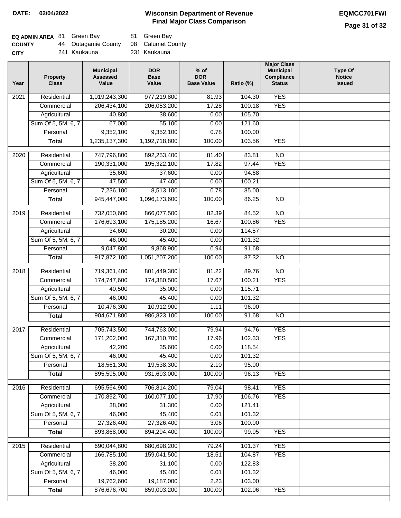| <b>EQ ADMIN AREA 81 Green Bay</b> |                     | 81 Green Bay      |
|-----------------------------------|---------------------|-------------------|
| <b>COUNTY</b>                     | 44 Outagamie County | 08 Calumet County |
| <b>CITY</b>                       | 241 Kaukauna        | 231 Kaukauna      |

| 1,019,243,300<br><b>YES</b><br>Residential<br>977,219,800<br>2021<br>81.93<br>104.30<br><b>YES</b><br>Commercial<br>206,434,100<br>206,053,200<br>17.28<br>100.18<br>105.70<br>Agricultural<br>40,800<br>38,600<br>0.00<br>Sum Of 5, 5M, 6, 7<br>55,100<br>67,000<br>121.60<br>0.00<br>9,352,100<br>9,352,100<br>Personal<br>0.78<br>100.00<br>1,235,137,300<br>1,192,718,800<br>100.00<br>103.56<br><b>YES</b><br><b>Total</b><br>747,796,800<br>$\overline{NO}$<br>$\frac{1}{2020}$<br>Residential<br>892,253,400<br>81.40<br>83.81<br>Commercial<br>190,331,000<br>195,322,100<br>17.82<br>97.44<br><b>YES</b><br>Agricultural<br>35,600<br>37,600<br>0.00<br>94.68<br>Sum Of 5, 5M, 6, 7<br>100.21<br>47,500<br>47,400<br>0.00<br>7,236,100<br>8,513,100<br>Personal<br>0.78<br>85.00<br>945,447,000<br>1,096,173,600<br>100.00<br>86.25<br>$\overline{NO}$<br><b>Total</b><br>Residential<br>866,077,500<br>$\overline{NO}$<br>2019<br>732,050,600<br>82.39<br>84.52<br><b>YES</b><br>176,693,100<br>175,185,200<br>100.86<br>Commercial<br>16.67<br>34,600<br>30,200<br>0.00<br>114.57<br>Agricultural<br>Sum Of 5, 5M, 6, 7<br>45,400<br>46,000<br>101.32<br>0.00<br>9,047,800<br>9,868,900<br>91.68<br>Personal<br>0.94<br>917,872,100<br>1,051,207,200<br>100.00<br>87.32<br>$\overline{NO}$<br><b>Total</b><br>719,361,400<br>2018<br>Residential<br>801,449,300<br>81.22<br>89.76<br>$\overline{NO}$<br><b>YES</b><br>174,747,600<br>174,380,500<br>17.67<br>100.21<br>Commercial<br>40,500<br>115.71<br>Agricultural<br>35,000<br>0.00<br>46,000<br>45,400<br>Sum Of 5, 5M, 6, 7<br>0.00<br>101.32<br>10,476,300<br>10,912,900<br>1.11<br>96.00<br>Personal<br>904,671,800<br>986,823,100<br>100.00<br>91.68<br>$\overline{NO}$<br><b>Total</b><br><b>YES</b><br>2017<br>Residential<br>705,743,500<br>744,763,000<br>79.94<br>94.76<br>167,310,700<br><b>YES</b><br>171,202,000<br>17.96<br>102.33<br>Commercial<br>118.54<br>Agricultural<br>42,200<br>35,600<br>0.00<br>Sum Of 5, 5M, 6, 7<br>46,000<br>45,400<br>101.32<br>0.00<br>2.10<br>Personal<br>18,561,300<br>19,538,300<br>95.00<br>895,595,000<br>931,693,000<br>100.00<br>96.13<br><b>YES</b><br><b>Total</b><br>Residential<br>695,564,900<br>706,814,200<br><b>YES</b><br>2016<br>79.04<br>98.41<br>170,892,700<br><b>YES</b><br>Commercial<br>160,077,100<br>17.90<br>106.76<br>Agricultural<br>38,000<br>31,300<br>0.00<br>121.41<br>Sum Of 5, 5M, 6, 7<br>46,000<br>45,400<br>101.32<br>0.01<br>27,326,400<br>Personal<br>27,326,400<br>3.06<br>100.00<br>893,868,000<br><b>Total</b><br>894,294,400<br>100.00<br>99.95<br><b>YES</b><br><b>YES</b><br>Residential<br>690,044,800<br>680,698,200<br>2015<br>79.24<br>101.37<br>166,785,100<br>159,041,500<br>18.51<br>104.87<br><b>YES</b><br>Commercial<br>38,200<br>31,100<br>122.83<br>Agricultural<br>0.00<br>Sum Of 5, 5M, 6, 7<br>46,000<br>45,400<br>0.01<br>101.32<br>19,762,600<br>19,187,000<br>Personal<br>2.23<br>103.00<br>876,676,700<br>859,003,200<br>100.00<br>102.06<br><b>YES</b><br><b>Total</b> | Year | <b>Property</b><br><b>Class</b> | <b>Municipal</b><br><b>Assessed</b><br>Value | <b>DOR</b><br><b>Base</b><br>Value | $%$ of<br><b>DOR</b><br><b>Base Value</b> | Ratio (%) | <b>Major Class</b><br><b>Municipal</b><br>Compliance<br><b>Status</b> | <b>Type Of</b><br><b>Notice</b><br><b>Issued</b> |
|-----------------------------------------------------------------------------------------------------------------------------------------------------------------------------------------------------------------------------------------------------------------------------------------------------------------------------------------------------------------------------------------------------------------------------------------------------------------------------------------------------------------------------------------------------------------------------------------------------------------------------------------------------------------------------------------------------------------------------------------------------------------------------------------------------------------------------------------------------------------------------------------------------------------------------------------------------------------------------------------------------------------------------------------------------------------------------------------------------------------------------------------------------------------------------------------------------------------------------------------------------------------------------------------------------------------------------------------------------------------------------------------------------------------------------------------------------------------------------------------------------------------------------------------------------------------------------------------------------------------------------------------------------------------------------------------------------------------------------------------------------------------------------------------------------------------------------------------------------------------------------------------------------------------------------------------------------------------------------------------------------------------------------------------------------------------------------------------------------------------------------------------------------------------------------------------------------------------------------------------------------------------------------------------------------------------------------------------------------------------------------------------------------------------------------------------------------------------------------------------------------------------------------------------------------------------------------------------------------------------------------------------------------------------------------------------------------------------------------------------------------------------------------------------------------------------------------------------------------------------------------------------------------------------------------------------------------------------------------------------------------------------------------------------------------|------|---------------------------------|----------------------------------------------|------------------------------------|-------------------------------------------|-----------|-----------------------------------------------------------------------|--------------------------------------------------|
|                                                                                                                                                                                                                                                                                                                                                                                                                                                                                                                                                                                                                                                                                                                                                                                                                                                                                                                                                                                                                                                                                                                                                                                                                                                                                                                                                                                                                                                                                                                                                                                                                                                                                                                                                                                                                                                                                                                                                                                                                                                                                                                                                                                                                                                                                                                                                                                                                                                                                                                                                                                                                                                                                                                                                                                                                                                                                                                                                                                                                                                     |      |                                 |                                              |                                    |                                           |           |                                                                       |                                                  |
|                                                                                                                                                                                                                                                                                                                                                                                                                                                                                                                                                                                                                                                                                                                                                                                                                                                                                                                                                                                                                                                                                                                                                                                                                                                                                                                                                                                                                                                                                                                                                                                                                                                                                                                                                                                                                                                                                                                                                                                                                                                                                                                                                                                                                                                                                                                                                                                                                                                                                                                                                                                                                                                                                                                                                                                                                                                                                                                                                                                                                                                     |      |                                 |                                              |                                    |                                           |           |                                                                       |                                                  |
|                                                                                                                                                                                                                                                                                                                                                                                                                                                                                                                                                                                                                                                                                                                                                                                                                                                                                                                                                                                                                                                                                                                                                                                                                                                                                                                                                                                                                                                                                                                                                                                                                                                                                                                                                                                                                                                                                                                                                                                                                                                                                                                                                                                                                                                                                                                                                                                                                                                                                                                                                                                                                                                                                                                                                                                                                                                                                                                                                                                                                                                     |      |                                 |                                              |                                    |                                           |           |                                                                       |                                                  |
|                                                                                                                                                                                                                                                                                                                                                                                                                                                                                                                                                                                                                                                                                                                                                                                                                                                                                                                                                                                                                                                                                                                                                                                                                                                                                                                                                                                                                                                                                                                                                                                                                                                                                                                                                                                                                                                                                                                                                                                                                                                                                                                                                                                                                                                                                                                                                                                                                                                                                                                                                                                                                                                                                                                                                                                                                                                                                                                                                                                                                                                     |      |                                 |                                              |                                    |                                           |           |                                                                       |                                                  |
|                                                                                                                                                                                                                                                                                                                                                                                                                                                                                                                                                                                                                                                                                                                                                                                                                                                                                                                                                                                                                                                                                                                                                                                                                                                                                                                                                                                                                                                                                                                                                                                                                                                                                                                                                                                                                                                                                                                                                                                                                                                                                                                                                                                                                                                                                                                                                                                                                                                                                                                                                                                                                                                                                                                                                                                                                                                                                                                                                                                                                                                     |      |                                 |                                              |                                    |                                           |           |                                                                       |                                                  |
|                                                                                                                                                                                                                                                                                                                                                                                                                                                                                                                                                                                                                                                                                                                                                                                                                                                                                                                                                                                                                                                                                                                                                                                                                                                                                                                                                                                                                                                                                                                                                                                                                                                                                                                                                                                                                                                                                                                                                                                                                                                                                                                                                                                                                                                                                                                                                                                                                                                                                                                                                                                                                                                                                                                                                                                                                                                                                                                                                                                                                                                     |      |                                 |                                              |                                    |                                           |           |                                                                       |                                                  |
|                                                                                                                                                                                                                                                                                                                                                                                                                                                                                                                                                                                                                                                                                                                                                                                                                                                                                                                                                                                                                                                                                                                                                                                                                                                                                                                                                                                                                                                                                                                                                                                                                                                                                                                                                                                                                                                                                                                                                                                                                                                                                                                                                                                                                                                                                                                                                                                                                                                                                                                                                                                                                                                                                                                                                                                                                                                                                                                                                                                                                                                     |      |                                 |                                              |                                    |                                           |           |                                                                       |                                                  |
|                                                                                                                                                                                                                                                                                                                                                                                                                                                                                                                                                                                                                                                                                                                                                                                                                                                                                                                                                                                                                                                                                                                                                                                                                                                                                                                                                                                                                                                                                                                                                                                                                                                                                                                                                                                                                                                                                                                                                                                                                                                                                                                                                                                                                                                                                                                                                                                                                                                                                                                                                                                                                                                                                                                                                                                                                                                                                                                                                                                                                                                     |      |                                 |                                              |                                    |                                           |           |                                                                       |                                                  |
|                                                                                                                                                                                                                                                                                                                                                                                                                                                                                                                                                                                                                                                                                                                                                                                                                                                                                                                                                                                                                                                                                                                                                                                                                                                                                                                                                                                                                                                                                                                                                                                                                                                                                                                                                                                                                                                                                                                                                                                                                                                                                                                                                                                                                                                                                                                                                                                                                                                                                                                                                                                                                                                                                                                                                                                                                                                                                                                                                                                                                                                     |      |                                 |                                              |                                    |                                           |           |                                                                       |                                                  |
|                                                                                                                                                                                                                                                                                                                                                                                                                                                                                                                                                                                                                                                                                                                                                                                                                                                                                                                                                                                                                                                                                                                                                                                                                                                                                                                                                                                                                                                                                                                                                                                                                                                                                                                                                                                                                                                                                                                                                                                                                                                                                                                                                                                                                                                                                                                                                                                                                                                                                                                                                                                                                                                                                                                                                                                                                                                                                                                                                                                                                                                     |      |                                 |                                              |                                    |                                           |           |                                                                       |                                                  |
|                                                                                                                                                                                                                                                                                                                                                                                                                                                                                                                                                                                                                                                                                                                                                                                                                                                                                                                                                                                                                                                                                                                                                                                                                                                                                                                                                                                                                                                                                                                                                                                                                                                                                                                                                                                                                                                                                                                                                                                                                                                                                                                                                                                                                                                                                                                                                                                                                                                                                                                                                                                                                                                                                                                                                                                                                                                                                                                                                                                                                                                     |      |                                 |                                              |                                    |                                           |           |                                                                       |                                                  |
|                                                                                                                                                                                                                                                                                                                                                                                                                                                                                                                                                                                                                                                                                                                                                                                                                                                                                                                                                                                                                                                                                                                                                                                                                                                                                                                                                                                                                                                                                                                                                                                                                                                                                                                                                                                                                                                                                                                                                                                                                                                                                                                                                                                                                                                                                                                                                                                                                                                                                                                                                                                                                                                                                                                                                                                                                                                                                                                                                                                                                                                     |      |                                 |                                              |                                    |                                           |           |                                                                       |                                                  |
|                                                                                                                                                                                                                                                                                                                                                                                                                                                                                                                                                                                                                                                                                                                                                                                                                                                                                                                                                                                                                                                                                                                                                                                                                                                                                                                                                                                                                                                                                                                                                                                                                                                                                                                                                                                                                                                                                                                                                                                                                                                                                                                                                                                                                                                                                                                                                                                                                                                                                                                                                                                                                                                                                                                                                                                                                                                                                                                                                                                                                                                     |      |                                 |                                              |                                    |                                           |           |                                                                       |                                                  |
|                                                                                                                                                                                                                                                                                                                                                                                                                                                                                                                                                                                                                                                                                                                                                                                                                                                                                                                                                                                                                                                                                                                                                                                                                                                                                                                                                                                                                                                                                                                                                                                                                                                                                                                                                                                                                                                                                                                                                                                                                                                                                                                                                                                                                                                                                                                                                                                                                                                                                                                                                                                                                                                                                                                                                                                                                                                                                                                                                                                                                                                     |      |                                 |                                              |                                    |                                           |           |                                                                       |                                                  |
|                                                                                                                                                                                                                                                                                                                                                                                                                                                                                                                                                                                                                                                                                                                                                                                                                                                                                                                                                                                                                                                                                                                                                                                                                                                                                                                                                                                                                                                                                                                                                                                                                                                                                                                                                                                                                                                                                                                                                                                                                                                                                                                                                                                                                                                                                                                                                                                                                                                                                                                                                                                                                                                                                                                                                                                                                                                                                                                                                                                                                                                     |      |                                 |                                              |                                    |                                           |           |                                                                       |                                                  |
|                                                                                                                                                                                                                                                                                                                                                                                                                                                                                                                                                                                                                                                                                                                                                                                                                                                                                                                                                                                                                                                                                                                                                                                                                                                                                                                                                                                                                                                                                                                                                                                                                                                                                                                                                                                                                                                                                                                                                                                                                                                                                                                                                                                                                                                                                                                                                                                                                                                                                                                                                                                                                                                                                                                                                                                                                                                                                                                                                                                                                                                     |      |                                 |                                              |                                    |                                           |           |                                                                       |                                                  |
|                                                                                                                                                                                                                                                                                                                                                                                                                                                                                                                                                                                                                                                                                                                                                                                                                                                                                                                                                                                                                                                                                                                                                                                                                                                                                                                                                                                                                                                                                                                                                                                                                                                                                                                                                                                                                                                                                                                                                                                                                                                                                                                                                                                                                                                                                                                                                                                                                                                                                                                                                                                                                                                                                                                                                                                                                                                                                                                                                                                                                                                     |      |                                 |                                              |                                    |                                           |           |                                                                       |                                                  |
|                                                                                                                                                                                                                                                                                                                                                                                                                                                                                                                                                                                                                                                                                                                                                                                                                                                                                                                                                                                                                                                                                                                                                                                                                                                                                                                                                                                                                                                                                                                                                                                                                                                                                                                                                                                                                                                                                                                                                                                                                                                                                                                                                                                                                                                                                                                                                                                                                                                                                                                                                                                                                                                                                                                                                                                                                                                                                                                                                                                                                                                     |      |                                 |                                              |                                    |                                           |           |                                                                       |                                                  |
|                                                                                                                                                                                                                                                                                                                                                                                                                                                                                                                                                                                                                                                                                                                                                                                                                                                                                                                                                                                                                                                                                                                                                                                                                                                                                                                                                                                                                                                                                                                                                                                                                                                                                                                                                                                                                                                                                                                                                                                                                                                                                                                                                                                                                                                                                                                                                                                                                                                                                                                                                                                                                                                                                                                                                                                                                                                                                                                                                                                                                                                     |      |                                 |                                              |                                    |                                           |           |                                                                       |                                                  |
|                                                                                                                                                                                                                                                                                                                                                                                                                                                                                                                                                                                                                                                                                                                                                                                                                                                                                                                                                                                                                                                                                                                                                                                                                                                                                                                                                                                                                                                                                                                                                                                                                                                                                                                                                                                                                                                                                                                                                                                                                                                                                                                                                                                                                                                                                                                                                                                                                                                                                                                                                                                                                                                                                                                                                                                                                                                                                                                                                                                                                                                     |      |                                 |                                              |                                    |                                           |           |                                                                       |                                                  |
|                                                                                                                                                                                                                                                                                                                                                                                                                                                                                                                                                                                                                                                                                                                                                                                                                                                                                                                                                                                                                                                                                                                                                                                                                                                                                                                                                                                                                                                                                                                                                                                                                                                                                                                                                                                                                                                                                                                                                                                                                                                                                                                                                                                                                                                                                                                                                                                                                                                                                                                                                                                                                                                                                                                                                                                                                                                                                                                                                                                                                                                     |      |                                 |                                              |                                    |                                           |           |                                                                       |                                                  |
|                                                                                                                                                                                                                                                                                                                                                                                                                                                                                                                                                                                                                                                                                                                                                                                                                                                                                                                                                                                                                                                                                                                                                                                                                                                                                                                                                                                                                                                                                                                                                                                                                                                                                                                                                                                                                                                                                                                                                                                                                                                                                                                                                                                                                                                                                                                                                                                                                                                                                                                                                                                                                                                                                                                                                                                                                                                                                                                                                                                                                                                     |      |                                 |                                              |                                    |                                           |           |                                                                       |                                                  |
|                                                                                                                                                                                                                                                                                                                                                                                                                                                                                                                                                                                                                                                                                                                                                                                                                                                                                                                                                                                                                                                                                                                                                                                                                                                                                                                                                                                                                                                                                                                                                                                                                                                                                                                                                                                                                                                                                                                                                                                                                                                                                                                                                                                                                                                                                                                                                                                                                                                                                                                                                                                                                                                                                                                                                                                                                                                                                                                                                                                                                                                     |      |                                 |                                              |                                    |                                           |           |                                                                       |                                                  |
|                                                                                                                                                                                                                                                                                                                                                                                                                                                                                                                                                                                                                                                                                                                                                                                                                                                                                                                                                                                                                                                                                                                                                                                                                                                                                                                                                                                                                                                                                                                                                                                                                                                                                                                                                                                                                                                                                                                                                                                                                                                                                                                                                                                                                                                                                                                                                                                                                                                                                                                                                                                                                                                                                                                                                                                                                                                                                                                                                                                                                                                     |      |                                 |                                              |                                    |                                           |           |                                                                       |                                                  |
|                                                                                                                                                                                                                                                                                                                                                                                                                                                                                                                                                                                                                                                                                                                                                                                                                                                                                                                                                                                                                                                                                                                                                                                                                                                                                                                                                                                                                                                                                                                                                                                                                                                                                                                                                                                                                                                                                                                                                                                                                                                                                                                                                                                                                                                                                                                                                                                                                                                                                                                                                                                                                                                                                                                                                                                                                                                                                                                                                                                                                                                     |      |                                 |                                              |                                    |                                           |           |                                                                       |                                                  |
|                                                                                                                                                                                                                                                                                                                                                                                                                                                                                                                                                                                                                                                                                                                                                                                                                                                                                                                                                                                                                                                                                                                                                                                                                                                                                                                                                                                                                                                                                                                                                                                                                                                                                                                                                                                                                                                                                                                                                                                                                                                                                                                                                                                                                                                                                                                                                                                                                                                                                                                                                                                                                                                                                                                                                                                                                                                                                                                                                                                                                                                     |      |                                 |                                              |                                    |                                           |           |                                                                       |                                                  |
|                                                                                                                                                                                                                                                                                                                                                                                                                                                                                                                                                                                                                                                                                                                                                                                                                                                                                                                                                                                                                                                                                                                                                                                                                                                                                                                                                                                                                                                                                                                                                                                                                                                                                                                                                                                                                                                                                                                                                                                                                                                                                                                                                                                                                                                                                                                                                                                                                                                                                                                                                                                                                                                                                                                                                                                                                                                                                                                                                                                                                                                     |      |                                 |                                              |                                    |                                           |           |                                                                       |                                                  |
|                                                                                                                                                                                                                                                                                                                                                                                                                                                                                                                                                                                                                                                                                                                                                                                                                                                                                                                                                                                                                                                                                                                                                                                                                                                                                                                                                                                                                                                                                                                                                                                                                                                                                                                                                                                                                                                                                                                                                                                                                                                                                                                                                                                                                                                                                                                                                                                                                                                                                                                                                                                                                                                                                                                                                                                                                                                                                                                                                                                                                                                     |      |                                 |                                              |                                    |                                           |           |                                                                       |                                                  |
|                                                                                                                                                                                                                                                                                                                                                                                                                                                                                                                                                                                                                                                                                                                                                                                                                                                                                                                                                                                                                                                                                                                                                                                                                                                                                                                                                                                                                                                                                                                                                                                                                                                                                                                                                                                                                                                                                                                                                                                                                                                                                                                                                                                                                                                                                                                                                                                                                                                                                                                                                                                                                                                                                                                                                                                                                                                                                                                                                                                                                                                     |      |                                 |                                              |                                    |                                           |           |                                                                       |                                                  |
|                                                                                                                                                                                                                                                                                                                                                                                                                                                                                                                                                                                                                                                                                                                                                                                                                                                                                                                                                                                                                                                                                                                                                                                                                                                                                                                                                                                                                                                                                                                                                                                                                                                                                                                                                                                                                                                                                                                                                                                                                                                                                                                                                                                                                                                                                                                                                                                                                                                                                                                                                                                                                                                                                                                                                                                                                                                                                                                                                                                                                                                     |      |                                 |                                              |                                    |                                           |           |                                                                       |                                                  |
|                                                                                                                                                                                                                                                                                                                                                                                                                                                                                                                                                                                                                                                                                                                                                                                                                                                                                                                                                                                                                                                                                                                                                                                                                                                                                                                                                                                                                                                                                                                                                                                                                                                                                                                                                                                                                                                                                                                                                                                                                                                                                                                                                                                                                                                                                                                                                                                                                                                                                                                                                                                                                                                                                                                                                                                                                                                                                                                                                                                                                                                     |      |                                 |                                              |                                    |                                           |           |                                                                       |                                                  |
|                                                                                                                                                                                                                                                                                                                                                                                                                                                                                                                                                                                                                                                                                                                                                                                                                                                                                                                                                                                                                                                                                                                                                                                                                                                                                                                                                                                                                                                                                                                                                                                                                                                                                                                                                                                                                                                                                                                                                                                                                                                                                                                                                                                                                                                                                                                                                                                                                                                                                                                                                                                                                                                                                                                                                                                                                                                                                                                                                                                                                                                     |      |                                 |                                              |                                    |                                           |           |                                                                       |                                                  |
|                                                                                                                                                                                                                                                                                                                                                                                                                                                                                                                                                                                                                                                                                                                                                                                                                                                                                                                                                                                                                                                                                                                                                                                                                                                                                                                                                                                                                                                                                                                                                                                                                                                                                                                                                                                                                                                                                                                                                                                                                                                                                                                                                                                                                                                                                                                                                                                                                                                                                                                                                                                                                                                                                                                                                                                                                                                                                                                                                                                                                                                     |      |                                 |                                              |                                    |                                           |           |                                                                       |                                                  |
|                                                                                                                                                                                                                                                                                                                                                                                                                                                                                                                                                                                                                                                                                                                                                                                                                                                                                                                                                                                                                                                                                                                                                                                                                                                                                                                                                                                                                                                                                                                                                                                                                                                                                                                                                                                                                                                                                                                                                                                                                                                                                                                                                                                                                                                                                                                                                                                                                                                                                                                                                                                                                                                                                                                                                                                                                                                                                                                                                                                                                                                     |      |                                 |                                              |                                    |                                           |           |                                                                       |                                                  |
|                                                                                                                                                                                                                                                                                                                                                                                                                                                                                                                                                                                                                                                                                                                                                                                                                                                                                                                                                                                                                                                                                                                                                                                                                                                                                                                                                                                                                                                                                                                                                                                                                                                                                                                                                                                                                                                                                                                                                                                                                                                                                                                                                                                                                                                                                                                                                                                                                                                                                                                                                                                                                                                                                                                                                                                                                                                                                                                                                                                                                                                     |      |                                 |                                              |                                    |                                           |           |                                                                       |                                                  |
|                                                                                                                                                                                                                                                                                                                                                                                                                                                                                                                                                                                                                                                                                                                                                                                                                                                                                                                                                                                                                                                                                                                                                                                                                                                                                                                                                                                                                                                                                                                                                                                                                                                                                                                                                                                                                                                                                                                                                                                                                                                                                                                                                                                                                                                                                                                                                                                                                                                                                                                                                                                                                                                                                                                                                                                                                                                                                                                                                                                                                                                     |      |                                 |                                              |                                    |                                           |           |                                                                       |                                                  |
|                                                                                                                                                                                                                                                                                                                                                                                                                                                                                                                                                                                                                                                                                                                                                                                                                                                                                                                                                                                                                                                                                                                                                                                                                                                                                                                                                                                                                                                                                                                                                                                                                                                                                                                                                                                                                                                                                                                                                                                                                                                                                                                                                                                                                                                                                                                                                                                                                                                                                                                                                                                                                                                                                                                                                                                                                                                                                                                                                                                                                                                     |      |                                 |                                              |                                    |                                           |           |                                                                       |                                                  |
|                                                                                                                                                                                                                                                                                                                                                                                                                                                                                                                                                                                                                                                                                                                                                                                                                                                                                                                                                                                                                                                                                                                                                                                                                                                                                                                                                                                                                                                                                                                                                                                                                                                                                                                                                                                                                                                                                                                                                                                                                                                                                                                                                                                                                                                                                                                                                                                                                                                                                                                                                                                                                                                                                                                                                                                                                                                                                                                                                                                                                                                     |      |                                 |                                              |                                    |                                           |           |                                                                       |                                                  |
|                                                                                                                                                                                                                                                                                                                                                                                                                                                                                                                                                                                                                                                                                                                                                                                                                                                                                                                                                                                                                                                                                                                                                                                                                                                                                                                                                                                                                                                                                                                                                                                                                                                                                                                                                                                                                                                                                                                                                                                                                                                                                                                                                                                                                                                                                                                                                                                                                                                                                                                                                                                                                                                                                                                                                                                                                                                                                                                                                                                                                                                     |      |                                 |                                              |                                    |                                           |           |                                                                       |                                                  |
|                                                                                                                                                                                                                                                                                                                                                                                                                                                                                                                                                                                                                                                                                                                                                                                                                                                                                                                                                                                                                                                                                                                                                                                                                                                                                                                                                                                                                                                                                                                                                                                                                                                                                                                                                                                                                                                                                                                                                                                                                                                                                                                                                                                                                                                                                                                                                                                                                                                                                                                                                                                                                                                                                                                                                                                                                                                                                                                                                                                                                                                     |      |                                 |                                              |                                    |                                           |           |                                                                       |                                                  |
|                                                                                                                                                                                                                                                                                                                                                                                                                                                                                                                                                                                                                                                                                                                                                                                                                                                                                                                                                                                                                                                                                                                                                                                                                                                                                                                                                                                                                                                                                                                                                                                                                                                                                                                                                                                                                                                                                                                                                                                                                                                                                                                                                                                                                                                                                                                                                                                                                                                                                                                                                                                                                                                                                                                                                                                                                                                                                                                                                                                                                                                     |      |                                 |                                              |                                    |                                           |           |                                                                       |                                                  |
|                                                                                                                                                                                                                                                                                                                                                                                                                                                                                                                                                                                                                                                                                                                                                                                                                                                                                                                                                                                                                                                                                                                                                                                                                                                                                                                                                                                                                                                                                                                                                                                                                                                                                                                                                                                                                                                                                                                                                                                                                                                                                                                                                                                                                                                                                                                                                                                                                                                                                                                                                                                                                                                                                                                                                                                                                                                                                                                                                                                                                                                     |      |                                 |                                              |                                    |                                           |           |                                                                       |                                                  |
|                                                                                                                                                                                                                                                                                                                                                                                                                                                                                                                                                                                                                                                                                                                                                                                                                                                                                                                                                                                                                                                                                                                                                                                                                                                                                                                                                                                                                                                                                                                                                                                                                                                                                                                                                                                                                                                                                                                                                                                                                                                                                                                                                                                                                                                                                                                                                                                                                                                                                                                                                                                                                                                                                                                                                                                                                                                                                                                                                                                                                                                     |      |                                 |                                              |                                    |                                           |           |                                                                       |                                                  |
|                                                                                                                                                                                                                                                                                                                                                                                                                                                                                                                                                                                                                                                                                                                                                                                                                                                                                                                                                                                                                                                                                                                                                                                                                                                                                                                                                                                                                                                                                                                                                                                                                                                                                                                                                                                                                                                                                                                                                                                                                                                                                                                                                                                                                                                                                                                                                                                                                                                                                                                                                                                                                                                                                                                                                                                                                                                                                                                                                                                                                                                     |      |                                 |                                              |                                    |                                           |           |                                                                       |                                                  |